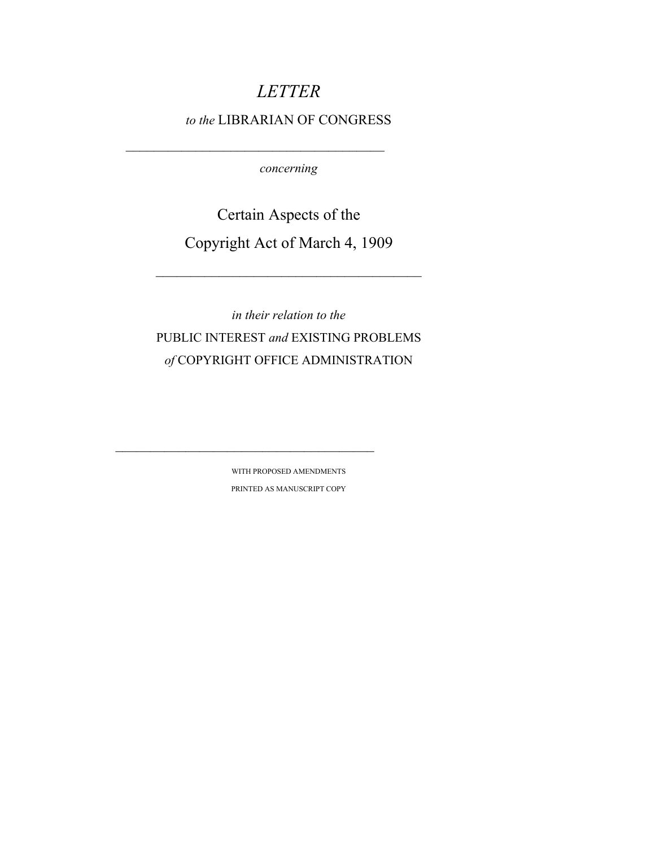# *LETTER*

## *to the* LIBRARIAN OF CONGRESS

*concerning* 

Certain Aspects of the Copyright Act of March 4, 1909

*in their relation to the*  PUBLIC INTEREST *and* EXISTING PROBLEMS *of* COPYRIGHT OFFICE ADMINISTRATION

> WITH PROPOSED AMENDMENTS PRINTED AS MANUSCRIPT COPY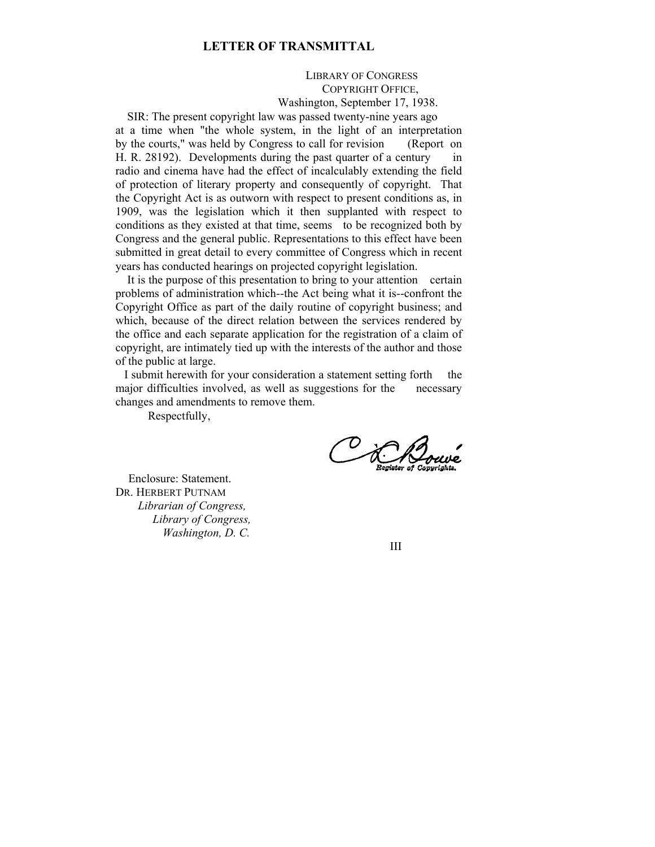## **LETTER OF TRANSMITTAL**

 LIBRARY OF CONGRESS COPYRIGHT OFFICE, Washington, September 17, 1938.

 SIR: The present copyright law was passed twenty-nine years ago at a time when "the whole system, in the light of an interpretation by the courts," was held by Congress to call for revision (Report on H. R. 28192). Developments during the past quarter of a century in radio and cinema have had the effect of incalculably extending the field of protection of literary property and consequently of copyright. That the Copyright Act is as outworn with respect to present conditions as, in 1909, was the legislation which it then supplanted with respect to conditions as they existed at that time, seems to be recognized both by Congress and the general public. Representations to this effect have been submitted in great detail to every committee of Congress which in recent years has conducted hearings on projected copyright legislation.

 It is the purpose of this presentation to bring to your attention certain problems of administration which--the Act being what it is--confront the Copyright Office as part of the daily routine of copyright business; and which, because of the direct relation between the services rendered by the office and each separate application for the registration of a claim of copyright, are intimately tied up with the interests of the author and those of the public at large.

 I submit herewith for your consideration a statement setting forth the major difficulties involved, as well as suggestions for the necessary changes and amendments to remove them.

Respectfully,

OCK

 Enclosure: Statement. DR. HERBERT PUTNAM *Librarian of Congress, Library of Congress, Washington, D. C.* 

III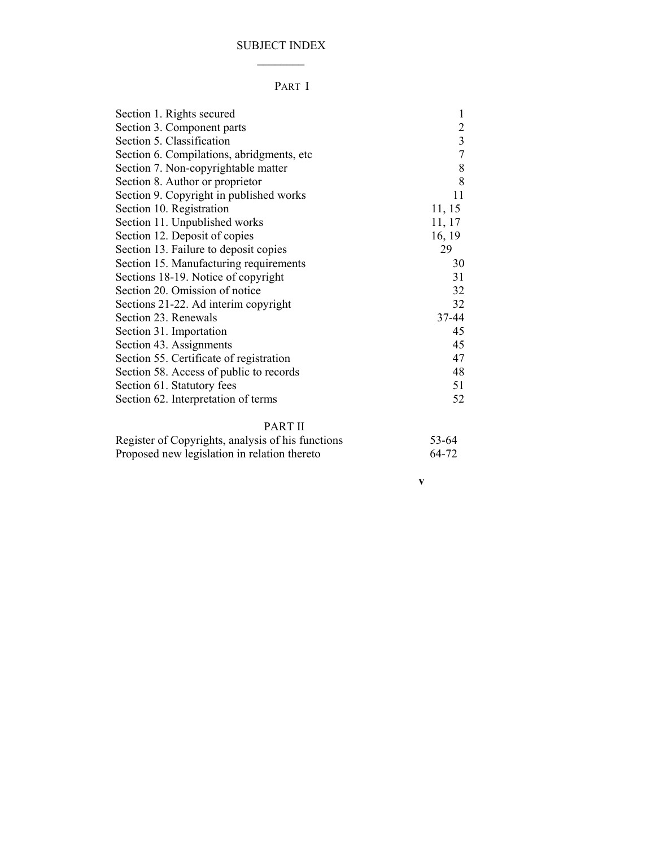## SUBJECT INDEX  $\overline{\phantom{a}}$

## PART I

| Section 1. Rights secured                 | 1                       |
|-------------------------------------------|-------------------------|
| Section 3. Component parts                | 2                       |
| Section 5. Classification                 | $\overline{\mathbf{3}}$ |
| Section 6. Compilations, abridgments, etc | 7                       |
| Section 7. Non-copyrightable matter       | 8                       |
| Section 8. Author or proprietor           | 8                       |
| Section 9. Copyright in published works   | 11                      |
| Section 10. Registration                  | 11, 15                  |
| Section 11. Unpublished works             | 11, 17                  |
| Section 12. Deposit of copies             | 16, 19                  |
| Section 13. Failure to deposit copies     | 29                      |
| Section 15. Manufacturing requirements    | 30                      |
| Sections 18-19. Notice of copyright       | 31                      |
| Section 20. Omission of notice            | 32                      |
| Sections 21-22. Ad interim copyright      | 32                      |
| Section 23. Renewals                      | 37-44                   |
| Section 31. Importation                   | 45                      |
| Section 43. Assignments                   | 45                      |
| Section 55. Certificate of registration   | 47                      |
| Section 58. Access of public to records   | 48                      |
| Section 61. Statutory fees                | 51                      |
| Section 62. Interpretation of terms       | 52                      |
|                                           |                         |

## PART II

| Register of Copyrights, analysis of his functions | 53-64 |
|---------------------------------------------------|-------|
| Proposed new legislation in relation thereto      | 64-72 |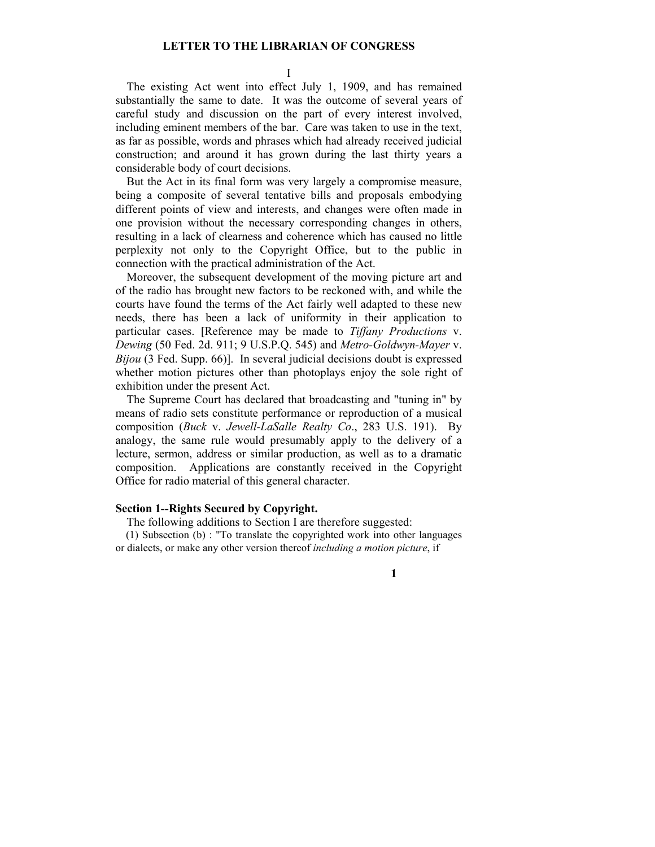#### **LETTER TO THE LIBRARIAN OF CONGRESS**

I

The existing Act went into effect July 1, 1909, and has remained substantially the same to date. It was the outcome of several years of careful study and discussion on the part of every interest involved, including eminent members of the bar. Care was taken to use in the text, as far as possible, words and phrases which had already received judicial construction; and around it has grown during the last thirty years a considerable body of court decisions.

But the Act in its final form was very largely a compromise measure, being a composite of several tentative bills and proposals embodying different points of view and interests, and changes were often made in one provision without the necessary corresponding changes in others, resulting in a lack of clearness and coherence which has caused no little perplexity not only to the Copyright Office, but to the public in connection with the practical administration of the Act.

Moreover, the subsequent development of the moving picture art and of the radio has brought new factors to be reckoned with, and while the courts have found the terms of the Act fairly well adapted to these new needs, there has been a lack of uniformity in their application to particular cases. [Reference may be made to *Tiffany Productions* v. *Dewing* (50 Fed. 2d. 911; 9 U.S.P.Q. 545) and *Metro-Goldwyn-Mayer* v. *Bijou* (3 Fed. Supp. 66)]. In several judicial decisions doubt is expressed whether motion pictures other than photoplays enjoy the sole right of exhibition under the present Act.

The Supreme Court has declared that broadcasting and "tuning in" by means of radio sets constitute performance or reproduction of a musical composition (*Buck* v. *Jewell-LaSalle Realty Co*., 283 U.S. 191). By analogy, the same rule would presumably apply to the delivery of a lecture, sermon, address or similar production, as well as to a dramatic composition. Applications are constantly received in the Copyright Office for radio material of this general character.

### **Section 1--Rights Secured by Copyright.**

The following additions to Section I are therefore suggested:

(1) Subsection (b) : "To translate the copyrighted work into other languages or dialects, or make any other version thereof *including a motion picture*, if

**1**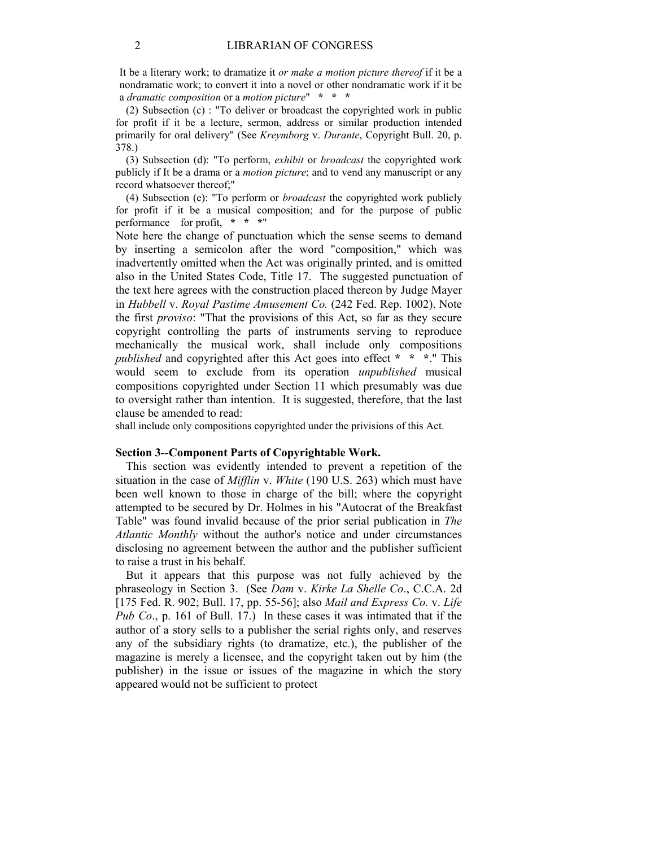It be a literary work; to dramatize it *or make a motion picture thereof* if it be a nondramatic work; to convert it into a novel or other nondramatic work if it be a *dramatic composition* or a *motion picture*" **\* \* \***

(2) Subsection (c) : "To deliver or broadcast the copyrighted work in public for profit if it be a lecture, sermon, address or similar production intended primarily for oral delivery" (See *Kreymborg* v. *Durante*, Copyright Bull. 20, p. 378.)

(3) Subsection (d): "To perform, *exhibit* or *broadcast* the copyrighted work publicly if It be a drama or a *motion picture*; and to vend any manuscript or any record whatsoever thereof;"

(4) Subsection (e): "To perform or *broadcast* the copyrighted work publicly for profit if it be a musical composition; and for the purpose of public performance for profit, **\* \* \***"

Note here the change of punctuation which the sense seems to demand by inserting a semicolon after the word "composition," which was inadvertently omitted when the Act was originally printed, and is omitted also in the United States Code, Title 17. The suggested punctuation of the text here agrees with the construction placed thereon by Judge Mayer in *Hubbell* v. *Royal Pastime Amusement Co.* (242 Fed. Rep. 1002). Note the first *proviso*: "That the provisions of this Act, so far as they secure copyright controlling the parts of instruments serving to reproduce mechanically the musical work, shall include only compositions *published* and copyrighted after this Act goes into effect **\* \* \***." This would seem to exclude from its operation *unpublished* musical compositions copyrighted under Section 11 which presumably was due to oversight rather than intention. It is suggested, therefore, that the last clause be amended to read:

shall include only compositions copyrighted under the privisions of this Act.

## **Section 3--Component Parts of Copyrightable Work.**

This section was evidently intended to prevent a repetition of the situation in the case of *Mifflin* v. *White* (190 U.S. 263) which must have been well known to those in charge of the bill; where the copyright attempted to be secured by Dr. Holmes in his "Autocrat of the Breakfast Table" was found invalid because of the prior serial publication in *The Atlantic Monthly* without the author's notice and under circumstances disclosing no agreement between the author and the publisher sufficient to raise a trust in his behalf.

But it appears that this purpose was not fully achieved by the phraseology in Section 3. (See *Dam* v. *Kirke La Shelle Co*., C.C.A. 2d [175 Fed. R. 902; Bull. 17, pp. 55-56]; also *Mail and Express Co.* v. *Life Pub Co*., p. 161 of Bull. 17.) In these cases it was intimated that if the author of a story sells to a publisher the serial rights only, and reserves any of the subsidiary rights (to dramatize, etc.), the publisher of the magazine is merely a licensee, and the copyright taken out by him (the publisher) in the issue or issues of the magazine in which the story appeared would not be sufficient to protect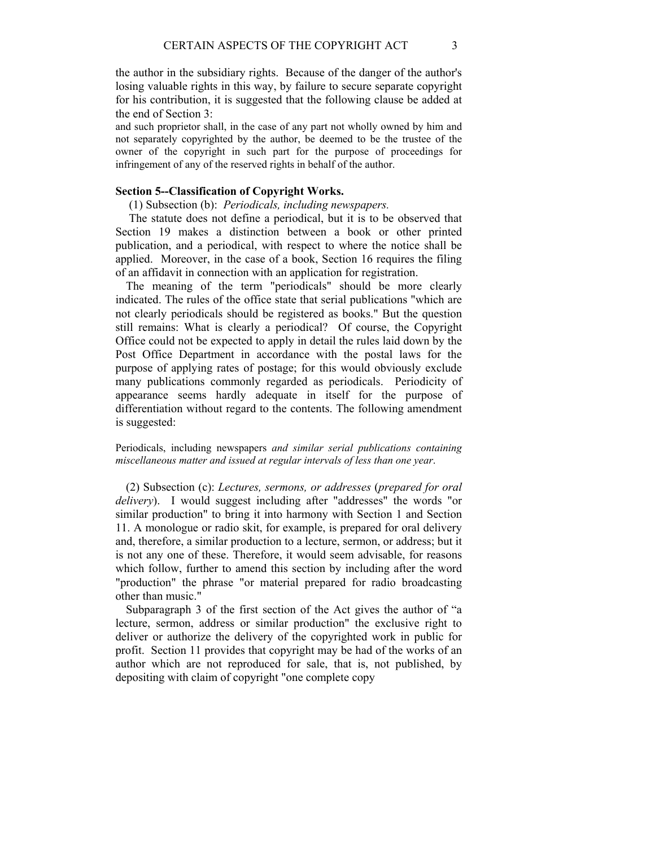the author in the subsidiary rights. Because of the danger of the author's losing valuable rights in this way, by failure to secure separate copyright for his contribution, it is suggested that the following clause be added at the end of Section 3:

and such proprietor shall, in the case of any part not wholly owned by him and not separately copyrighted by the author, be deemed to be the trustee of the owner of the copyright in such part for the purpose of proceedings for infringement of any of the reserved rights in behalf of the author.

### **Section 5--Classification of Copyright Works.**

(1) Subsection (b): *Periodicals, including newspapers.* 

 The statute does not define a periodical, but it is to be observed that Section 19 makes a distinction between a book or other printed publication, and a periodical, with respect to where the notice shall be applied. Moreover, in the case of a book, Section 16 requires the filing of an affidavit in connection with an application for registration.

The meaning of the term "periodicals" should be more clearly indicated. The rules of the office state that serial publications "which are not clearly periodicals should be registered as books." But the question still remains: What is clearly a periodical? Of course, the Copyright Office could not be expected to apply in detail the rules laid down by the Post Office Department in accordance with the postal laws for the purpose of applying rates of postage; for this would obviously exclude many publications commonly regarded as periodicals. Periodicity of appearance seems hardly adequate in itself for the purpose of differentiation without regard to the contents. The following amendment is suggested:

Periodicals, including newspapers *and similar serial publications containing miscellaneous matter and issued at regular intervals of less than one year*.

(2) Subsection (c): *Lectures, sermons, or addresses* (*prepared for oral delivery*). I would suggest including after "addresses" the words "or similar production" to bring it into harmony with Section 1 and Section 11. A monologue or radio skit, for example, is prepared for oral delivery and, therefore, a similar production to a lecture, sermon, or address; but it is not any one of these. Therefore, it would seem advisable, for reasons which follow, further to amend this section by including after the word "production" the phrase "or material prepared for radio broadcasting other than music."

Subparagraph 3 of the first section of the Act gives the author of "a lecture, sermon, address or similar production" the exclusive right to deliver or authorize the delivery of the copyrighted work in public for profit. Section 11 provides that copyright may be had of the works of an author which are not reproduced for sale, that is, not published, by depositing with claim of copyright "one complete copy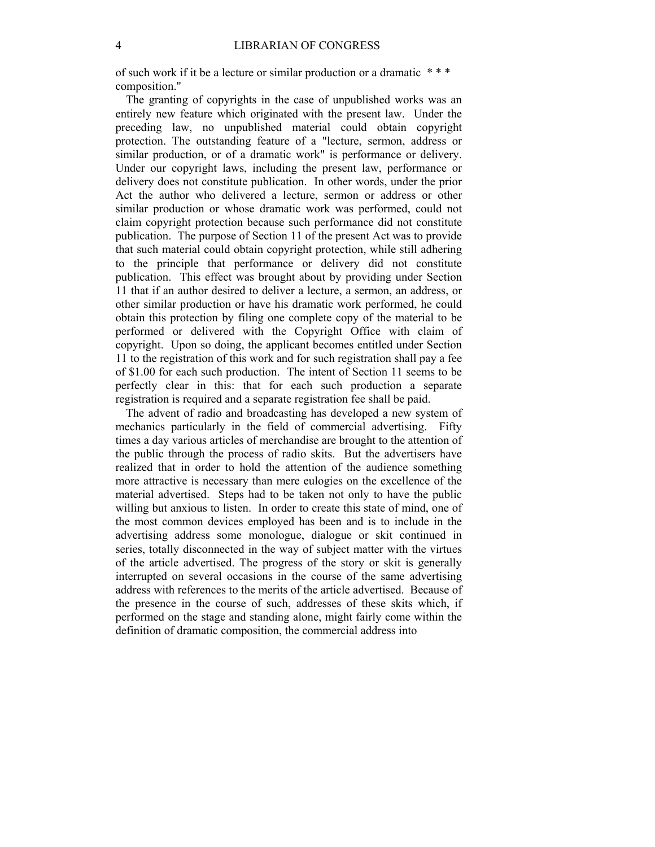of such work if it be a lecture or similar production or a dramatic \* \* \* composition."

The granting of copyrights in the case of unpublished works was an entirely new feature which originated with the present law. Under the preceding law, no unpublished material could obtain copyright protection. The outstanding feature of a "lecture, sermon, address or similar production, or of a dramatic work" is performance or delivery. Under our copyright laws, including the present law, performance or delivery does not constitute publication. In other words, under the prior Act the author who delivered a lecture, sermon or address or other similar production or whose dramatic work was performed, could not claim copyright protection because such performance did not constitute publication. The purpose of Section 11 of the present Act was to provide that such material could obtain copyright protection, while still adhering to the principle that performance or delivery did not constitute publication. This effect was brought about by providing under Section 11 that if an author desired to deliver a lecture, a sermon, an address, or other similar production or have his dramatic work performed, he could obtain this protection by filing one complete copy of the material to be performed or delivered with the Copyright Office with claim of copyright. Upon so doing, the applicant becomes entitled under Section 11 to the registration of this work and for such registration shall pay a fee of \$1.00 for each such production. The intent of Section 11 seems to be perfectly clear in this: that for each such production a separate registration is required and a separate registration fee shall be paid.

The advent of radio and broadcasting has developed a new system of mechanics particularly in the field of commercial advertising. Fifty times a day various articles of merchandise are brought to the attention of the public through the process of radio skits. But the advertisers have realized that in order to hold the attention of the audience something more attractive is necessary than mere eulogies on the excellence of the material advertised. Steps had to be taken not only to have the public willing but anxious to listen. In order to create this state of mind, one of the most common devices employed has been and is to include in the advertising address some monologue, dialogue or skit continued in series, totally disconnected in the way of subject matter with the virtues of the article advertised. The progress of the story or skit is generally interrupted on several occasions in the course of the same advertising address with references to the merits of the article advertised. Because of the presence in the course of such, addresses of these skits which, if performed on the stage and standing alone, might fairly come within the definition of dramatic composition, the commercial address into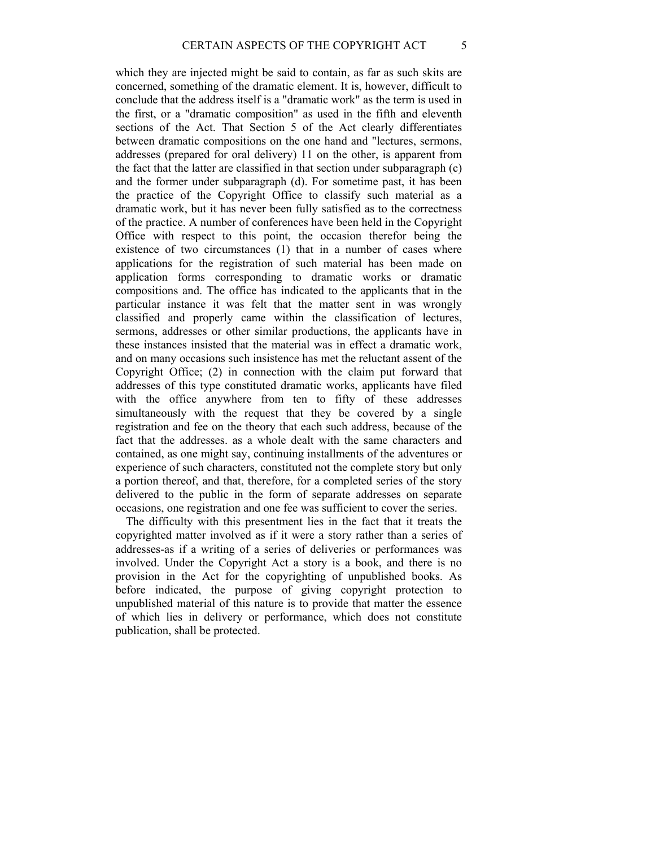which they are injected might be said to contain, as far as such skits are concerned, something of the dramatic element. It is, however, difficult to conclude that the address itself is a "dramatic work" as the term is used in the first, or a "dramatic composition" as used in the fifth and eleventh sections of the Act. That Section 5 of the Act clearly differentiates between dramatic compositions on the one hand and "lectures, sermons, addresses (prepared for oral delivery) 11 on the other, is apparent from the fact that the latter are classified in that section under subparagraph (c) and the former under subparagraph (d). For sometime past, it has been the practice of the Copyright Office to classify such material as a dramatic work, but it has never been fully satisfied as to the correctness of the practice. A number of conferences have been held in the Copyright Office with respect to this point, the occasion therefor being the existence of two circumstances (1) that in a number of cases where applications for the registration of such material has been made on application forms corresponding to dramatic works or dramatic compositions and. The office has indicated to the applicants that in the particular instance it was felt that the matter sent in was wrongly classified and properly came within the classification of lectures, sermons, addresses or other similar productions, the applicants have in these instances insisted that the material was in effect a dramatic work, and on many occasions such insistence has met the reluctant assent of the Copyright Office; (2) in connection with the claim put forward that addresses of this type constituted dramatic works, applicants have filed with the office anywhere from ten to fifty of these addresses simultaneously with the request that they be covered by a single registration and fee on the theory that each such address, because of the fact that the addresses. as a whole dealt with the same characters and contained, as one might say, continuing installments of the adventures or experience of such characters, constituted not the complete story but only a portion thereof, and that, therefore, for a completed series of the story delivered to the public in the form of separate addresses on separate occasions, one registration and one fee was sufficient to cover the series.

The difficulty with this presentment lies in the fact that it treats the copyrighted matter involved as if it were a story rather than a series of addresses-as if a writing of a series of deliveries or performances was involved. Under the Copyright Act a story is a book, and there is no provision in the Act for the copyrighting of unpublished books. As before indicated, the purpose of giving copyright protection to unpublished material of this nature is to provide that matter the essence of which lies in delivery or performance, which does not constitute publication, shall be protected.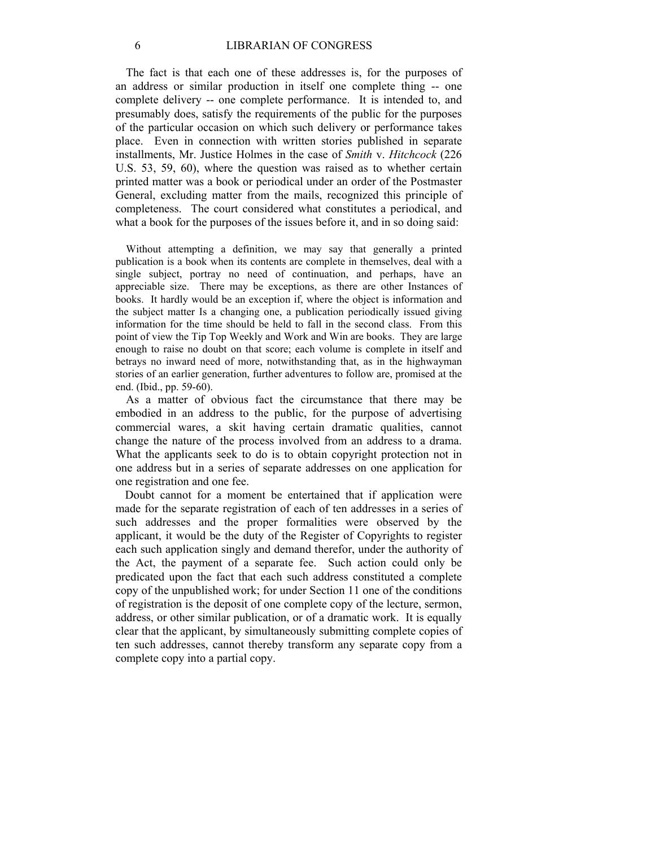The fact is that each one of these addresses is, for the purposes of an address or similar production in itself one complete thing -- one complete delivery -- one complete performance. It is intended to, and presumably does, satisfy the requirements of the public for the purposes of the particular occasion on which such delivery or performance takes place. Even in connection with written stories published in separate installments, Mr. Justice Holmes in the case of *Smith* v. *Hitchcock* (226 U.S. 53, 59, 60), where the question was raised as to whether certain printed matter was a book or periodical under an order of the Postmaster General, excluding matter from the mails, recognized this principle of completeness. The court considered what constitutes a periodical, and what a book for the purposes of the issues before it, and in so doing said:

Without attempting a definition, we may say that generally a printed publication is a book when its contents are complete in themselves, deal with a single subject, portray no need of continuation, and perhaps, have an appreciable size. There may be exceptions, as there are other Instances of books. It hardly would be an exception if, where the object is information and the subject matter Is a changing one, a publication periodically issued giving information for the time should be held to fall in the second class. From this point of view the Tip Top Weekly and Work and Win are books. They are large enough to raise no doubt on that score; each volume is complete in itself and betrays no inward need of more, notwithstanding that, as in the highwayman stories of an earlier generation, further adventures to follow are, promised at the end. (Ibid., pp. 59-60).

As a matter of obvious fact the circumstance that there may be embodied in an address to the public, for the purpose of advertising commercial wares, a skit having certain dramatic qualities, cannot change the nature of the process involved from an address to a drama. What the applicants seek to do is to obtain copyright protection not in one address but in a series of separate addresses on one application for one registration and one fee.

Doubt cannot for a moment be entertained that if application were made for the separate registration of each of ten addresses in a series of such addresses and the proper formalities were observed by the applicant, it would be the duty of the Register of Copyrights to register each such application singly and demand therefor, under the authority of the Act, the payment of a separate fee. Such action could only be predicated upon the fact that each such address constituted a complete copy of the unpublished work; for under Section 11 one of the conditions of registration is the deposit of one complete copy of the lecture, sermon, address, or other similar publication, or of a dramatic work. It is equally clear that the applicant, by simultaneously submitting complete copies of ten such addresses, cannot thereby transform any separate copy from a complete copy into a partial copy.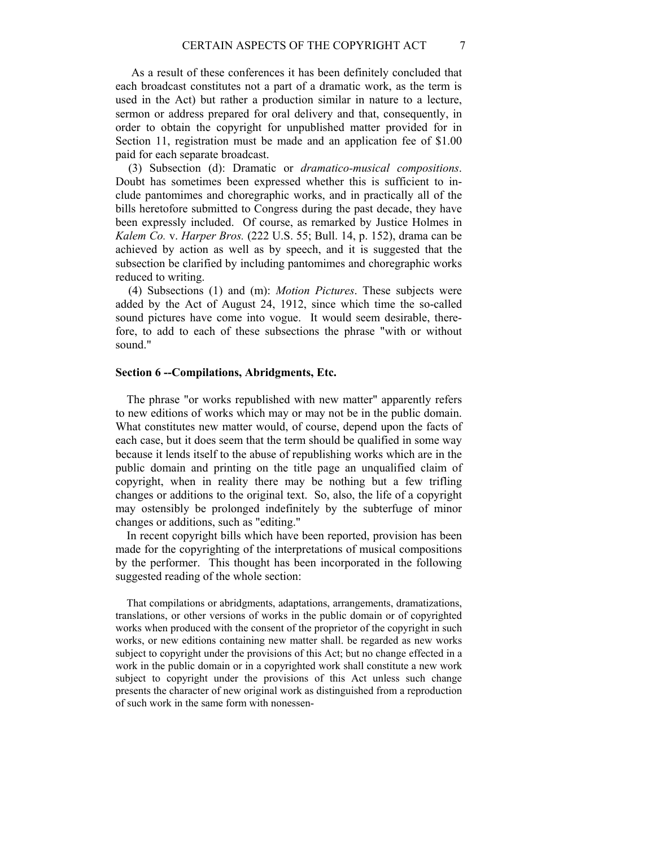As a result of these conferences it has been definitely concluded that each broadcast constitutes not a part of a dramatic work, as the term is used in the Act) but rather a production similar in nature to a lecture, sermon or address prepared for oral delivery and that, consequently, in order to obtain the copyright for unpublished matter provided for in Section 11, registration must be made and an application fee of \$1.00 paid for each separate broadcast.

(3) Subsection (d): Dramatic or *dramatico-musical compositions*. Doubt has sometimes been expressed whether this is sufficient to include pantomimes and choregraphic works, and in practically all of the bills heretofore submitted to Congress during the past decade, they have been expressly included. Of course, as remarked by Justice Holmes in *Kalem Co.* v. *Harper Bros.* (222 U.S. 55; Bull. 14, p. 152), drama can be achieved by action as well as by speech, and it is suggested that the subsection be clarified by including pantomimes and choregraphic works reduced to writing.

(4) Subsections (1) and (m): *Motion Pictures*. These subjects were added by the Act of August 24, 1912, since which time the so-called sound pictures have come into vogue. It would seem desirable, therefore, to add to each of these subsections the phrase "with or without sound."

### **Section 6 --Compilations, Abridgments, Etc.**

The phrase "or works republished with new matter" apparently refers to new editions of works which may or may not be in the public domain. What constitutes new matter would, of course, depend upon the facts of each case, but it does seem that the term should be qualified in some way because it lends itself to the abuse of republishing works which are in the public domain and printing on the title page an unqualified claim of copyright, when in reality there may be nothing but a few trifling changes or additions to the original text. So, also, the life of a copyright may ostensibly be prolonged indefinitely by the subterfuge of minor changes or additions, such as "editing."

In recent copyright bills which have been reported, provision has been made for the copyrighting of the interpretations of musical compositions by the performer. This thought has been incorporated in the following suggested reading of the whole section:

That compilations or abridgments, adaptations, arrangements, dramatizations, translations, or other versions of works in the public domain or of copyrighted works when produced with the consent of the proprietor of the copyright in such works, or new editions containing new matter shall. be regarded as new works subject to copyright under the provisions of this Act; but no change effected in a work in the public domain or in a copyrighted work shall constitute a new work subject to copyright under the provisions of this Act unless such change presents the character of new original work as distinguished from a reproduction of such work in the same form with nonessen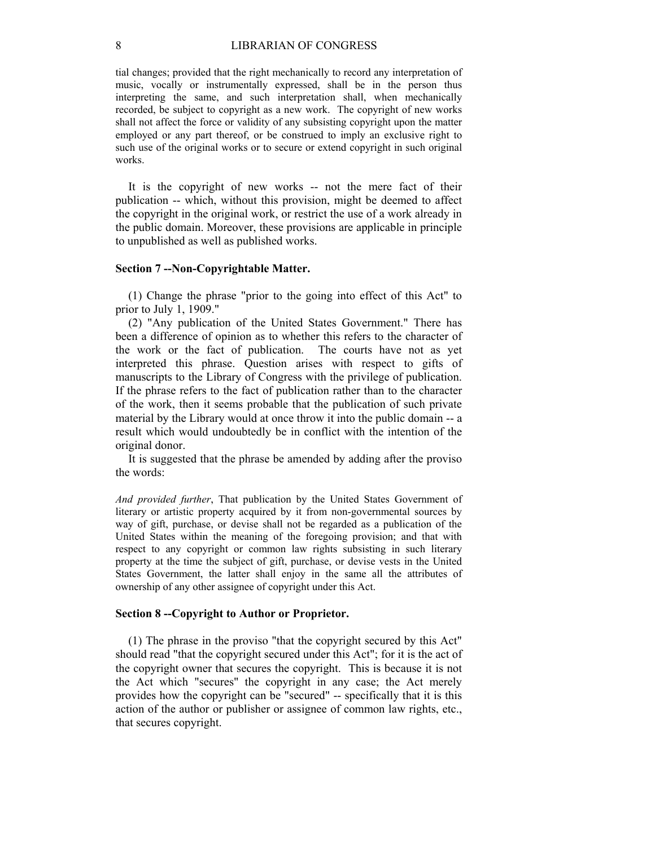tial changes; provided that the right mechanically to record any interpretation of music, vocally or instrumentally expressed, shall be in the person thus interpreting the same, and such interpretation shall, when mechanically recorded, be subject to copyright as a new work. The copyright of new works shall not affect the force or validity of any subsisting copyright upon the matter employed or any part thereof, or be construed to imply an exclusive right to such use of the original works or to secure or extend copyright in such original works.

It is the copyright of new works -- not the mere fact of their publication -- which, without this provision, might be deemed to affect the copyright in the original work, or restrict the use of a work already in the public domain. Moreover, these provisions are applicable in principle to unpublished as well as published works.

#### **Section 7 --Non-Copyrightable Matter.**

(1) Change the phrase "prior to the going into effect of this Act" to prior to July 1, 1909."

(2) "Any publication of the United States Government." There has been a difference of opinion as to whether this refers to the character of the work or the fact of publication. The courts have not as yet interpreted this phrase. Question arises with respect to gifts of manuscripts to the Library of Congress with the privilege of publication. If the phrase refers to the fact of publication rather than to the character of the work, then it seems probable that the publication of such private material by the Library would at once throw it into the public domain -- a result which would undoubtedly be in conflict with the intention of the original donor.

It is suggested that the phrase be amended by adding after the proviso the words:

*And provided further*, That publication by the United States Government of literary or artistic property acquired by it from non-governmental sources by way of gift, purchase, or devise shall not be regarded as a publication of the United States within the meaning of the foregoing provision; and that with respect to any copyright or common law rights subsisting in such literary property at the time the subject of gift, purchase, or devise vests in the United States Government, the latter shall enjoy in the same all the attributes of ownership of any other assignee of copyright under this Act.

#### **Section 8 --Copyright to Author or Proprietor.**

(1) The phrase in the proviso "that the copyright secured by this Act" should read "that the copyright secured under this Act"; for it is the act of the copyright owner that secures the copyright. This is because it is not the Act which "secures" the copyright in any case; the Act merely provides how the copyright can be "secured" -- specifically that it is this action of the author or publisher or assignee of common law rights, etc., that secures copyright.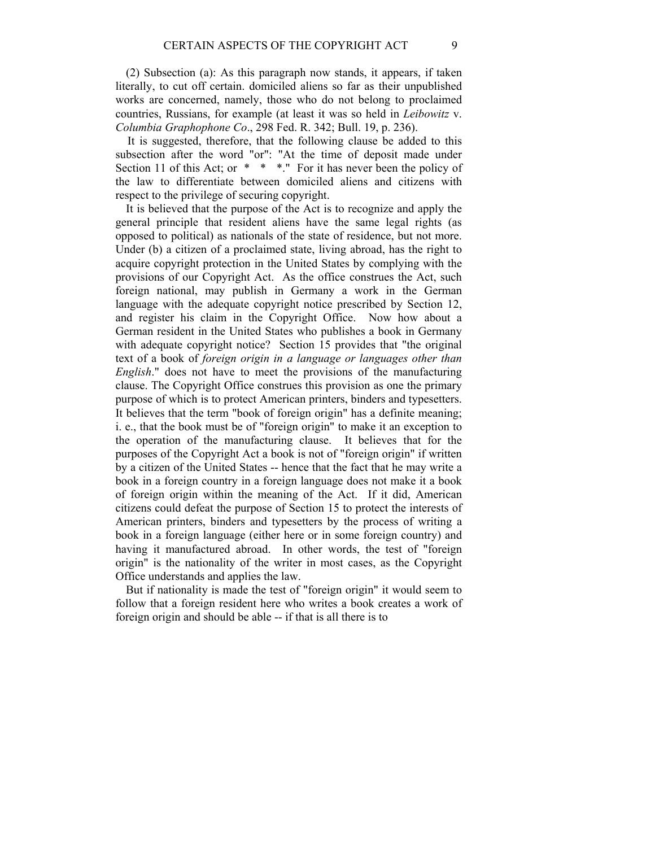(2) Subsection (a): As this paragraph now stands, it appears, if taken literally, to cut off certain. domiciled aliens so far as their unpublished works are concerned, namely, those who do not belong to proclaimed countries, Russians, for example (at least it was so held in *Leibowitz* v. *Columbia Graphophone Co*., 298 Fed. R. 342; Bull. 19, p. 236).

 It is suggested, therefore, that the following clause be added to this subsection after the word "or": "At the time of deposit made under Section 11 of this Act; or \* \* \*... For it has never been the policy of the law to differentiate between domiciled aliens and citizens with respect to the privilege of securing copyright.

It is believed that the purpose of the Act is to recognize and apply the general principle that resident aliens have the same legal rights (as opposed to political) as nationals of the state of residence, but not more. Under (b) a citizen of a proclaimed state, living abroad, has the right to acquire copyright protection in the United States by complying with the provisions of our Copyright Act. As the office construes the Act, such foreign national, may publish in Germany a work in the German language with the adequate copyright notice prescribed by Section 12, and register his claim in the Copyright Office. Now how about a German resident in the United States who publishes a book in Germany with adequate copyright notice? Section 15 provides that "the original text of a book of *foreign origin in a language or languages other than English*." does not have to meet the provisions of the manufacturing clause. The Copyright Office construes this provision as one the primary purpose of which is to protect American printers, binders and typesetters. It believes that the term "book of foreign origin" has a definite meaning; i. e., that the book must be of "foreign origin" to make it an exception to the operation of the manufacturing clause. It believes that for the purposes of the Copyright Act a book is not of "foreign origin" if written by a citizen of the United States -- hence that the fact that he may write a book in a foreign country in a foreign language does not make it a book of foreign origin within the meaning of the Act. If it did, American citizens could defeat the purpose of Section 15 to protect the interests of American printers, binders and typesetters by the process of writing a book in a foreign language (either here or in some foreign country) and having it manufactured abroad. In other words, the test of "foreign origin" is the nationality of the writer in most cases, as the Copyright Office understands and applies the law.

But if nationality is made the test of "foreign origin" it would seem to follow that a foreign resident here who writes a book creates a work of foreign origin and should be able -- if that is all there is to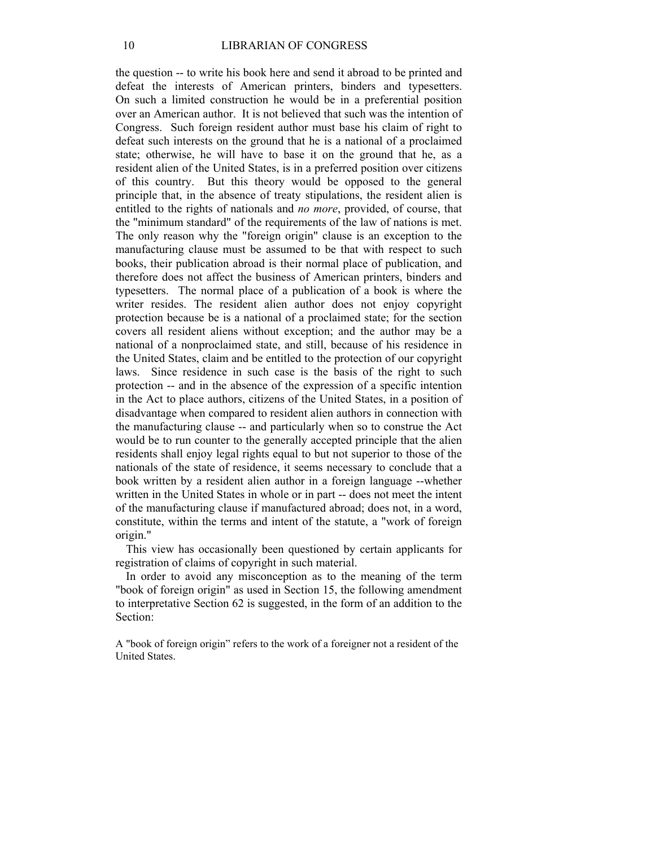the question -- to write his book here and send it abroad to be printed and defeat the interests of American printers, binders and typesetters. On such a limited construction he would be in a preferential position over an American author. It is not believed that such was the intention of Congress. Such foreign resident author must base his claim of right to defeat such interests on the ground that he is a national of a proclaimed state; otherwise, he will have to base it on the ground that he, as a resident alien of the United States, is in a preferred position over citizens of this country. But this theory would be opposed to the general principle that, in the absence of treaty stipulations, the resident alien is entitled to the rights of nationals and *no more*, provided, of course, that the "minimum standard" of the requirements of the law of nations is met. The only reason why the "foreign origin" clause is an exception to the manufacturing clause must be assumed to be that with respect to such books, their publication abroad is their normal place of publication, and therefore does not affect the business of American printers, binders and typesetters. The normal place of a publication of a book is where the writer resides. The resident alien author does not enjoy copyright protection because be is a national of a proclaimed state; for the section covers all resident aliens without exception; and the author may be a national of a nonproclaimed state, and still, because of his residence in the United States, claim and be entitled to the protection of our copyright laws. Since residence in such case is the basis of the right to such protection -- and in the absence of the expression of a specific intention in the Act to place authors, citizens of the United States, in a position of disadvantage when compared to resident alien authors in connection with the manufacturing clause -- and particularly when so to construe the Act would be to run counter to the generally accepted principle that the alien residents shall enjoy legal rights equal to but not superior to those of the nationals of the state of residence, it seems necessary to conclude that a book written by a resident alien author in a foreign language --whether written in the United States in whole or in part -- does not meet the intent of the manufacturing clause if manufactured abroad; does not, in a word, constitute, within the terms and intent of the statute, a "work of foreign origin."

This view has occasionally been questioned by certain applicants for registration of claims of copyright in such material.

In order to avoid any misconception as to the meaning of the term "book of foreign origin" as used in Section 15, the following amendment to interpretative Section 62 is suggested, in the form of an addition to the Section:

A "book of foreign origin" refers to the work of a foreigner not a resident of the United States.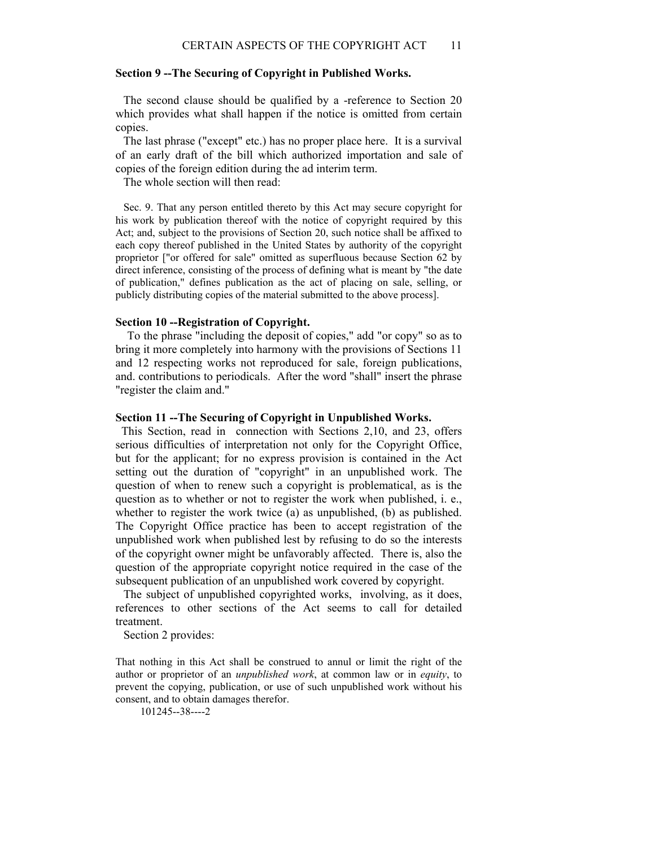## **Section 9 --The Securing of Copyright in Published Works.**

 The second clause should be qualified by a -reference to Section 20 which provides what shall happen if the notice is omitted from certain copies.

 The last phrase ("except" etc.) has no proper place here. It is a survival of an early draft of the bill which authorized importation and sale of copies of the foreign edition during the ad interim term.

The whole section will then read:

 Sec. 9. That any person entitled thereto by this Act may secure copyright for his work by publication thereof with the notice of copyright required by this Act; and, subject to the provisions of Section 20, such notice shall be affixed to each copy thereof published in the United States by authority of the copyright proprietor ["or offered for sale" omitted as superfluous because Section 62 by direct inference, consisting of the process of defining what is meant by "the date of publication," defines publication as the act of placing on sale, selling, or publicly distributing copies of the material submitted to the above process].

#### **Section 10 --Registration of Copyright.**

 To the phrase "including the deposit of copies," add "or copy" so as to bring it more completely into harmony with the provisions of Sections 11 and 12 respecting works not reproduced for sale, foreign publications, and. contributions to periodicals. After the word "shall" insert the phrase "register the claim and."

#### **Section 11 --The Securing of Copyright in Unpublished Works.**

 This Section, read in connection with Sections 2,10, and 23, offers serious difficulties of interpretation not only for the Copyright Office, but for the applicant; for no express provision is contained in the Act setting out the duration of "copyright" in an unpublished work. The question of when to renew such a copyright is problematical, as is the question as to whether or not to register the work when published, i. e., whether to register the work twice (a) as unpublished, (b) as published. The Copyright Office practice has been to accept registration of the unpublished work when published lest by refusing to do so the interests of the copyright owner might be unfavorably affected. There is, also the question of the appropriate copyright notice required in the case of the subsequent publication of an unpublished work covered by copyright.

 The subject of unpublished copyrighted works, involving, as it does, references to other sections of the Act seems to call for detailed treatment.

Section 2 provides:

That nothing in this Act shall be construed to annul or limit the right of the author or proprietor of an *unpublished work*, at common law or in *equity*, to prevent the copying, publication, or use of such unpublished work without his consent, and to obtain damages therefor.

101245--38----2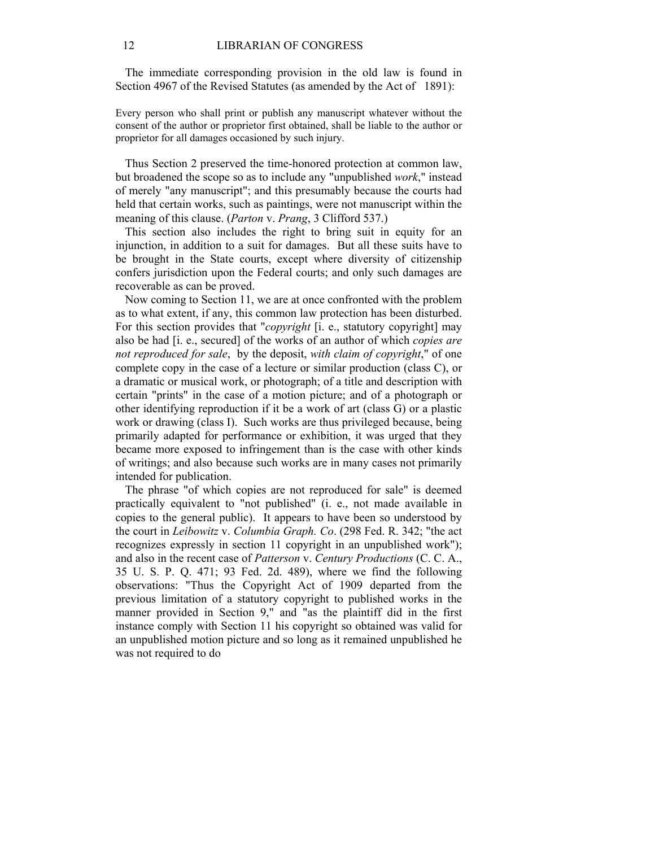The immediate corresponding provision in the old law is found in Section 4967 of the Revised Statutes (as amended by the Act of 1891):

Every person who shall print or publish any manuscript whatever without the consent of the author or proprietor first obtained, shall be liable to the author or proprietor for all damages occasioned by such injury.

Thus Section 2 preserved the time-honored protection at common law, but broadened the scope so as to include any "unpublished *work*," instead of merely "any manuscript"; and this presumably because the courts had held that certain works, such as paintings, were not manuscript within the meaning of this clause. (*Parton* v. *Prang*, 3 Clifford 537.)

This section also includes the right to bring suit in equity for an injunction, in addition to a suit for damages. But all these suits have to be brought in the State courts, except where diversity of citizenship confers jurisdiction upon the Federal courts; and only such damages are recoverable as can be proved.

Now coming to Section 11, we are at once confronted with the problem as to what extent, if any, this common law protection has been disturbed. For this section provides that "*copyright* [i. e., statutory copyright] may also be had [i. e., secured] of the works of an author of which *copies are not reproduced for sale*, by the deposit, *with claim of copyright*," of one complete copy in the case of a lecture or similar production (class C), or a dramatic or musical work, or photograph; of a title and description with certain "prints" in the case of a motion picture; and of a photograph or other identifying reproduction if it be a work of art (class G) or a plastic work or drawing (class I). Such works are thus privileged because, being primarily adapted for performance or exhibition, it was urged that they became more exposed to infringement than is the case with other kinds of writings; and also because such works are in many cases not primarily intended for publication.

The phrase "of which copies are not reproduced for sale" is deemed practically equivalent to "not published" (i. e., not made available in copies to the general public). It appears to have been so understood by the court in *Leibowitz* v. *Columbia Graph. Co*. (298 Fed. R. 342; "the act recognizes expressly in section 11 copyright in an unpublished work"); and also in the recent case of *Patterson* v. *Century Productions* (C. C. A., 35 U. S. P. Q. 471; 93 Fed. 2d. 489), where we find the following observations: "Thus the Copyright Act of 1909 departed from the previous limitation of a statutory copyright to published works in the manner provided in Section 9," and "as the plaintiff did in the first instance comply with Section 11 his copyright so obtained was valid for an unpublished motion picture and so long as it remained unpublished he was not required to do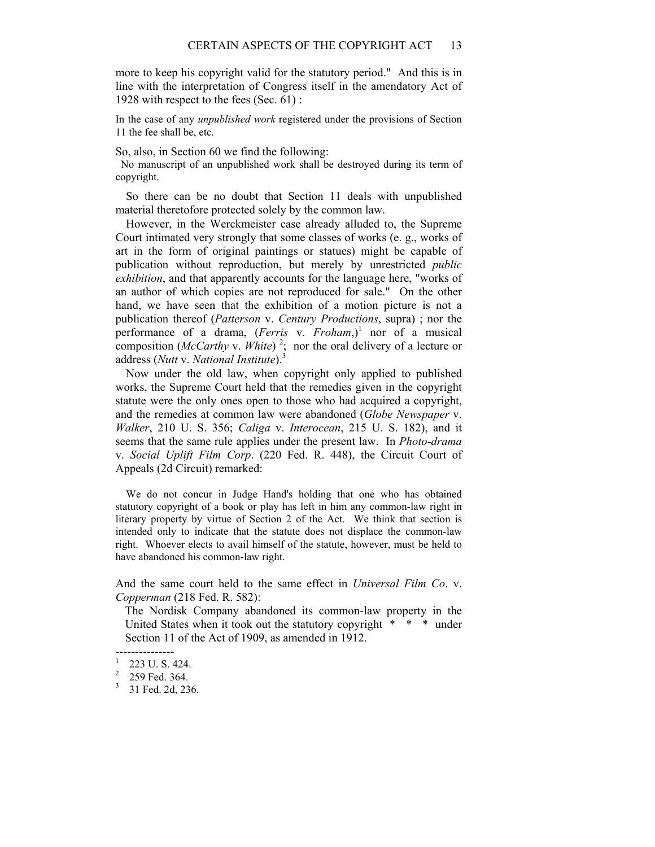more to keep his copyright valid for the statutory period." And this is in line with the interpretation of Congress itself in the amendatory Act of 1928 with respect to the fees (Sec. 61) :

In the case of any *unpublished work* registered under the provisions of Section 11 the fee shall be, etc.

So, also, in Section 60 we find the following:

 No manuscript of an unpublished work shall be destroyed during its term of copyright.

So there can be no doubt that Section 11 deals with unpublished material theretofore protected solely by the common law.

However, in the Werckmeister case already alluded to, the Supreme Court intimated very strongly that some classes of works (e. g., works of art in the form of original paintings or statues) might be capable of publication without reproduction, but merely by unrestricted *public exhibition*, and that apparently accounts for the language here, "works of an author of which copies are not reproduced for sale." On the other hand, we have seen that the exhibition of a motion picture is not a publication thereof (*Patterson* v. *Century Productions*, supra) ; nor the performance of a drama, (*Ferris* v. *Froham*,)<sup>1</sup> nor of a musical composition (*McCarthy* v. *White*)<sup>2</sup>; nor the oral delivery of a lecture or address (*Nutt* v. *National Institute*).<sup>3</sup>

Now under the old law, when copyright only applied to published works, the Supreme Court held that the remedies given in the copyright statute were the only ones open to those who had acquired a copyright, and the remedies at common law were abandoned (*Globe Newspaper* v. *Walker*, 210 U. S. 356; *Caliga* v. *Interocean*, 215 U. S. 182), and it seems that the same rule applies under the present law. In *Photo-drama* v. *Social Uplift Film Corp*. (220 Fed. R. 448), the Circuit Court of Appeals (2d Circuit) remarked:

We do not concur in Judge Hand's holding that one who has obtained statutory copyright of a book or play has left in him any common-law right in literary property by virtue of Section 2 of the Act. We think that section is intended only to indicate that the statute does not displace the common-law right. Whoever elects to avail himself of the statute, however, must be held to have abandoned his common-law right.

And the same court held to the same effect in *Universal Film Co*. v. *Copperman* (218 Fed. R. 582):

The Nordisk Company abandoned its common-law property in the United States when it took out the statutory copyright \* \* \* under Section 11 of the Act of 1909, as amended in 1912.

<sup>---------------</sup>  1 223 U. S. 424.

 $2$  259 Fed. 364.

 $31$  Fed. 2d, 236.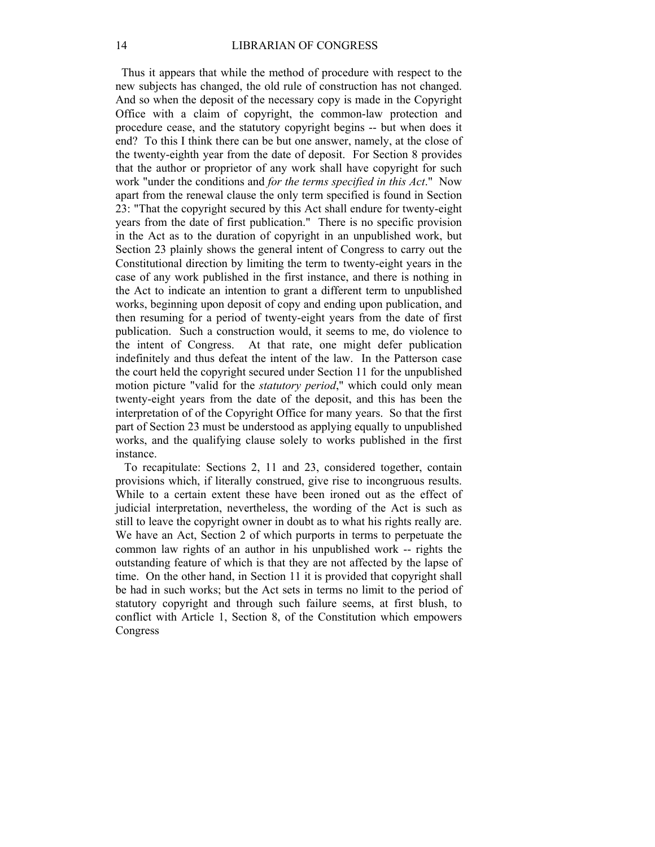Thus it appears that while the method of procedure with respect to the new subjects has changed, the old rule of construction has not changed. And so when the deposit of the necessary copy is made in the Copyright Office with a claim of copyright, the common-law protection and procedure cease, and the statutory copyright begins -- but when does it end? To this I think there can be but one answer, namely, at the close of the twenty-eighth year from the date of deposit. For Section 8 provides that the author or proprietor of any work shall have copyright for such work "under the conditions and *for the terms specified in this Act*." Now apart from the renewal clause the only term specified is found in Section 23: "That the copyright secured by this Act shall endure for twenty-eight years from the date of first publication." There is no specific provision in the Act as to the duration of copyright in an unpublished work, but Section 23 plainly shows the general intent of Congress to carry out the Constitutional direction by limiting the term to twenty-eight years in the case of any work published in the first instance, and there is nothing in the Act to indicate an intention to grant a different term to unpublished works, beginning upon deposit of copy and ending upon publication, and then resuming for a period of twenty-eight years from the date of first publication. Such a construction would, it seems to me, do violence to the intent of Congress. At that rate, one might defer publication indefinitely and thus defeat the intent of the law. In the Patterson case the court held the copyright secured under Section 11 for the unpublished motion picture "valid for the *statutory period*," which could only mean twenty-eight years from the date of the deposit, and this has been the interpretation of of the Copyright Office for many years. So that the first part of Section 23 must be understood as applying equally to unpublished works, and the qualifying clause solely to works published in the first instance.

 To recapitulate: Sections 2, 11 and 23, considered together, contain provisions which, if literally construed, give rise to incongruous results. While to a certain extent these have been ironed out as the effect of judicial interpretation, nevertheless, the wording of the Act is such as still to leave the copyright owner in doubt as to what his rights really are. We have an Act, Section 2 of which purports in terms to perpetuate the common law rights of an author in his unpublished work -- rights the outstanding feature of which is that they are not affected by the lapse of time. On the other hand, in Section 11 it is provided that copyright shall be had in such works; but the Act sets in terms no limit to the period of statutory copyright and through such failure seems, at first blush, to conflict with Article 1, Section 8, of the Constitution which empowers Congress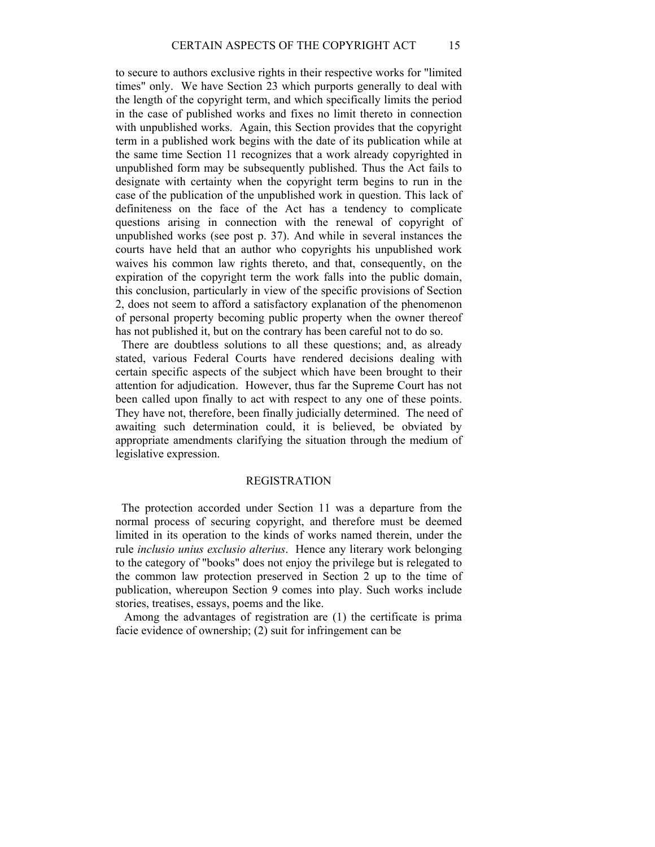to secure to authors exclusive rights in their respective works for "limited times" only. We have Section 23 which purports generally to deal with the length of the copyright term, and which specifically limits the period in the case of published works and fixes no limit thereto in connection with unpublished works. Again, this Section provides that the copyright term in a published work begins with the date of its publication while at the same time Section 11 recognizes that a work already copyrighted in unpublished form may be subsequently published. Thus the Act fails to designate with certainty when the copyright term begins to run in the case of the publication of the unpublished work in question. This lack of definiteness on the face of the Act has a tendency to complicate questions arising in connection with the renewal of copyright of unpublished works (see post p. 37). And while in several instances the courts have held that an author who copyrights his unpublished work waives his common law rights thereto, and that, consequently, on the expiration of the copyright term the work falls into the public domain, this conclusion, particularly in view of the specific provisions of Section 2, does not seem to afford a satisfactory explanation of the phenomenon of personal property becoming public property when the owner thereof has not published it, but on the contrary has been careful not to do so.

 There are doubtless solutions to all these questions; and, as already stated, various Federal Courts have rendered decisions dealing with certain specific aspects of the subject which have been brought to their attention for adjudication. However, thus far the Supreme Court has not been called upon finally to act with respect to any one of these points. They have not, therefore, been finally judicially determined. The need of awaiting such determination could, it is believed, be obviated by appropriate amendments clarifying the situation through the medium of legislative expression.

#### REGISTRATION

 The protection accorded under Section 11 was a departure from the normal process of securing copyright, and therefore must be deemed limited in its operation to the kinds of works named therein, under the rule *inclusio unius exclusio alterius*. Hence any literary work belonging to the category of "books" does not enjoy the privilege but is relegated to the common law protection preserved in Section 2 up to the time of publication, whereupon Section 9 comes into play. Such works include stories, treatises, essays, poems and the like.

 Among the advantages of registration are (1) the certificate is prima facie evidence of ownership; (2) suit for infringement can be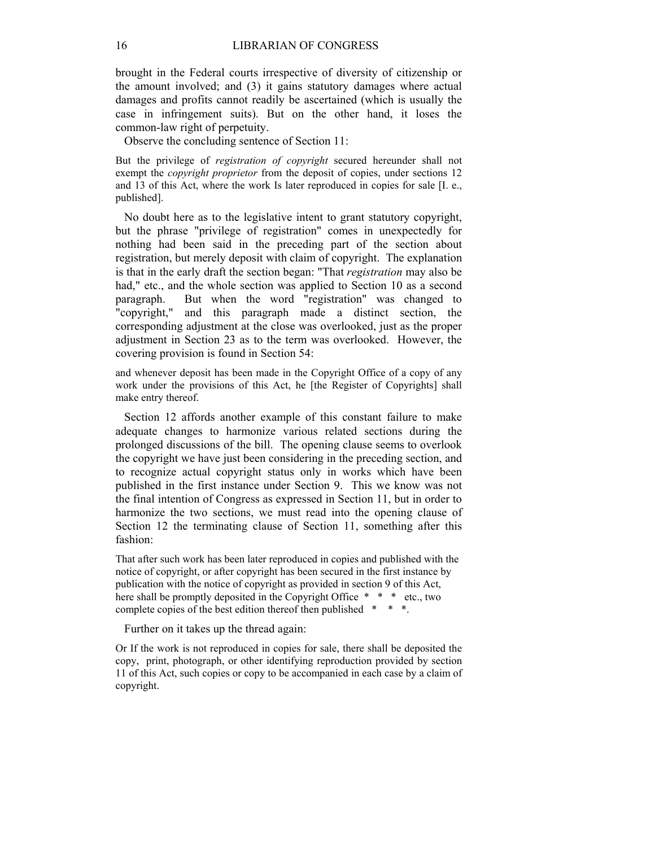brought in the Federal courts irrespective of diversity of citizenship or the amount involved; and (3) it gains statutory damages where actual damages and profits cannot readily be ascertained (which is usually the case in infringement suits). But on the other hand, it loses the common-law right of perpetuity.

Observe the concluding sentence of Section 11:

But the privilege of *registration of copyright* secured hereunder shall not exempt the *copyright proprietor* from the deposit of copies, under sections 12 and 13 of this Act, where the work Is later reproduced in copies for sale [I. e., published].

 No doubt here as to the legislative intent to grant statutory copyright, but the phrase "privilege of registration" comes in unexpectedly for nothing had been said in the preceding part of the section about registration, but merely deposit with claim of copyright. The explanation is that in the early draft the section began: "That *registration* may also be had," etc., and the whole section was applied to Section 10 as a second paragraph. But when the word "registration" was changed to "copyright," and this paragraph made a distinct section, the corresponding adjustment at the close was overlooked, just as the proper adjustment in Section 23 as to the term was overlooked. However, the covering provision is found in Section 54:

and whenever deposit has been made in the Copyright Office of a copy of any work under the provisions of this Act, he [the Register of Copyrights] shall make entry thereof.

 Section 12 affords another example of this constant failure to make adequate changes to harmonize various related sections during the prolonged discussions of the bill. The opening clause seems to overlook the copyright we have just been considering in the preceding section, and to recognize actual copyright status only in works which have been published in the first instance under Section 9. This we know was not the final intention of Congress as expressed in Section 11, but in order to harmonize the two sections, we must read into the opening clause of Section 12 the terminating clause of Section 11, something after this fashion:

That after such work has been later reproduced in copies and published with the notice of copyright, or after copyright has been secured in the first instance by publication with the notice of copyright as provided in section 9 of this Act, here shall be promptly deposited in the Copyright Office \* \* \* etc., two complete copies of the best edition thereof then published \* \* \*.

Further on it takes up the thread again:

Or If the work is not reproduced in copies for sale, there shall be deposited the copy, print, photograph, or other identifying reproduction provided by section 11 of this Act, such copies or copy to be accompanied in each case by a claim of copyright.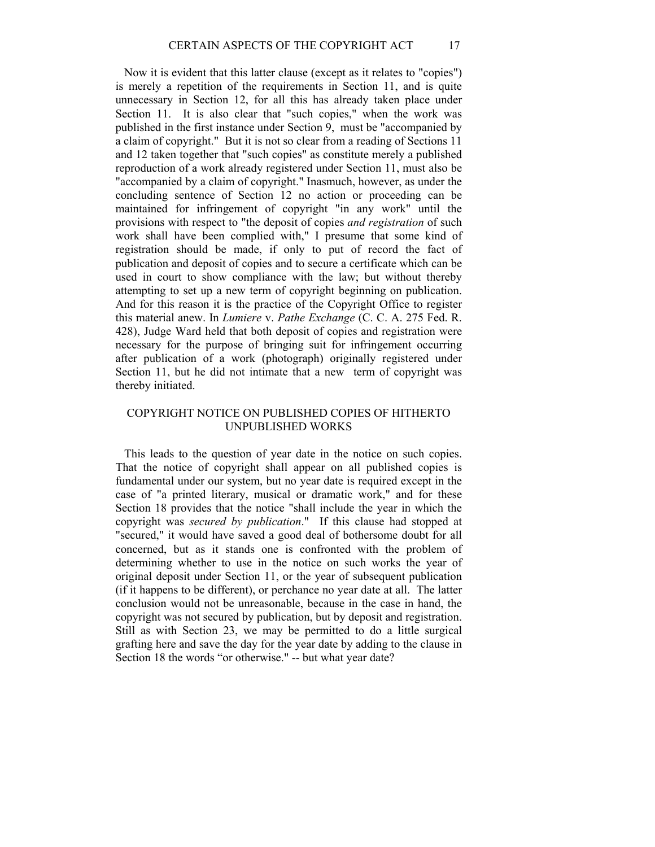Now it is evident that this latter clause (except as it relates to "copies") is merely a repetition of the requirements in Section 11, and is quite unnecessary in Section 12, for all this has already taken place under Section 11. It is also clear that "such copies," when the work was published in the first instance under Section 9, must be "accompanied by a claim of copyright." But it is not so clear from a reading of Sections 11 and 12 taken together that "such copies" as constitute merely a published reproduction of a work already registered under Section 11, must also be "accompanied by a claim of copyright." Inasmuch, however, as under the concluding sentence of Section 12 no action or proceeding can be maintained for infringement of copyright "in any work" until the provisions with respect to "the deposit of copies *and registration* of such work shall have been complied with," I presume that some kind of registration should be made, if only to put of record the fact of publication and deposit of copies and to secure a certificate which can be used in court to show compliance with the law; but without thereby attempting to set up a new term of copyright beginning on publication. And for this reason it is the practice of the Copyright Office to register this material anew. In *Lumiere* v. *Pathe Exchange* (C. C. A. 275 Fed. R. 428), Judge Ward held that both deposit of copies and registration were necessary for the purpose of bringing suit for infringement occurring after publication of a work (photograph) originally registered under Section 11, but he did not intimate that a new term of copyright was thereby initiated.

## COPYRIGHT NOTICE ON PUBLISHED COPIES OF HITHERTO UNPUBLISHED WORKS

 This leads to the question of year date in the notice on such copies. That the notice of copyright shall appear on all published copies is fundamental under our system, but no year date is required except in the case of "a printed literary, musical or dramatic work," and for these Section 18 provides that the notice "shall include the year in which the copyright was *secured by publication*." If this clause had stopped at "secured," it would have saved a good deal of bothersome doubt for all concerned, but as it stands one is confronted with the problem of determining whether to use in the notice on such works the year of original deposit under Section 11, or the year of subsequent publication (if it happens to be different), or perchance no year date at all. The latter conclusion would not be unreasonable, because in the case in hand, the copyright was not secured by publication, but by deposit and registration. Still as with Section 23, we may be permitted to do a little surgical grafting here and save the day for the year date by adding to the clause in Section 18 the words "or otherwise." -- but what year date?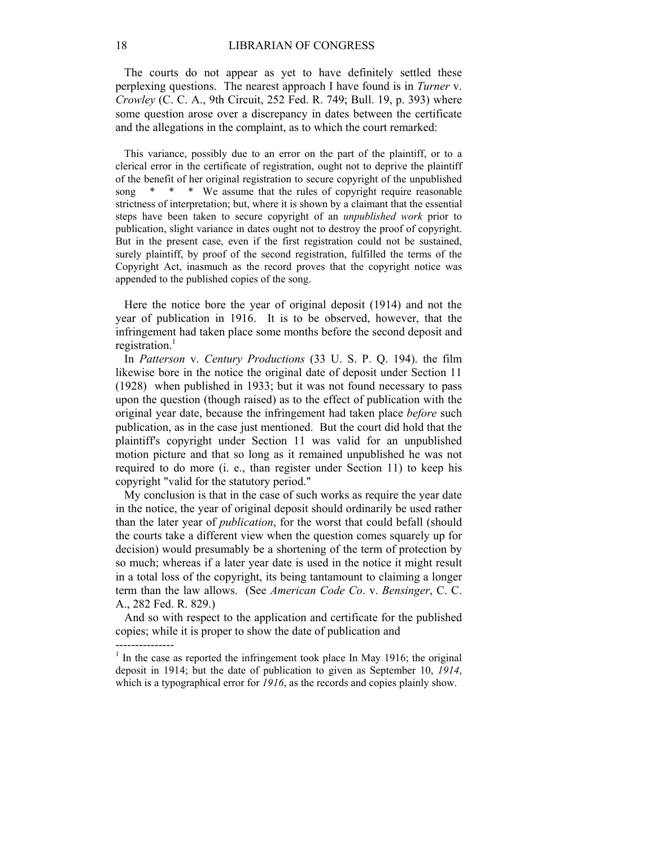The courts do not appear as yet to have definitely settled these perplexing questions. The nearest approach I have found is in *Turner* v. *Crowley* (C. C. A., 9th Circuit, 252 Fed. R. 749; Bull. 19, p. 393) where some question arose over a discrepancy in dates between the certificate and the allegations in the complaint, as to which the court remarked:

 This variance, possibly due to an error on the part of the plaintiff, or to a clerical error in the certificate of registration, ought not to deprive the plaintiff of the benefit of her original registration to secure copyright of the unpublished song \* \* \* We assume that the rules of copyright require reasonable strictness of interpretation; but, where it is shown by a claimant that the essential steps have been taken to secure copyright of an *unpublished work* prior to publication, slight variance in dates ought not to destroy the proof of copyright. But in the present case, even if the first registration could not be sustained, surely plaintiff, by proof of the second registration, fulfilled the terms of the Copyright Act, inasmuch as the record proves that the copyright notice was appended to the published copies of the song.

 Here the notice bore the year of original deposit (1914) and not the year of publication in 1916. It is to be observed, however, that the infringement had taken place some months before the second deposit and registration. $<sup>1</sup>$ </sup>

 In *Patterson* v. *Century Productions* (33 U. S. P. Q. 194). the film likewise bore in the notice the original date of deposit under Section 11 (1928) when published in 1933; but it was not found necessary to pass upon the question (though raised) as to the effect of publication with the original year date, because the infringement had taken place *before* such publication, as in the case just mentioned. But the court did hold that the plaintiff's copyright under Section 11 was valid for an unpublished motion picture and that so long as it remained unpublished he was not required to do more (i. e., than register under Section 11) to keep his copyright "valid for the statutory period."

 My conclusion is that in the case of such works as require the year date in the notice, the year of original deposit should ordinarily be used rather than the later year of *publication*, for the worst that could befall (should the courts take a different view when the question comes squarely up for decision) would presumably be a shortening of the term of protection by so much; whereas if a later year date is used in the notice it might result in a total loss of the copyright, its being tantamount to claiming a longer term than the law allows. (See *American Code Co*. v. *Bensinger*, C. C. A., 282 Fed. R. 829.)

 And so with respect to the application and certificate for the published copies; while it is proper to show the date of publication and

---------------

 $1$  In the case as reported the infringement took place In May 1916; the original deposit in 1914; but the date of publication to given as September 10, *1914*, which is a typographical error for  $1916$ , as the records and copies plainly show.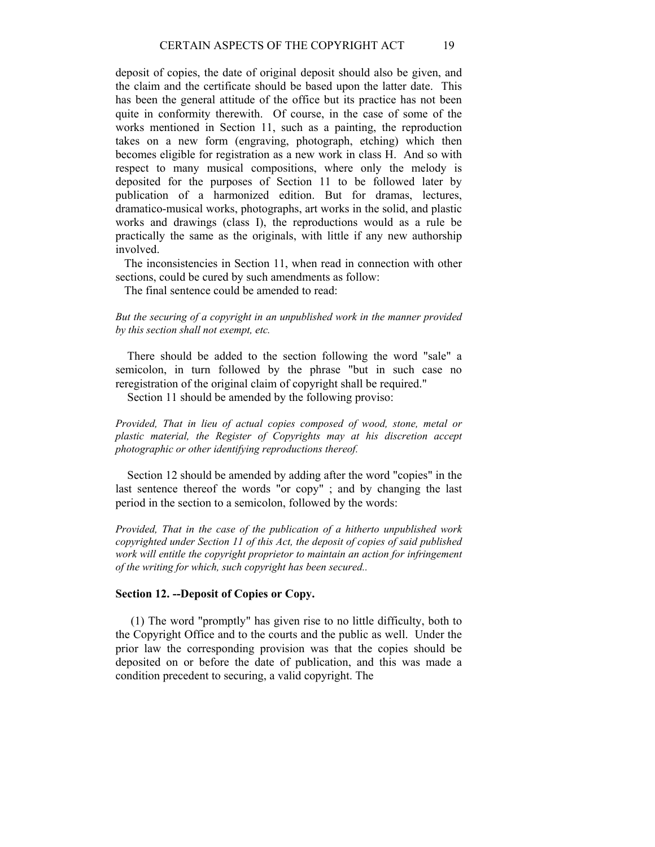deposit of copies, the date of original deposit should also be given, and the claim and the certificate should be based upon the latter date. This has been the general attitude of the office but its practice has not been quite in conformity therewith. Of course, in the case of some of the works mentioned in Section 11, such as a painting, the reproduction takes on a new form (engraving, photograph, etching) which then becomes eligible for registration as a new work in class H. And so with respect to many musical compositions, where only the melody is deposited for the purposes of Section 11 to be followed later by publication of a harmonized edition. But for dramas, lectures, dramatico-musical works, photographs, art works in the solid, and plastic works and drawings (class I), the reproductions would as a rule be practically the same as the originals, with little if any new authorship involved.

 The inconsistencies in Section 11, when read in connection with other sections, could be cured by such amendments as follow:

The final sentence could be amended to read:

*But the securing of a copyright in an unpublished work in the manner provided by this section shall not exempt, etc.* 

 There should be added to the section following the word "sale" a semicolon, in turn followed by the phrase "but in such case no reregistration of the original claim of copyright shall be required."

Section 11 should be amended by the following proviso:

*Provided, That in lieu of actual copies composed of wood, stone, metal or plastic material, the Register of Copyrights may at his discretion accept photographic or other identifying reproductions thereof.* 

 Section 12 should be amended by adding after the word "copies" in the last sentence thereof the words "or copy" ; and by changing the last period in the section to a semicolon, followed by the words:

*Provided, That in the case of the publication of a hitherto unpublished work copyrighted under Section 11 of this Act, the deposit of copies of said published*  work will entitle the copyright proprietor to maintain an action for infringement *of the writing for which, such copyright has been secured..* 

## **Section 12. --Deposit of Copies or Copy.**

 (1) The word "promptly" has given rise to no little difficulty, both to the Copyright Office and to the courts and the public as well. Under the prior law the corresponding provision was that the copies should be deposited on or before the date of publication, and this was made a condition precedent to securing, a valid copyright. The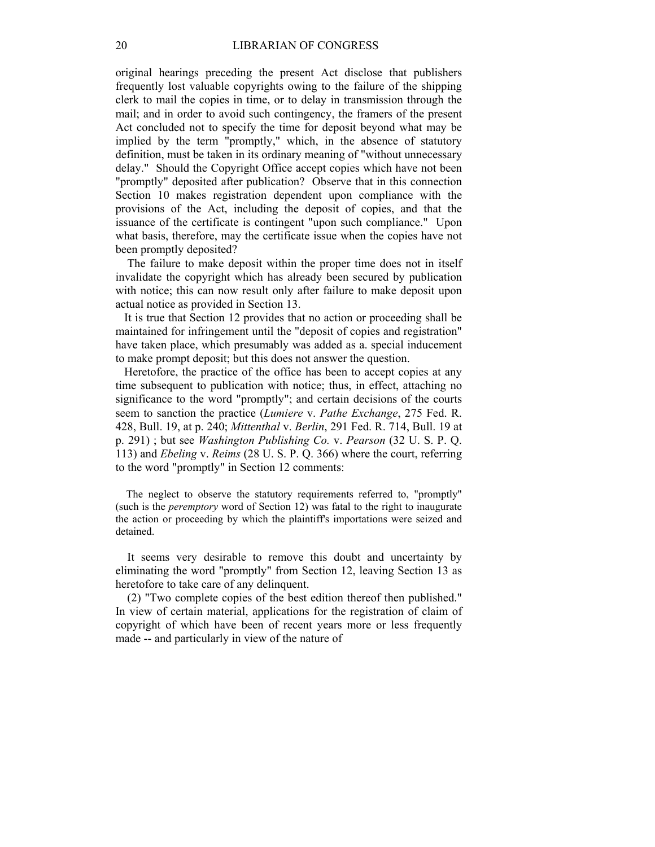original hearings preceding the present Act disclose that publishers frequently lost valuable copyrights owing to the failure of the shipping clerk to mail the copies in time, or to delay in transmission through the mail; and in order to avoid such contingency, the framers of the present Act concluded not to specify the time for deposit beyond what may be implied by the term "promptly," which, in the absence of statutory definition, must be taken in its ordinary meaning of "without unnecessary delay." Should the Copyright Office accept copies which have not been "promptly" deposited after publication? Observe that in this connection Section 10 makes registration dependent upon compliance with the provisions of the Act, including the deposit of copies, and that the issuance of the certificate is contingent "upon such compliance." Upon what basis, therefore, may the certificate issue when the copies have not been promptly deposited?

 The failure to make deposit within the proper time does not in itself invalidate the copyright which has already been secured by publication with notice; this can now result only after failure to make deposit upon actual notice as provided in Section 13.

 It is true that Section 12 provides that no action or proceeding shall be maintained for infringement until the "deposit of copies and registration" have taken place, which presumably was added as a. special inducement to make prompt deposit; but this does not answer the question.

 Heretofore, the practice of the office has been to accept copies at any time subsequent to publication with notice; thus, in effect, attaching no significance to the word "promptly"; and certain decisions of the courts seem to sanction the practice (*Lumiere* v. *Pathe Exchange*, 275 Fed. R. 428, Bull. 19, at p. 240; *Mittenthal* v. *Berlin*, 291 Fed. R. 714, Bull. 19 at p. 291) ; but see *Washington Publishing Co.* v. *Pearson* (32 U. S. P. Q. 113) and *Ebeling* v. *Reims* (28 U. S. P. Q. 366) where the court, referring to the word "promptly" in Section 12 comments:

 The neglect to observe the statutory requirements referred to, "promptly" (such is the *peremptory* word of Section 12) was fatal to the right to inaugurate the action or proceeding by which the plaintiff's importations were seized and detained.

 It seems very desirable to remove this doubt and uncertainty by eliminating the word "promptly" from Section 12, leaving Section 13 as heretofore to take care of any delinquent.

 (2) "Two complete copies of the best edition thereof then published." In view of certain material, applications for the registration of claim of copyright of which have been of recent years more or less frequently made -- and particularly in view of the nature of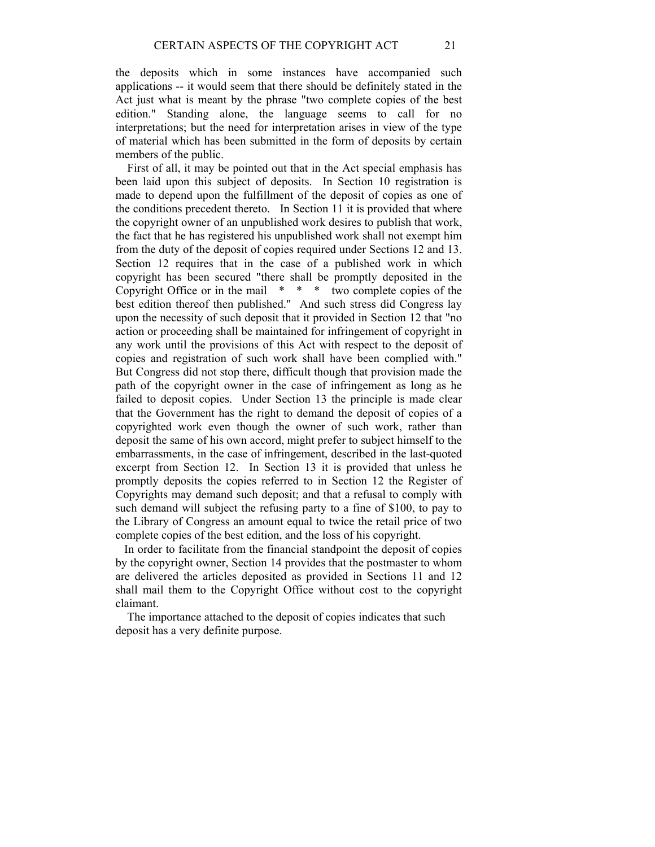the deposits which in some instances have accompanied such applications -- it would seem that there should be definitely stated in the Act just what is meant by the phrase "two complete copies of the best edition." Standing alone, the language seems to call for no interpretations; but the need for interpretation arises in view of the type of material which has been submitted in the form of deposits by certain members of the public.

 First of all, it may be pointed out that in the Act special emphasis has been laid upon this subject of deposits. In Section 10 registration is made to depend upon the fulfillment of the deposit of copies as one of the conditions precedent thereto. In Section 11 it is provided that where the copyright owner of an unpublished work desires to publish that work, the fact that he has registered his unpublished work shall not exempt him from the duty of the deposit of copies required under Sections 12 and 13. Section 12 requires that in the case of a published work in which copyright has been secured "there shall be promptly deposited in the Copyright Office or in the mail  $* * *$  two complete copies of the best edition thereof then published." And such stress did Congress lay upon the necessity of such deposit that it provided in Section 12 that "no action or proceeding shall be maintained for infringement of copyright in any work until the provisions of this Act with respect to the deposit of copies and registration of such work shall have been complied with." But Congress did not stop there, difficult though that provision made the path of the copyright owner in the case of infringement as long as he failed to deposit copies. Under Section 13 the principle is made clear that the Government has the right to demand the deposit of copies of a copyrighted work even though the owner of such work, rather than deposit the same of his own accord, might prefer to subject himself to the embarrassments, in the case of infringement, described in the last-quoted excerpt from Section 12. In Section 13 it is provided that unless he promptly deposits the copies referred to in Section 12 the Register of Copyrights may demand such deposit; and that a refusal to comply with such demand will subject the refusing party to a fine of \$100, to pay to the Library of Congress an amount equal to twice the retail price of two complete copies of the best edition, and the loss of his copyright.

 In order to facilitate from the financial standpoint the deposit of copies by the copyright owner, Section 14 provides that the postmaster to whom are delivered the articles deposited as provided in Sections 11 and 12 shall mail them to the Copyright Office without cost to the copyright claimant.

 The importance attached to the deposit of copies indicates that such deposit has a very definite purpose.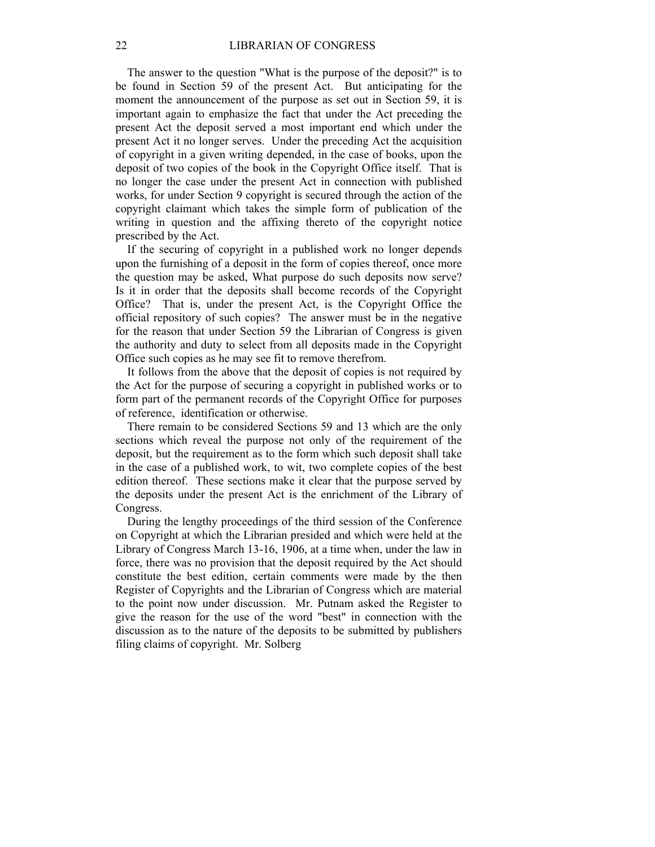The answer to the question "What is the purpose of the deposit?" is to be found in Section 59 of the present Act. But anticipating for the moment the announcement of the purpose as set out in Section 59, it is important again to emphasize the fact that under the Act preceding the present Act the deposit served a most important end which under the present Act it no longer serves. Under the preceding Act the acquisition of copyright in a given writing depended, in the case of books, upon the deposit of two copies of the book in the Copyright Office itself. That is no longer the case under the present Act in connection with published works, for under Section 9 copyright is secured through the action of the copyright claimant which takes the simple form of publication of the writing in question and the affixing thereto of the copyright notice prescribed by the Act.

 If the securing of copyright in a published work no longer depends upon the furnishing of a deposit in the form of copies thereof, once more the question may be asked, What purpose do such deposits now serve? Is it in order that the deposits shall become records of the Copyright Office? That is, under the present Act, is the Copyright Office the official repository of such copies? The answer must be in the negative for the reason that under Section 59 the Librarian of Congress is given the authority and duty to select from all deposits made in the Copyright Office such copies as he may see fit to remove therefrom.

 It follows from the above that the deposit of copies is not required by the Act for the purpose of securing a copyright in published works or to form part of the permanent records of the Copyright Office for purposes of reference, identification or otherwise.

 There remain to be considered Sections 59 and 13 which are the only sections which reveal the purpose not only of the requirement of the deposit, but the requirement as to the form which such deposit shall take in the case of a published work, to wit, two complete copies of the best edition thereof. These sections make it clear that the purpose served by the deposits under the present Act is the enrichment of the Library of Congress.

 During the lengthy proceedings of the third session of the Conference on Copyright at which the Librarian presided and which were held at the Library of Congress March 13-16, 1906, at a time when, under the law in force, there was no provision that the deposit required by the Act should constitute the best edition, certain comments were made by the then Register of Copyrights and the Librarian of Congress which are material to the point now under discussion. Mr. Putnam asked the Register to give the reason for the use of the word "best" in connection with the discussion as to the nature of the deposits to be submitted by publishers filing claims of copyright. Mr. Solberg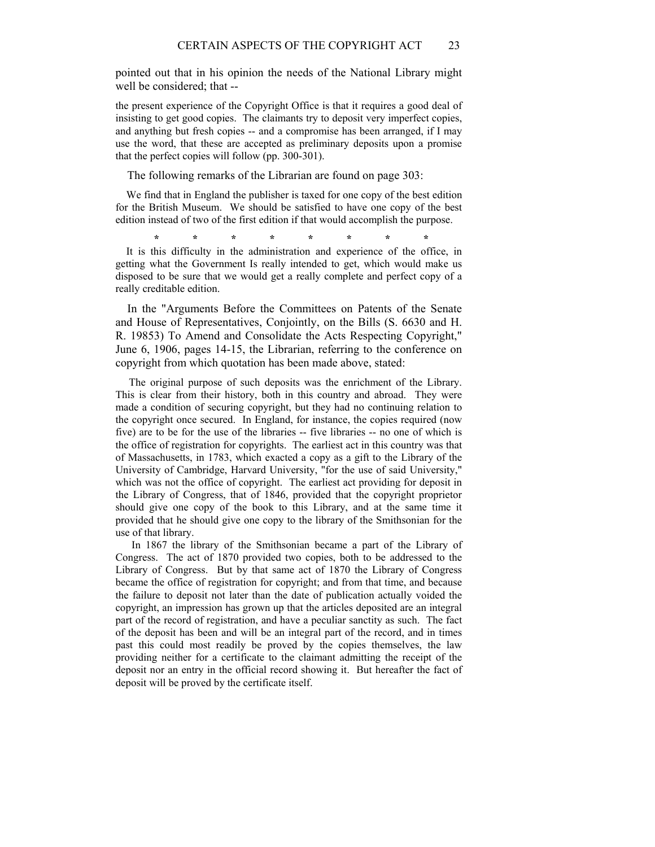pointed out that in his opinion the needs of the National Library might well be considered; that --

the present experience of the Copyright Office is that it requires a good deal of insisting to get good copies. The claimants try to deposit very imperfect copies, and anything but fresh copies -- and a compromise has been arranged, if I may use the word, that these are accepted as preliminary deposits upon a promise that the perfect copies will follow (pp. 300-301).

The following remarks of the Librarian are found on page 303:

 We find that in England the publisher is taxed for one copy of the best edition for the British Museum. We should be satisfied to have one copy of the best edition instead of two of the first edition if that would accomplish the purpose.

**\* \* \* \* \* \* \* \*** 

 It is this difficulty in the administration and experience of the office, in getting what the Government Is really intended to get, which would make us disposed to be sure that we would get a really complete and perfect copy of a really creditable edition.

 In the "Arguments Before the Committees on Patents of the Senate and House of Representatives, Conjointly, on the Bills (S. 6630 and H. R. 19853) To Amend and Consolidate the Acts Respecting Copyright," June 6, 1906, pages 14-15, the Librarian, referring to the conference on copyright from which quotation has been made above, stated:

 The original purpose of such deposits was the enrichment of the Library. This is clear from their history, both in this country and abroad. They were made a condition of securing copyright, but they had no continuing relation to the copyright once secured. In England, for instance, the copies required (now five) are to be for the use of the libraries -- five libraries -- no one of which is the office of registration for copyrights. The earliest act in this country was that of Massachusetts, in 1783, which exacted a copy as a gift to the Library of the University of Cambridge, Harvard University, "for the use of said University," which was not the office of copyright. The earliest act providing for deposit in the Library of Congress, that of 1846, provided that the copyright proprietor should give one copy of the book to this Library, and at the same time it provided that he should give one copy to the library of the Smithsonian for the use of that library.

 In 1867 the library of the Smithsonian became a part of the Library of Congress. The act of 1870 provided two copies, both to be addressed to the Library of Congress. But by that same act of 1870 the Library of Congress became the office of registration for copyright; and from that time, and because the failure to deposit not later than the date of publication actually voided the copyright, an impression has grown up that the articles deposited are an integral part of the record of registration, and have a peculiar sanctity as such. The fact of the deposit has been and will be an integral part of the record, and in times past this could most readily be proved by the copies themselves, the law providing neither for a certificate to the claimant admitting the receipt of the deposit nor an entry in the official record showing it. But hereafter the fact of deposit will be proved by the certificate itself.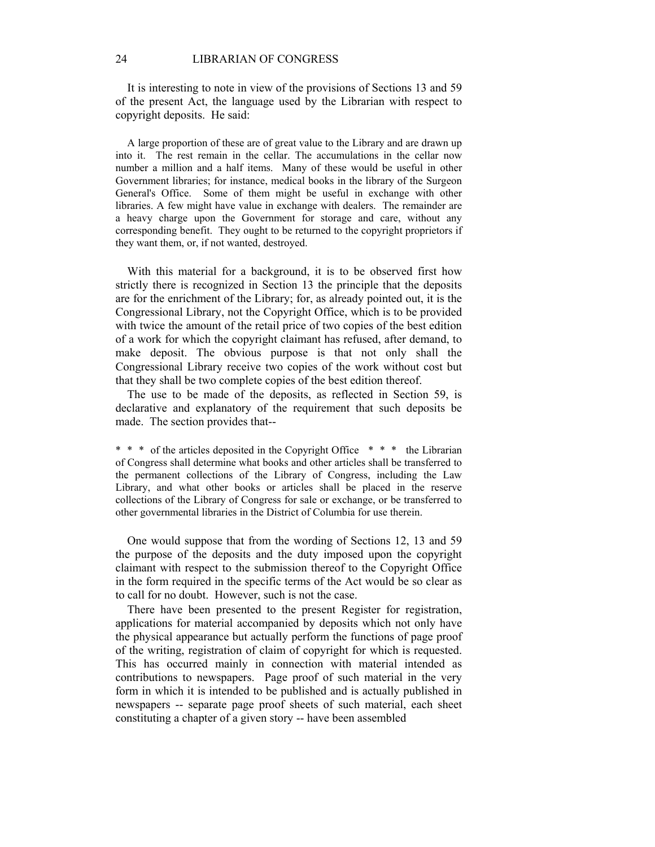It is interesting to note in view of the provisions of Sections 13 and 59 of the present Act, the language used by the Librarian with respect to copyright deposits. He said:

 A large proportion of these are of great value to the Library and are drawn up into it. The rest remain in the cellar. The accumulations in the cellar now number a million and a half items. Many of these would be useful in other Government libraries; for instance, medical books in the library of the Surgeon General's Office. Some of them might be useful in exchange with other libraries. A few might have value in exchange with dealers. The remainder are a heavy charge upon the Government for storage and care, without any corresponding benefit. They ought to be returned to the copyright proprietors if they want them, or, if not wanted, destroyed.

 With this material for a background, it is to be observed first how strictly there is recognized in Section 13 the principle that the deposits are for the enrichment of the Library; for, as already pointed out, it is the Congressional Library, not the Copyright Office, which is to be provided with twice the amount of the retail price of two copies of the best edition of a work for which the copyright claimant has refused, after demand, to make deposit. The obvious purpose is that not only shall the Congressional Library receive two copies of the work without cost but that they shall be two complete copies of the best edition thereof.

 The use to be made of the deposits, as reflected in Section 59, is declarative and explanatory of the requirement that such deposits be made. The section provides that--

\* \* \* of the articles deposited in the Copyright Office \* \* \* the Librarian of Congress shall determine what books and other articles shall be transferred to the permanent collections of the Library of Congress, including the Law Library, and what other books or articles shall be placed in the reserve collections of the Library of Congress for sale or exchange, or be transferred to other governmental libraries in the District of Columbia for use therein.

 One would suppose that from the wording of Sections 12, 13 and 59 the purpose of the deposits and the duty imposed upon the copyright claimant with respect to the submission thereof to the Copyright Office in the form required in the specific terms of the Act would be so clear as to call for no doubt. However, such is not the case.

 There have been presented to the present Register for registration, applications for material accompanied by deposits which not only have the physical appearance but actually perform the functions of page proof of the writing, registration of claim of copyright for which is requested. This has occurred mainly in connection with material intended as contributions to newspapers. Page proof of such material in the very form in which it is intended to be published and is actually published in newspapers -- separate page proof sheets of such material, each sheet constituting a chapter of a given story -- have been assembled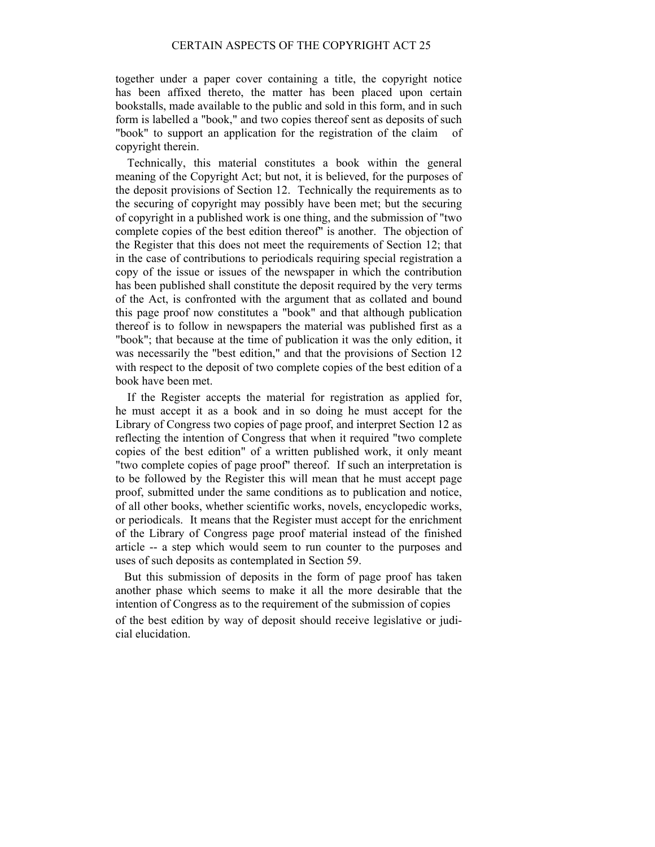together under a paper cover containing a title, the copyright notice has been affixed thereto, the matter has been placed upon certain bookstalls, made available to the public and sold in this form, and in such form is labelled a "book," and two copies thereof sent as deposits of such "book" to support an application for the registration of the claim of copyright therein.

 Technically, this material constitutes a book within the general meaning of the Copyright Act; but not, it is believed, for the purposes of the deposit provisions of Section 12. Technically the requirements as to the securing of copyright may possibly have been met; but the securing of copyright in a published work is one thing, and the submission of "two complete copies of the best edition thereof" is another. The objection of the Register that this does not meet the requirements of Section 12; that in the case of contributions to periodicals requiring special registration a copy of the issue or issues of the newspaper in which the contribution has been published shall constitute the deposit required by the very terms of the Act, is confronted with the argument that as collated and bound this page proof now constitutes a "book" and that although publication thereof is to follow in newspapers the material was published first as a "book"; that because at the time of publication it was the only edition, it was necessarily the "best edition," and that the provisions of Section 12 with respect to the deposit of two complete copies of the best edition of a book have been met.

 If the Register accepts the material for registration as applied for, he must accept it as a book and in so doing he must accept for the Library of Congress two copies of page proof, and interpret Section 12 as reflecting the intention of Congress that when it required "two complete copies of the best edition" of a written published work, it only meant "two complete copies of page proof" thereof. If such an interpretation is to be followed by the Register this will mean that he must accept page proof, submitted under the same conditions as to publication and notice, of all other books, whether scientific works, novels, encyclopedic works, or periodicals. It means that the Register must accept for the enrichment of the Library of Congress page proof material instead of the finished article -- a step which would seem to run counter to the purposes and uses of such deposits as contemplated in Section 59.

 But this submission of deposits in the form of page proof has taken another phase which seems to make it all the more desirable that the intention of Congress as to the requirement of the submission of copies

of the best edition by way of deposit should receive legislative or judicial elucidation.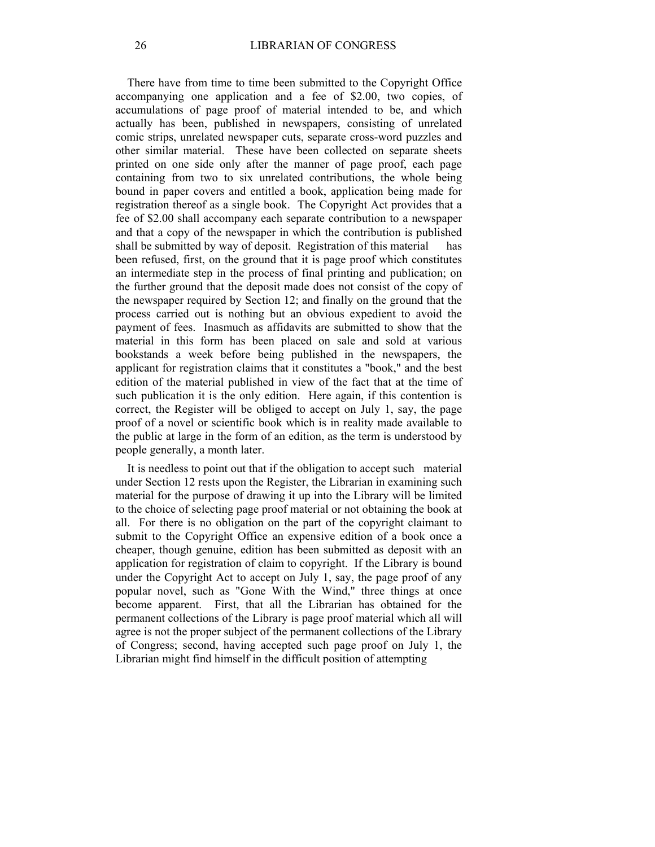There have from time to time been submitted to the Copyright Office accompanying one application and a fee of \$2.00, two copies, of accumulations of page proof of material intended to be, and which actually has been, published in newspapers, consisting of unrelated comic strips, unrelated newspaper cuts, separate cross-word puzzles and other similar material. These have been collected on separate sheets printed on one side only after the manner of page proof, each page containing from two to six unrelated contributions, the whole being bound in paper covers and entitled a book, application being made for registration thereof as a single book. The Copyright Act provides that a fee of \$2.00 shall accompany each separate contribution to a newspaper and that a copy of the newspaper in which the contribution is published shall be submitted by way of deposit. Registration of this material been refused, first, on the ground that it is page proof which constitutes an intermediate step in the process of final printing and publication; on the further ground that the deposit made does not consist of the copy of the newspaper required by Section 12; and finally on the ground that the process carried out is nothing but an obvious expedient to avoid the payment of fees. Inasmuch as affidavits are submitted to show that the material in this form has been placed on sale and sold at various bookstands a week before being published in the newspapers, the applicant for registration claims that it constitutes a "book," and the best edition of the material published in view of the fact that at the time of such publication it is the only edition. Here again, if this contention is correct, the Register will be obliged to accept on July 1, say, the page proof of a novel or scientific book which is in reality made available to the public at large in the form of an edition, as the term is understood by people generally, a month later.

 It is needless to point out that if the obligation to accept such material under Section 12 rests upon the Register, the Librarian in examining such material for the purpose of drawing it up into the Library will be limited to the choice of selecting page proof material or not obtaining the book at all. For there is no obligation on the part of the copyright claimant to submit to the Copyright Office an expensive edition of a book once a cheaper, though genuine, edition has been submitted as deposit with an application for registration of claim to copyright. If the Library is bound under the Copyright Act to accept on July 1, say, the page proof of any popular novel, such as "Gone With the Wind," three things at once become apparent. First, that all the Librarian has obtained for the permanent collections of the Library is page proof material which all will agree is not the proper subject of the permanent collections of the Library of Congress; second, having accepted such page proof on July 1, the Librarian might find himself in the difficult position of attempting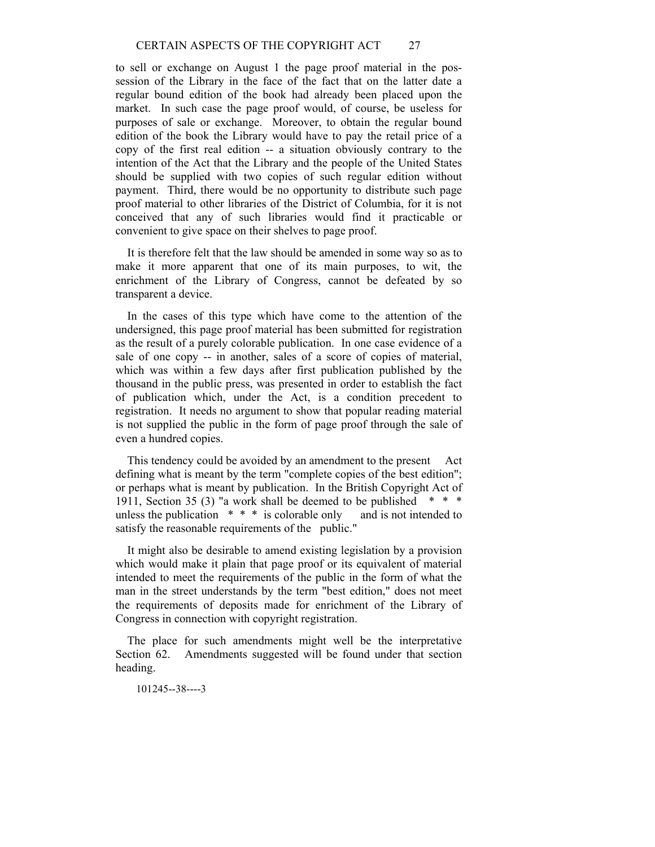to sell or exchange on August 1 the page proof material in the possession of the Library in the face of the fact that on the latter date a regular bound edition of the book had already been placed upon the market. In such case the page proof would, of course, be useless for purposes of sale or exchange. Moreover, to obtain the regular bound edition of the book the Library would have to pay the retail price of a copy of the first real edition -- a situation obviously contrary to the intention of the Act that the Library and the people of the United States should be supplied with two copies of such regular edition without payment. Third, there would be no opportunity to distribute such page proof material to other libraries of the District of Columbia, for it is not conceived that any of such libraries would find it practicable or convenient to give space on their shelves to page proof.

 It is therefore felt that the law should be amended in some way so as to make it more apparent that one of its main purposes, to wit, the enrichment of the Library of Congress, cannot be defeated by so transparent a device.

 In the cases of this type which have come to the attention of the undersigned, this page proof material has been submitted for registration as the result of a purely colorable publication. In one case evidence of a sale of one copy -- in another, sales of a score of copies of material, which was within a few days after first publication published by the thousand in the public press, was presented in order to establish the fact of publication which, under the Act, is a condition precedent to registration. It needs no argument to show that popular reading material is not supplied the public in the form of page proof through the sale of even a hundred copies.

This tendency could be avoided by an amendment to the present Act defining what is meant by the term "complete copies of the best edition"; or perhaps what is meant by publication. In the British Copyright Act of 1911, Section 35 (3) "a work shall be deemed to be published  $* * *$ unless the publication  $* * *$  is colorable only and is not intended to satisfy the reasonable requirements of the public."

 It might also be desirable to amend existing legislation by a provision which would make it plain that page proof or its equivalent of material intended to meet the requirements of the public in the form of what the man in the street understands by the term "best edition," does not meet the requirements of deposits made for enrichment of the Library of Congress in connection with copyright registration.

 The place for such amendments might well be the interpretative Section 62. Amendments suggested will be found under that section heading.

101245--38----3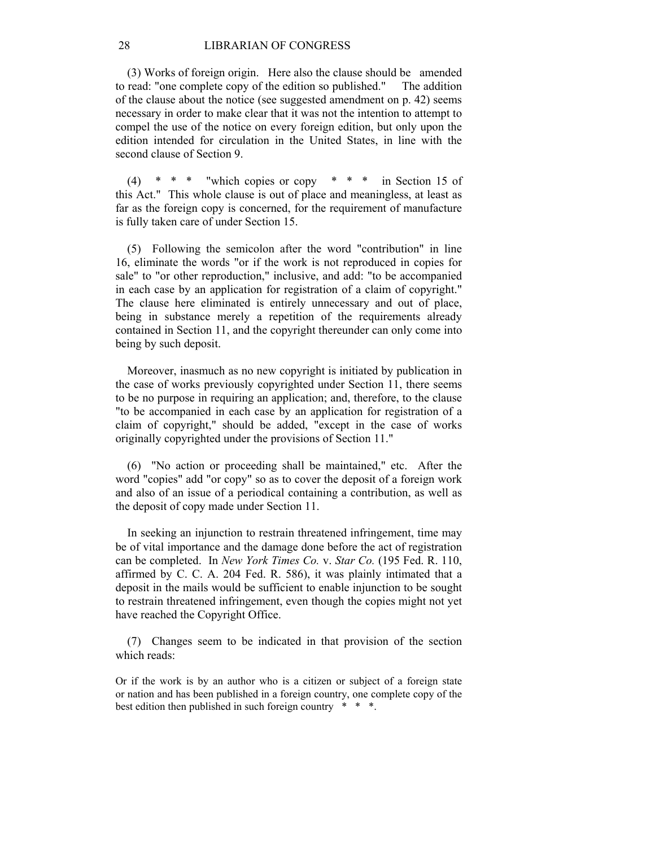(3) Works of foreign origin. Here also the clause should be amended to read: "one complete copy of the edition so published." The addition of the clause about the notice (see suggested amendment on p. 42) seems necessary in order to make clear that it was not the intention to attempt to compel the use of the notice on every foreign edition, but only upon the edition intended for circulation in the United States, in line with the second clause of Section 9.

 $(4)$  \* \* \* "which copies or copy \* \* \* in Section 15 of this Act." This whole clause is out of place and meaningless, at least as far as the foreign copy is concerned, for the requirement of manufacture is fully taken care of under Section 15.

 (5) Following the semicolon after the word "contribution" in line 16, eliminate the words "or if the work is not reproduced in copies for sale" to "or other reproduction," inclusive, and add: "to be accompanied in each case by an application for registration of a claim of copyright." The clause here eliminated is entirely unnecessary and out of place, being in substance merely a repetition of the requirements already contained in Section 11, and the copyright thereunder can only come into being by such deposit.

 Moreover, inasmuch as no new copyright is initiated by publication in the case of works previously copyrighted under Section 11, there seems to be no purpose in requiring an application; and, therefore, to the clause "to be accompanied in each case by an application for registration of a claim of copyright," should be added, "except in the case of works originally copyrighted under the provisions of Section 11."

 (6) "No action or proceeding shall be maintained," etc. After the word "copies" add "or copy" so as to cover the deposit of a foreign work and also of an issue of a periodical containing a contribution, as well as the deposit of copy made under Section 11.

 In seeking an injunction to restrain threatened infringement, time may be of vital importance and the damage done before the act of registration can be completed. In *New York Times Co.* v. *Star Co.* (195 Fed. R. 110, affirmed by C. C. A. 204 Fed. R. 586), it was plainly intimated that a deposit in the mails would be sufficient to enable injunction to be sought to restrain threatened infringement, even though the copies might not yet have reached the Copyright Office.

 (7) Changes seem to be indicated in that provision of the section which reads:

Or if the work is by an author who is a citizen or subject of a foreign state or nation and has been published in a foreign country, one complete copy of the best edition then published in such foreign country \* \* \*.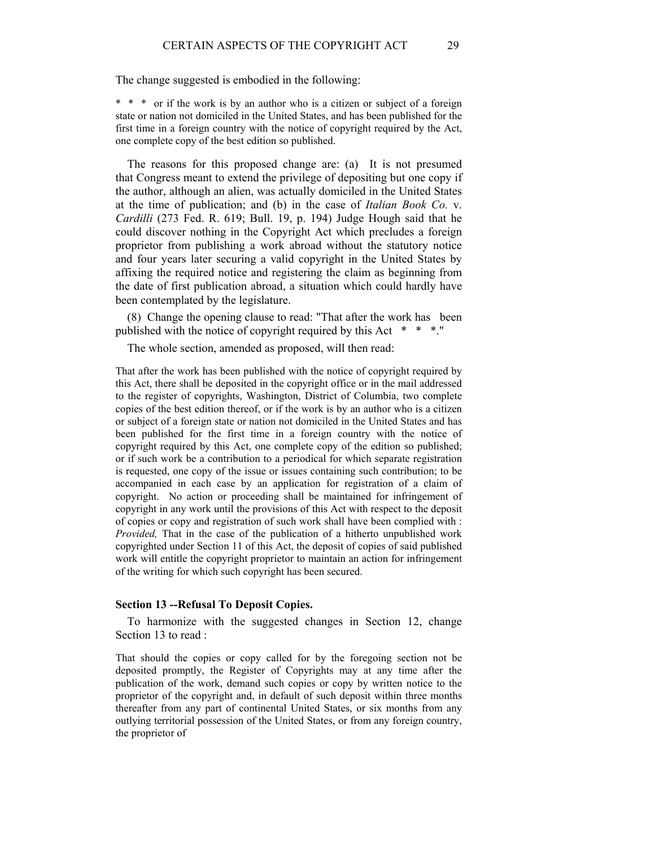The change suggested is embodied in the following:

\* \* \* or if the work is by an author who is a citizen or subject of a foreign state or nation not domiciled in the United States, and has been published for the first time in a foreign country with the notice of copyright required by the Act, one complete copy of the best edition so published.

 The reasons for this proposed change are: (a) It is not presumed that Congress meant to extend the privilege of depositing but one copy if the author, although an alien, was actually domiciled in the United States at the time of publication; and (b) in the case of *Italian Book Co.* v. *Cardilli* (273 Fed. R. 619; Bull. 19, p. 194) Judge Hough said that he could discover nothing in the Copyright Act which precludes a foreign proprietor from publishing a work abroad without the statutory notice and four years later securing a valid copyright in the United States by affixing the required notice and registering the claim as beginning from the date of first publication abroad, a situation which could hardly have been contemplated by the legislature.

 (8) Change the opening clause to read: "That after the work has been published with the notice of copyright required by this Act \* \* \*."

The whole section, amended as proposed, will then read:

That after the work has been published with the notice of copyright required by this Act, there shall be deposited in the copyright office or in the mail addressed to the register of copyrights, Washington, District of Columbia, two complete copies of the best edition thereof, or if the work is by an author who is a citizen or subject of a foreign state or nation not domiciled in the United States and has been published for the first time in a foreign country with the notice of copyright required by this Act, one complete copy of the edition so published; or if such work be a contribution to a periodical for which separate registration is requested, one copy of the issue or issues containing such contribution; to be accompanied in each case by an application for registration of a claim of copyright. No action or proceeding shall be maintained for infringement of copyright in any work until the provisions of this Act with respect to the deposit of copies or copy and registration of such work shall have been complied with : *Provided,* That in the case of the publication of a hitherto unpublished work copyrighted under Section 11 of this Act, the deposit of copies of said published work will entitle the copyright proprietor to maintain an action for infringement of the writing for which such copyright has been secured.

#### **Section 13 --Refusal To Deposit Copies.**

 To harmonize with the suggested changes in Section 12, change Section 13 to read :

That should the copies or copy called for by the foregoing section not be deposited promptly, the Register of Copyrights may at any time after the publication of the work, demand such copies or copy by written notice to the proprietor of the copyright and, in default of such deposit within three months thereafter from any part of continental United States, or six months from any outlying territorial possession of the United States, or from any foreign country, the proprietor of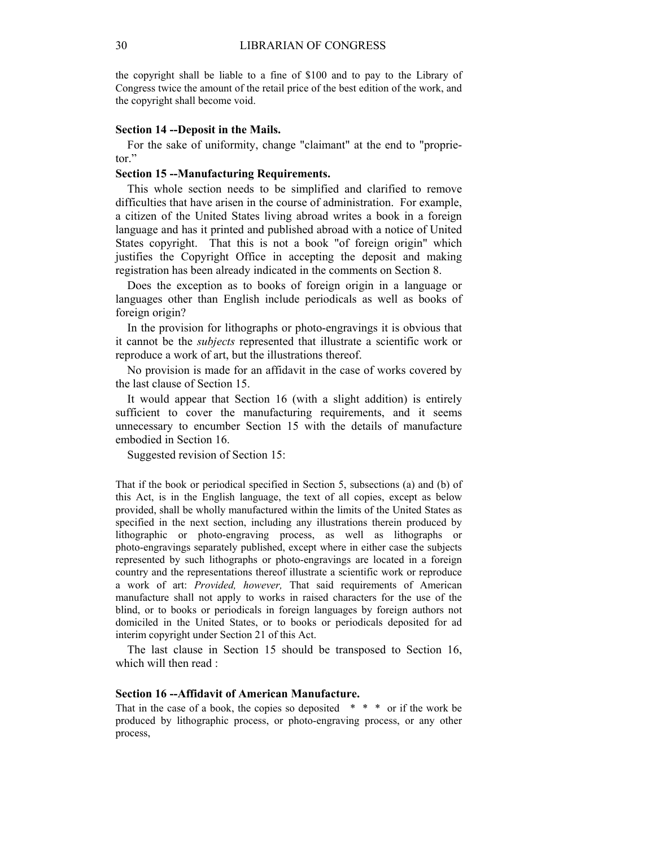the copyright shall be liable to a fine of \$100 and to pay to the Library of Congress twice the amount of the retail price of the best edition of the work, and the copyright shall become void.

## **Section 14 --Deposit in the Mails.**

 For the sake of uniformity, change "claimant" at the end to "proprietor."

## **Section 15 --Manufacturing Requirements.**

 This whole section needs to be simplified and clarified to remove difficulties that have arisen in the course of administration. For example, a citizen of the United States living abroad writes a book in a foreign language and has it printed and published abroad with a notice of United States copyright. That this is not a book "of foreign origin" which justifies the Copyright Office in accepting the deposit and making registration has been already indicated in the comments on Section 8.

 Does the exception as to books of foreign origin in a language or languages other than English include periodicals as well as books of foreign origin?

 In the provision for lithographs or photo-engravings it is obvious that it cannot be the *subjects* represented that illustrate a scientific work or reproduce a work of art, but the illustrations thereof.

 No provision is made for an affidavit in the case of works covered by the last clause of Section 15.

 It would appear that Section 16 (with a slight addition) is entirely sufficient to cover the manufacturing requirements, and it seems unnecessary to encumber Section 15 with the details of manufacture embodied in Section 16.

Suggested revision of Section 15:

That if the book or periodical specified in Section 5, subsections (a) and (b) of this Act, is in the English language, the text of all copies, except as below provided, shall be wholly manufactured within the limits of the United States as specified in the next section, including any illustrations therein produced by lithographic or photo-engraving process, as well as lithographs or photo-engravings separately published, except where in either case the subjects represented by such lithographs or photo-engravings are located in a foreign country and the representations thereof illustrate a scientific work or reproduce a work of art: *Provided, however,* That said requirements of American manufacture shall not apply to works in raised characters for the use of the blind, or to books or periodicals in foreign languages by foreign authors not domiciled in the United States, or to books or periodicals deposited for ad interim copyright under Section 21 of this Act.

 The last clause in Section 15 should be transposed to Section 16, which will then read :

#### **Section 16 --Affidavit of American Manufacture.**

That in the case of a book, the copies so deposited  $* * *$  or if the work be produced by lithographic process, or photo-engraving process, or any other process,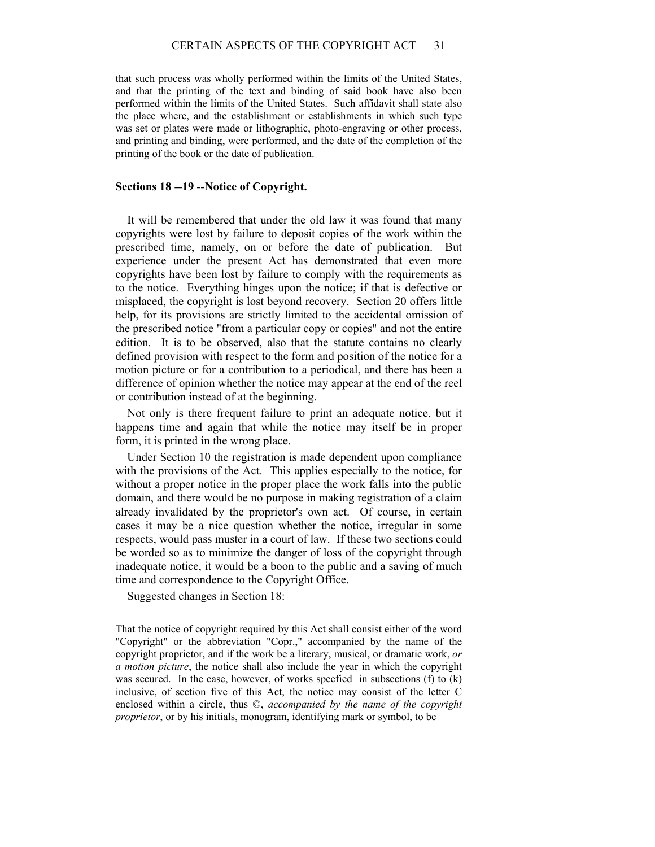that such process was wholly performed within the limits of the United States, and that the printing of the text and binding of said book have also been performed within the limits of the United States. Such affidavit shall state also the place where, and the establishment or establishments in which such type was set or plates were made or lithographic, photo-engraving or other process, and printing and binding, were performed, and the date of the completion of the printing of the book or the date of publication.

#### **Sections 18 --19 --Notice of Copyright.**

 It will be remembered that under the old law it was found that many copyrights were lost by failure to deposit copies of the work within the prescribed time, namely, on or before the date of publication. But experience under the present Act has demonstrated that even more copyrights have been lost by failure to comply with the requirements as to the notice. Everything hinges upon the notice; if that is defective or misplaced, the copyright is lost beyond recovery. Section 20 offers little help, for its provisions are strictly limited to the accidental omission of the prescribed notice "from a particular copy or copies" and not the entire edition. It is to be observed, also that the statute contains no clearly defined provision with respect to the form and position of the notice for a motion picture or for a contribution to a periodical, and there has been a difference of opinion whether the notice may appear at the end of the reel or contribution instead of at the beginning.

 Not only is there frequent failure to print an adequate notice, but it happens time and again that while the notice may itself be in proper form, it is printed in the wrong place.

 Under Section 10 the registration is made dependent upon compliance with the provisions of the Act. This applies especially to the notice, for without a proper notice in the proper place the work falls into the public domain, and there would be no purpose in making registration of a claim already invalidated by the proprietor's own act. Of course, in certain cases it may be a nice question whether the notice, irregular in some respects, would pass muster in a court of law. If these two sections could be worded so as to minimize the danger of loss of the copyright through inadequate notice, it would be a boon to the public and a saving of much time and correspondence to the Copyright Office.

Suggested changes in Section 18:

That the notice of copyright required by this Act shall consist either of the word "Copyright" or the abbreviation "Copr.," accompanied by the name of the copyright proprietor, and if the work be a literary, musical, or dramatic work, *or a motion picture*, the notice shall also include the year in which the copyright was secured. In the case, however, of works specfied in subsections (f) to (k) inclusive, of section five of this Act, the notice may consist of the letter C enclosed within a circle, thus ©, *accompanied by the name of the copyright proprietor*, or by his initials, monogram, identifying mark or symbol, to be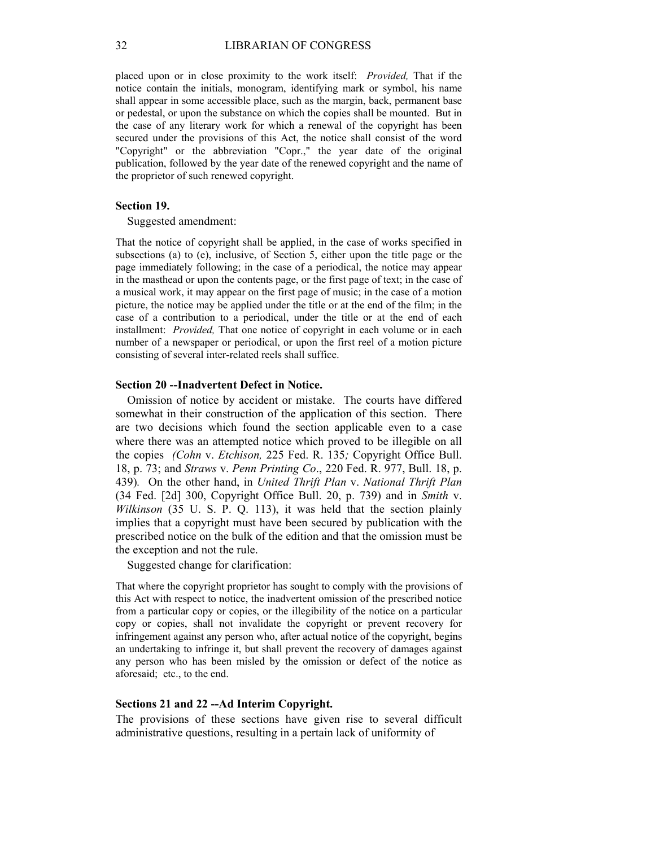placed upon or in close proximity to the work itself: *Provided,* That if the notice contain the initials, monogram, identifying mark or symbol, his name shall appear in some accessible place, such as the margin, back, permanent base or pedestal, or upon the substance on which the copies shall be mounted. But in the case of any literary work for which a renewal of the copyright has been secured under the provisions of this Act, the notice shall consist of the word "Copyright" or the abbreviation "Copr.," the year date of the original publication, followed by the year date of the renewed copyright and the name of the proprietor of such renewed copyright.

#### **Section 19.**

Suggested amendment:

That the notice of copyright shall be applied, in the case of works specified in subsections (a) to (e), inclusive, of Section 5, either upon the title page or the page immediately following; in the case of a periodical, the notice may appear in the masthead or upon the contents page, or the first page of text; in the case of a musical work, it may appear on the first page of music; in the case of a motion picture, the notice may be applied under the title or at the end of the film; in the case of a contribution to a periodical, under the title or at the end of each installment: *Provided,* That one notice of copyright in each volume or in each number of a newspaper or periodical, or upon the first reel of a motion picture consisting of several inter-related reels shall suffice.

## **Section 20 --Inadvertent Defect in Notice.**

 Omission of notice by accident or mistake. The courts have differed somewhat in their construction of the application of this section. There are two decisions which found the section applicable even to a case where there was an attempted notice which proved to be illegible on all the copies *(Cohn* v. *Etchison,* 225 Fed. R. 135*;* Copyright Office Bull. 18, p. 73; and *Straws* v. *Penn Printing Co*., 220 Fed. R. 977, Bull. 18, p. 439)*.* On the other hand, in *United Thrift Plan* v. *National Thrift Plan*  (34 Fed. [2d] 300, Copyright Office Bull. 20, p. 739) and in *Smith* v. *Wilkinson* (35 U. S. P. Q. 113), it was held that the section plainly implies that a copyright must have been secured by publication with the prescribed notice on the bulk of the edition and that the omission must be the exception and not the rule.

Suggested change for clarification:

That where the copyright proprietor has sought to comply with the provisions of this Act with respect to notice, the inadvertent omission of the prescribed notice from a particular copy or copies, or the illegibility of the notice on a particular copy or copies, shall not invalidate the copyright or prevent recovery for infringement against any person who, after actual notice of the copyright, begins an undertaking to infringe it, but shall prevent the recovery of damages against any person who has been misled by the omission or defect of the notice as aforesaid; etc., to the end.

#### **Sections 21 and 22 --Ad Interim Copyright.**

The provisions of these sections have given rise to several difficult administrative questions, resulting in a pertain lack of uniformity of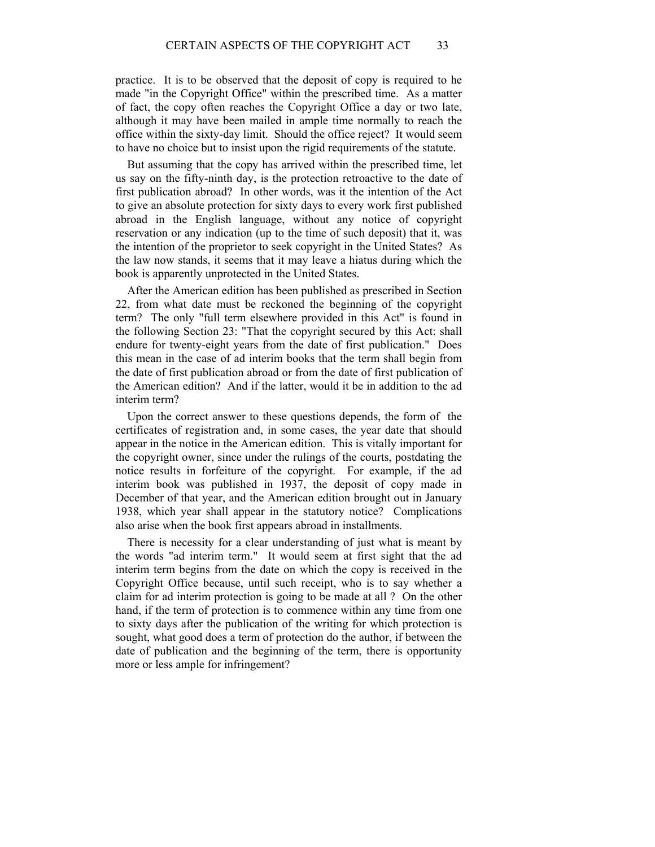practice. It is to be observed that the deposit of copy is required to he made "in the Copyright Office" within the prescribed time. As a matter of fact, the copy often reaches the Copyright Office a day or two late, although it may have been mailed in ample time normally to reach the office within the sixty-day limit. Should the office reject? It would seem to have no choice but to insist upon the rigid requirements of the statute.

 But assuming that the copy has arrived within the prescribed time, let us say on the fifty-ninth day, is the protection retroactive to the date of first publication abroad? In other words, was it the intention of the Act to give an absolute protection for sixty days to every work first published abroad in the English language, without any notice of copyright reservation or any indication (up to the time of such deposit) that it, was the intention of the proprietor to seek copyright in the United States? As the law now stands, it seems that it may leave a hiatus during which the book is apparently unprotected in the United States.

 After the American edition has been published as prescribed in Section 22, from what date must be reckoned the beginning of the copyright term? The only "full term elsewhere provided in this Act" is found in the following Section 23: "That the copyright secured by this Act: shall endure for twenty-eight years from the date of first publication." Does this mean in the case of ad interim books that the term shall begin from the date of first publication abroad or from the date of first publication of the American edition? And if the latter, would it be in addition to the ad interim term?

Upon the correct answer to these questions depends, the form of the certificates of registration and, in some cases, the year date that should appear in the notice in the American edition. This is vitally important for the copyright owner, since under the rulings of the courts, postdating the notice results in forfeiture of the copyright. For example, if the ad interim book was published in 1937, the deposit of copy made in December of that year, and the American edition brought out in January 1938, which year shall appear in the statutory notice? Complications also arise when the book first appears abroad in installments.

 There is necessity for a clear understanding of just what is meant by the words "ad interim term." It would seem at first sight that the ad interim term begins from the date on which the copy is received in the Copyright Office because, until such receipt, who is to say whether a claim for ad interim protection is going to be made at all ? On the other hand, if the term of protection is to commence within any time from one to sixty days after the publication of the writing for which protection is sought, what good does a term of protection do the author, if between the date of publication and the beginning of the term, there is opportunity more or less ample for infringement?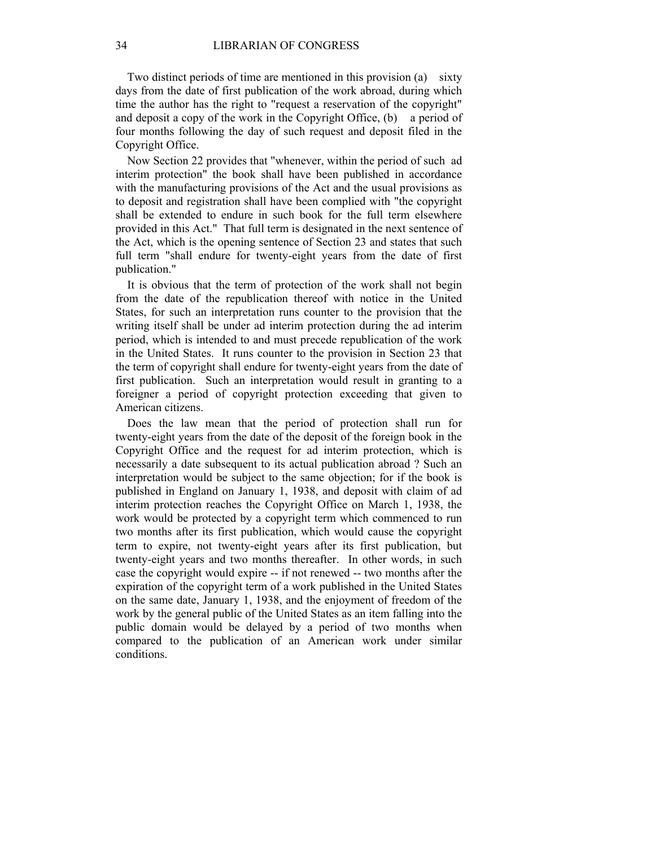Two distinct periods of time are mentioned in this provision (a) sixty days from the date of first publication of the work abroad, during which time the author has the right to "request a reservation of the copyright" and deposit a copy of the work in the Copyright Office, (b) a period of four months following the day of such request and deposit filed in the Copyright Office.

 Now Section 22 provides that "whenever, within the period of such ad interim protection" the book shall have been published in accordance with the manufacturing provisions of the Act and the usual provisions as to deposit and registration shall have been complied with "the copyright shall be extended to endure in such book for the full term elsewhere provided in this Act." That full term is designated in the next sentence of the Act, which is the opening sentence of Section 23 and states that such full term "shall endure for twenty-eight years from the date of first publication."

 It is obvious that the term of protection of the work shall not begin from the date of the republication thereof with notice in the United States, for such an interpretation runs counter to the provision that the writing itself shall be under ad interim protection during the ad interim period, which is intended to and must precede republication of the work in the United States. It runs counter to the provision in Section 23 that the term of copyright shall endure for twenty-eight years from the date of first publication. Such an interpretation would result in granting to a foreigner a period of copyright protection exceeding that given to American citizens.

 Does the law mean that the period of protection shall run for twenty-eight years from the date of the deposit of the foreign book in the Copyright Office and the request for ad interim protection, which is necessarily a date subsequent to its actual publication abroad ? Such an interpretation would be subject to the same objection; for if the book is published in England on January 1, 1938, and deposit with claim of ad interim protection reaches the Copyright Office on March 1, 1938, the work would be protected by a copyright term which commenced to run two months after its first publication, which would cause the copyright term to expire, not twenty-eight years after its first publication, but twenty-eight years and two months thereafter. In other words, in such case the copyright would expire -- if not renewed -- two months after the expiration of the copyright term of a work published in the United States on the same date, January 1, 1938, and the enjoyment of freedom of the work by the general public of the United States as an item falling into the public domain would be delayed by a period of two months when compared to the publication of an American work under similar conditions.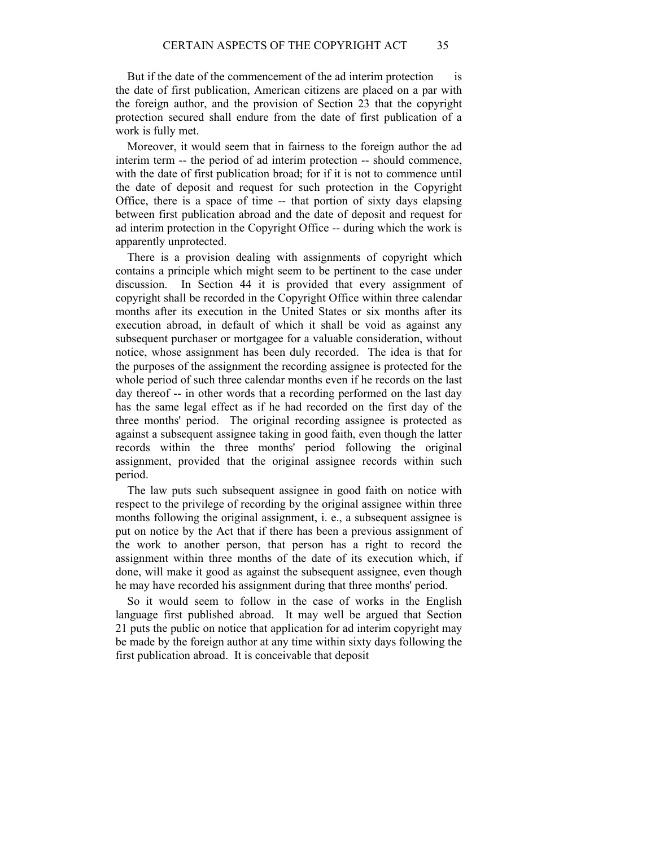But if the date of the commencement of the ad interim protection is the date of first publication, American citizens are placed on a par with the foreign author, and the provision of Section 23 that the copyright protection secured shall endure from the date of first publication of a work is fully met.

 Moreover, it would seem that in fairness to the foreign author the ad interim term -- the period of ad interim protection -- should commence, with the date of first publication broad; for if it is not to commence until the date of deposit and request for such protection in the Copyright Office, there is a space of time -- that portion of sixty days elapsing between first publication abroad and the date of deposit and request for ad interim protection in the Copyright Office -- during which the work is apparently unprotected.

 There is a provision dealing with assignments of copyright which contains a principle which might seem to be pertinent to the case under discussion. In Section 44 it is provided that every assignment of copyright shall be recorded in the Copyright Office within three calendar months after its execution in the United States or six months after its execution abroad, in default of which it shall be void as against any subsequent purchaser or mortgagee for a valuable consideration, without notice, whose assignment has been duly recorded. The idea is that for the purposes of the assignment the recording assignee is protected for the whole period of such three calendar months even if he records on the last day thereof -- in other words that a recording performed on the last day has the same legal effect as if he had recorded on the first day of the three months' period. The original recording assignee is protected as against a subsequent assignee taking in good faith, even though the latter records within the three months' period following the original assignment, provided that the original assignee records within such period.

 The law puts such subsequent assignee in good faith on notice with respect to the privilege of recording by the original assignee within three months following the original assignment, i. e., a subsequent assignee is put on notice by the Act that if there has been a previous assignment of the work to another person, that person has a right to record the assignment within three months of the date of its execution which, if done, will make it good as against the subsequent assignee, even though he may have recorded his assignment during that three months' period.

 So it would seem to follow in the case of works in the English language first published abroad. It may well be argued that Section 21 puts the public on notice that application for ad interim copyright may be made by the foreign author at any time within sixty days following the first publication abroad. It is conceivable that deposit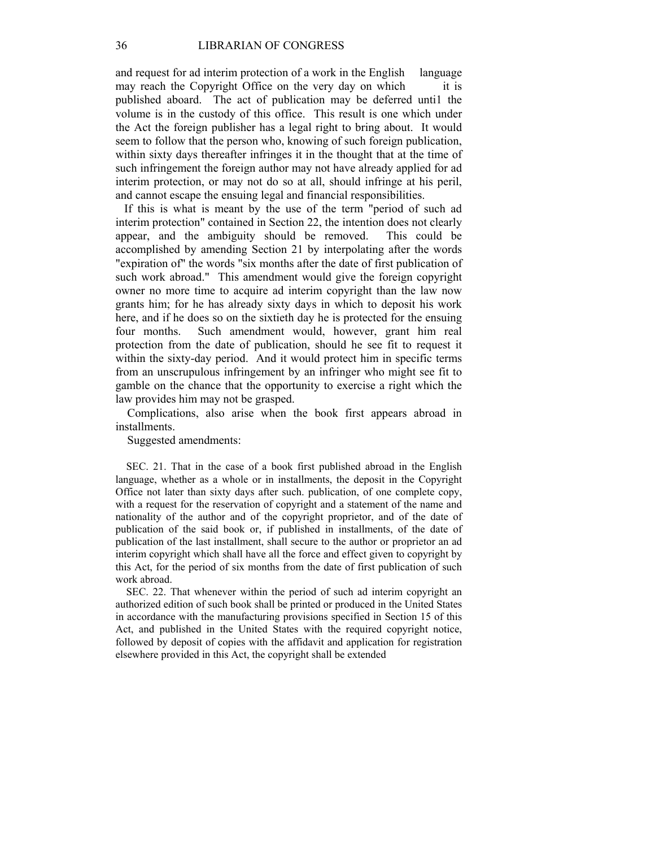and request for ad interim protection of a work in the English language may reach the Copyright Office on the very day on which it is published aboard. The act of publication may be deferred unti1 the volume is in the custody of this office. This result is one which under the Act the foreign publisher has a legal right to bring about. It would seem to follow that the person who, knowing of such foreign publication, within sixty days thereafter infringes it in the thought that at the time of such infringement the foreign author may not have already applied for ad interim protection, or may not do so at all, should infringe at his peril, and cannot escape the ensuing legal and financial responsibilities.

 If this is what is meant by the use of the term "period of such ad interim protection" contained in Section 22, the intention does not clearly appear, and the ambiguity should be removed. This could be accomplished by amending Section 21 by interpolating after the words "expiration of" the words "six months after the date of first publication of such work abroad." This amendment would give the foreign copyright owner no more time to acquire ad interim copyright than the law now grants him; for he has already sixty days in which to deposit his work here, and if he does so on the sixtieth day he is protected for the ensuing four months. Such amendment would, however, grant him real protection from the date of publication, should he see fit to request it within the sixty-day period. And it would protect him in specific terms from an unscrupulous infringement by an infringer who might see fit to gamble on the chance that the opportunity to exercise a right which the law provides him may not be grasped.

 Complications, also arise when the book first appears abroad in installments.

Suggested amendments:

 SEC. 21. That in the case of a book first published abroad in the English language, whether as a whole or in installments, the deposit in the Copyright Office not later than sixty days after such. publication, of one complete copy, with a request for the reservation of copyright and a statement of the name and nationality of the author and of the copyright proprietor, and of the date of publication of the said book or, if published in installments, of the date of publication of the last installment, shall secure to the author or proprietor an ad interim copyright which shall have all the force and effect given to copyright by this Act, for the period of six months from the date of first publication of such work abroad.

 SEC. 22. That whenever within the period of such ad interim copyright an authorized edition of such book shall be printed or produced in the United States in accordance with the manufacturing provisions specified in Section 15 of this Act, and published in the United States with the required copyright notice, followed by deposit of copies with the affidavit and application for registration elsewhere provided in this Act, the copyright shall be extended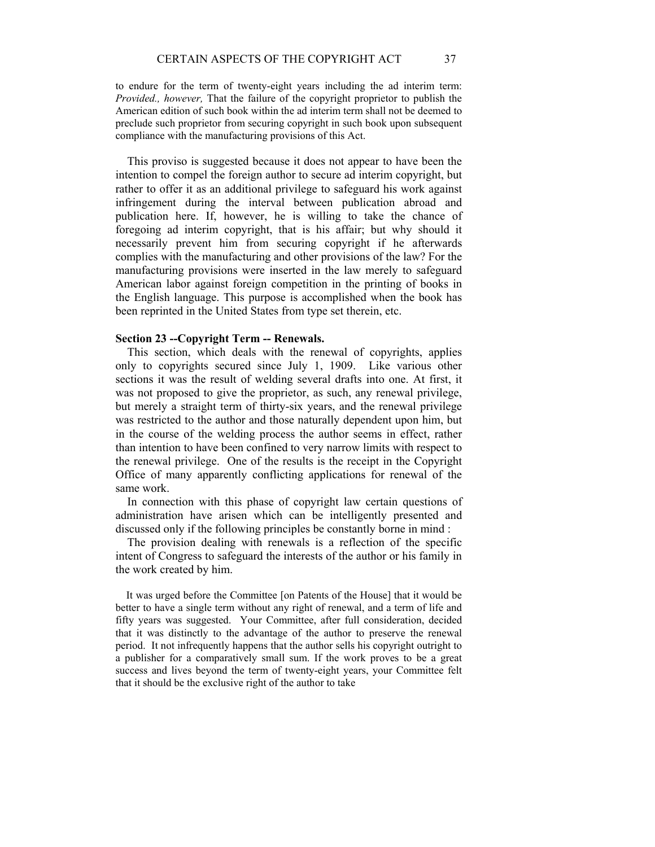to endure for the term of twenty-eight years including the ad interim term: *Provided., however,* That the failure of the copyright proprietor to publish the American edition of such book within the ad interim term shall not be deemed to preclude such proprietor from securing copyright in such book upon subsequent compliance with the manufacturing provisions of this Act.

 This proviso is suggested because it does not appear to have been the intention to compel the foreign author to secure ad interim copyright, but rather to offer it as an additional privilege to safeguard his work against infringement during the interval between publication abroad and publication here. If, however, he is willing to take the chance of foregoing ad interim copyright, that is his affair; but why should it necessarily prevent him from securing copyright if he afterwards complies with the manufacturing and other provisions of the law? For the manufacturing provisions were inserted in the law merely to safeguard American labor against foreign competition in the printing of books in the English language. This purpose is accomplished when the book has been reprinted in the United States from type set therein, etc.

# **Section 23 --Copyright Term -- Renewals.**

 This section, which deals with the renewal of copyrights, applies only to copyrights secured since July 1, 1909. Like various other sections it was the result of welding several drafts into one. At first, it was not proposed to give the proprietor, as such, any renewal privilege, but merely a straight term of thirty-six years, and the renewal privilege was restricted to the author and those naturally dependent upon him, but in the course of the welding process the author seems in effect, rather than intention to have been confined to very narrow limits with respect to the renewal privilege. One of the results is the receipt in the Copyright Office of many apparently conflicting applications for renewal of the same work.

 In connection with this phase of copyright law certain questions of administration have arisen which can be intelligently presented and discussed only if the following principles be constantly borne in mind :

 The provision dealing with renewals is a reflection of the specific intent of Congress to safeguard the interests of the author or his family in the work created by him.

 It was urged before the Committee [on Patents of the House] that it would be better to have a single term without any right of renewal, and a term of life and fifty years was suggested. Your Committee, after full consideration, decided that it was distinctly to the advantage of the author to preserve the renewal period. It not infrequently happens that the author sells his copyright outright to a publisher for a comparatively small sum. If the work proves to be a great success and lives beyond the term of twenty-eight years, your Committee felt that it should be the exclusive right of the author to take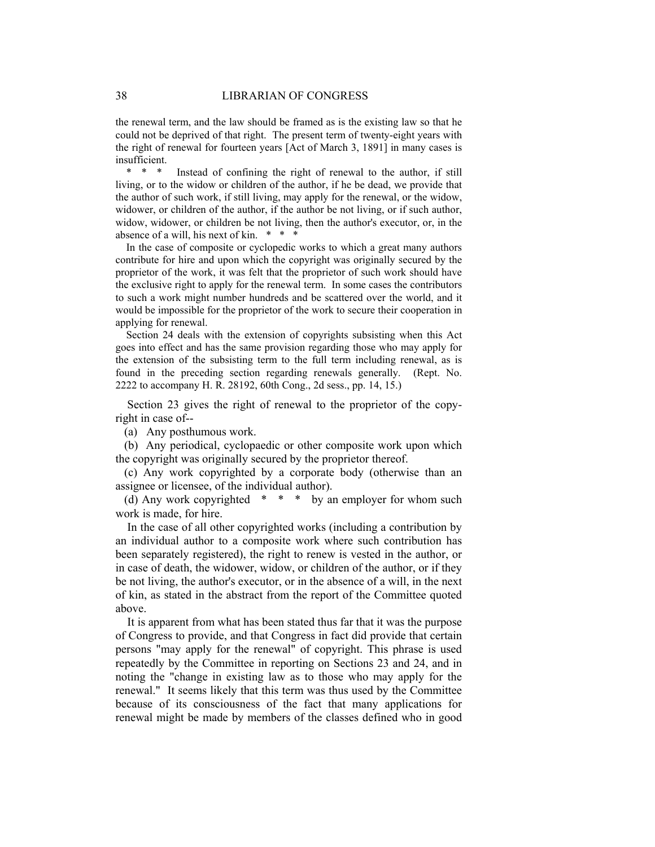the renewal term, and the law should be framed as is the existing law so that he could not be deprived of that right. The present term of twenty-eight years with the right of renewal for fourteen years [Act of March 3, 1891] in many cases is insufficient.

Instead of confining the right of renewal to the author, if still living, or to the widow or children of the author, if he be dead, we provide that the author of such work, if still living, may apply for the renewal, or the widow, widower, or children of the author, if the author be not living, or if such author, widow, widower, or children be not living, then the author's executor, or, in the absence of a will, his next of kin. \* \* \*

 In the case of composite or cyclopedic works to which a great many authors contribute for hire and upon which the copyright was originally secured by the proprietor of the work, it was felt that the proprietor of such work should have the exclusive right to apply for the renewal term. In some cases the contributors to such a work might number hundreds and be scattered over the world, and it would be impossible for the proprietor of the work to secure their cooperation in applying for renewal.

 Section 24 deals with the extension of copyrights subsisting when this Act goes into effect and has the same provision regarding those who may apply for the extension of the subsisting term to the full term including renewal, as is found in the preceding section regarding renewals generally. (Rept. No. 2222 to accompany H. R. 28192, 60th Cong., 2d sess., pp. 14, 15.)

 Section 23 gives the right of renewal to the proprietor of the copyright in case of--

(a) Any posthumous work.

 (b) Any periodical, cyclopaedic or other composite work upon which the copyright was originally secured by the proprietor thereof.

 (c) Any work copyrighted by a corporate body (otherwise than an assignee or licensee, of the individual author).

(d) Any work copyrighted  $* * *$  by an employer for whom such work is made, for hire.

 In the case of all other copyrighted works (including a contribution by an individual author to a composite work where such contribution has been separately registered), the right to renew is vested in the author, or in case of death, the widower, widow, or children of the author, or if they be not living, the author's executor, or in the absence of a will, in the next of kin, as stated in the abstract from the report of the Committee quoted above.

 It is apparent from what has been stated thus far that it was the purpose of Congress to provide, and that Congress in fact did provide that certain persons "may apply for the renewal" of copyright. This phrase is used repeatedly by the Committee in reporting on Sections 23 and 24, and in noting the "change in existing law as to those who may apply for the renewal." It seems likely that this term was thus used by the Committee because of its consciousness of the fact that many applications for renewal might be made by members of the classes defined who in good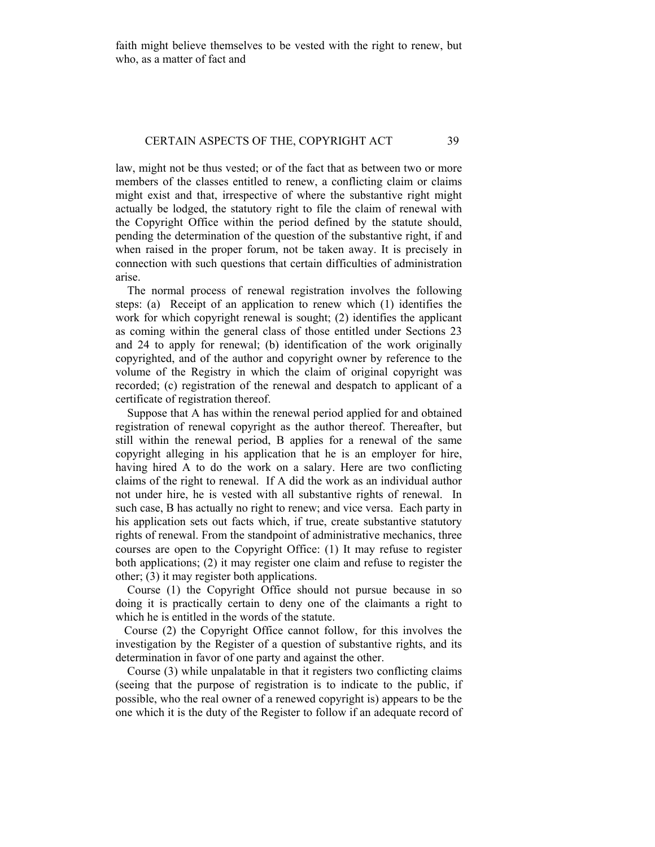faith might believe themselves to be vested with the right to renew, but who, as a matter of fact and

# CERTAIN ASPECTS OF THE, COPYRIGHT ACT 39

law, might not be thus vested; or of the fact that as between two or more members of the classes entitled to renew, a conflicting claim or claims might exist and that, irrespective of where the substantive right might actually be lodged, the statutory right to file the claim of renewal with the Copyright Office within the period defined by the statute should, pending the determination of the question of the substantive right, if and when raised in the proper forum, not be taken away. It is precisely in connection with such questions that certain difficulties of administration arise.

 The normal process of renewal registration involves the following steps: (a) Receipt of an application to renew which (1) identifies the work for which copyright renewal is sought; (2) identifies the applicant as coming within the general class of those entitled under Sections 23 and 24 to apply for renewal; (b) identification of the work originally copyrighted, and of the author and copyright owner by reference to the volume of the Registry in which the claim of original copyright was recorded; (c) registration of the renewal and despatch to applicant of a certificate of registration thereof.

 Suppose that A has within the renewal period applied for and obtained registration of renewal copyright as the author thereof. Thereafter, but still within the renewal period, B applies for a renewal of the same copyright alleging in his application that he is an employer for hire, having hired A to do the work on a salary. Here are two conflicting claims of the right to renewal. If A did the work as an individual author not under hire, he is vested with all substantive rights of renewal. In such case, B has actually no right to renew; and vice versa. Each party in his application sets out facts which, if true, create substantive statutory rights of renewal. From the standpoint of administrative mechanics, three courses are open to the Copyright Office: (1) It may refuse to register both applications; (2) it may register one claim and refuse to register the other; (3) it may register both applications.

 Course (1) the Copyright Office should not pursue because in so doing it is practically certain to deny one of the claimants a right to which he is entitled in the words of the statute.

 Course (2) the Copyright Office cannot follow, for this involves the investigation by the Register of a question of substantive rights, and its determination in favor of one party and against the other.

 Course (3) while unpalatable in that it registers two conflicting claims (seeing that the purpose of registration is to indicate to the public, if possible, who the real owner of a renewed copyright is) appears to be the one which it is the duty of the Register to follow if an adequate record of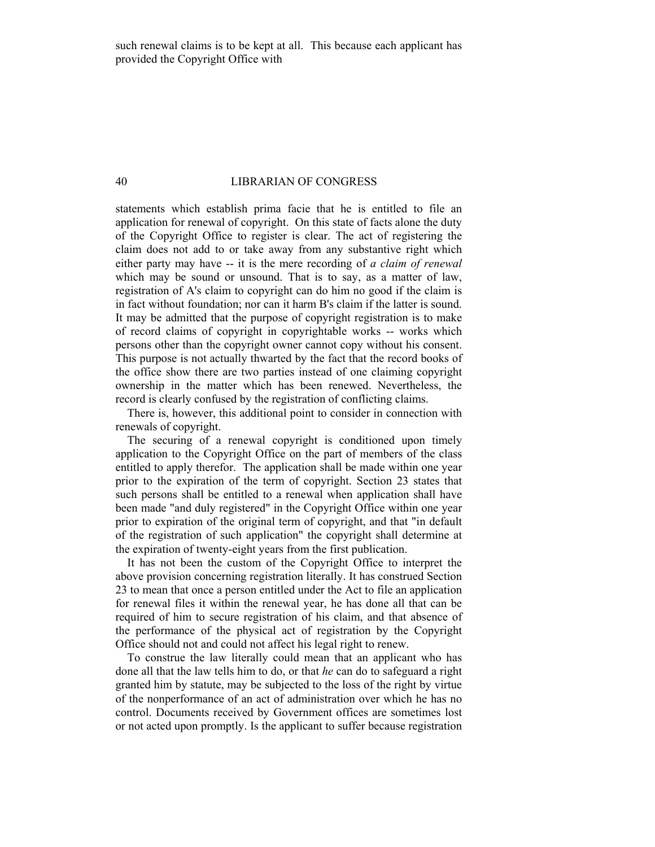### 40 LIBRARIAN OF CONGRESS

statements which establish prima facie that he is entitled to file an application for renewal of copyright. On this state of facts alone the duty of the Copyright Office to register is clear. The act of registering the claim does not add to or take away from any substantive right which either party may have -- it is the mere recording of *a claim of renewal*  which may be sound or unsound. That is to say, as a matter of law, registration of A's claim to copyright can do him no good if the claim is in fact without foundation; nor can it harm B's claim if the latter is sound. It may be admitted that the purpose of copyright registration is to make of record claims of copyright in copyrightable works -- works which persons other than the copyright owner cannot copy without his consent. This purpose is not actually thwarted by the fact that the record books of the office show there are two parties instead of one claiming copyright ownership in the matter which has been renewed. Nevertheless, the record is clearly confused by the registration of conflicting claims.

 There is, however, this additional point to consider in connection with renewals of copyright.

 The securing of a renewal copyright is conditioned upon timely application to the Copyright Office on the part of members of the class entitled to apply therefor. The application shall be made within one year prior to the expiration of the term of copyright. Section 23 states that such persons shall be entitled to a renewal when application shall have been made "and duly registered" in the Copyright Office within one year prior to expiration of the original term of copyright, and that "in default of the registration of such application" the copyright shall determine at the expiration of twenty-eight years from the first publication.

 It has not been the custom of the Copyright Office to interpret the above provision concerning registration literally. It has construed Section 23 to mean that once a person entitled under the Act to file an application for renewal files it within the renewal year, he has done all that can be required of him to secure registration of his claim, and that absence of the performance of the physical act of registration by the Copyright Office should not and could not affect his legal right to renew.

 To construe the law literally could mean that an applicant who has done all that the law tells him to do, or that *he* can do to safeguard a right granted him by statute, may be subjected to the loss of the right by virtue of the nonperformance of an act of administration over which he has no control. Documents received by Government offices are sometimes lost or not acted upon promptly. Is the applicant to suffer because registration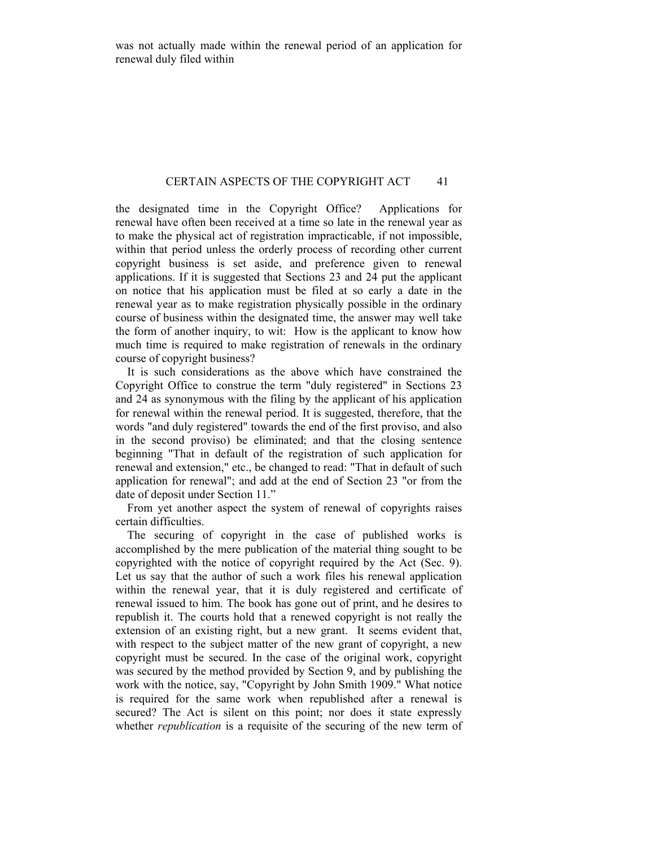# CERTAIN ASPECTS OF THE COPYRIGHT ACT 41

the designated time in the Copyright Office? Applications for renewal have often been received at a time so late in the renewal year as to make the physical act of registration impracticable, if not impossible, within that period unless the orderly process of recording other current copyright business is set aside, and preference given to renewal applications. If it is suggested that Sections 23 and 24 put the applicant on notice that his application must be filed at so early a date in the renewal year as to make registration physically possible in the ordinary course of business within the designated time, the answer may well take the form of another inquiry, to wit: How is the applicant to know how much time is required to make registration of renewals in the ordinary course of copyright business?

 It is such considerations as the above which have constrained the Copyright Office to construe the term "duly registered" in Sections 23 and 24 as synonymous with the filing by the applicant of his application for renewal within the renewal period. It is suggested, therefore, that the words "and duly registered" towards the end of the first proviso, and also in the second proviso) be eliminated; and that the closing sentence beginning "That in default of the registration of such application for renewal and extension," etc., be changed to read: "That in default of such application for renewal"; and add at the end of Section 23 "or from the date of deposit under Section 11."

 From yet another aspect the system of renewal of copyrights raises certain difficulties.

 The securing of copyright in the case of published works is accomplished by the mere publication of the material thing sought to be copyrighted with the notice of copyright required by the Act (Sec. 9). Let us say that the author of such a work files his renewal application within the renewal year, that it is duly registered and certificate of renewal issued to him. The book has gone out of print, and he desires to republish it. The courts hold that a renewed copyright is not really the extension of an existing right, but a new grant. It seems evident that, with respect to the subject matter of the new grant of copyright, a new copyright must be secured. In the case of the original work, copyright was secured by the method provided by Section 9, and by publishing the work with the notice, say, "Copyright by John Smith 1909." What notice is required for the same work when republished after a renewal is secured? The Act is silent on this point; nor does it state expressly whether *republication* is a requisite of the securing of the new term of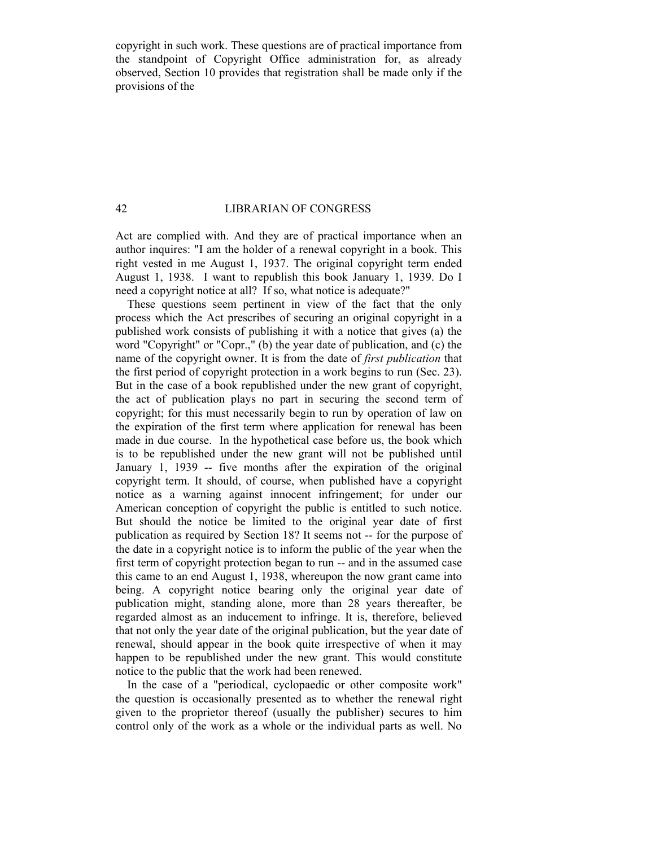copyright in such work. These questions are of practical importance from the standpoint of Copyright Office administration for, as already observed, Section 10 provides that registration shall be made only if the provisions of the

# 42 LIBRARIAN OF CONGRESS

Act are complied with. And they are of practical importance when an author inquires: "I am the holder of a renewal copyright in a book. This right vested in me August 1, 1937. The original copyright term ended August 1, 1938. I want to republish this book January 1, 1939. Do I need a copyright notice at all? If so, what notice is adequate?"

 These questions seem pertinent in view of the fact that the only process which the Act prescribes of securing an original copyright in a published work consists of publishing it with a notice that gives (a) the word "Copyright" or "Copr.," (b) the year date of publication, and (c) the name of the copyright owner. It is from the date of *first publication* that the first period of copyright protection in a work begins to run (Sec. 23). But in the case of a book republished under the new grant of copyright, the act of publication plays no part in securing the second term of copyright; for this must necessarily begin to run by operation of law on the expiration of the first term where application for renewal has been made in due course. In the hypothetical case before us, the book which is to be republished under the new grant will not be published until January 1, 1939 -- five months after the expiration of the original copyright term. It should, of course, when published have a copyright notice as a warning against innocent infringement; for under our American conception of copyright the public is entitled to such notice. But should the notice be limited to the original year date of first publication as required by Section 18? It seems not -- for the purpose of the date in a copyright notice is to inform the public of the year when the first term of copyright protection began to run -- and in the assumed case this came to an end August 1, 1938, whereupon the now grant came into being. A copyright notice bearing only the original year date of publication might, standing alone, more than 28 years thereafter, be regarded almost as an inducement to infringe. It is, therefore, believed that not only the year date of the original publication, but the year date of renewal, should appear in the book quite irrespective of when it may happen to be republished under the new grant. This would constitute notice to the public that the work had been renewed.

 In the case of a "periodical, cyclopaedic or other composite work" the question is occasionally presented as to whether the renewal right given to the proprietor thereof (usually the publisher) secures to him control only of the work as a whole or the individual parts as well. No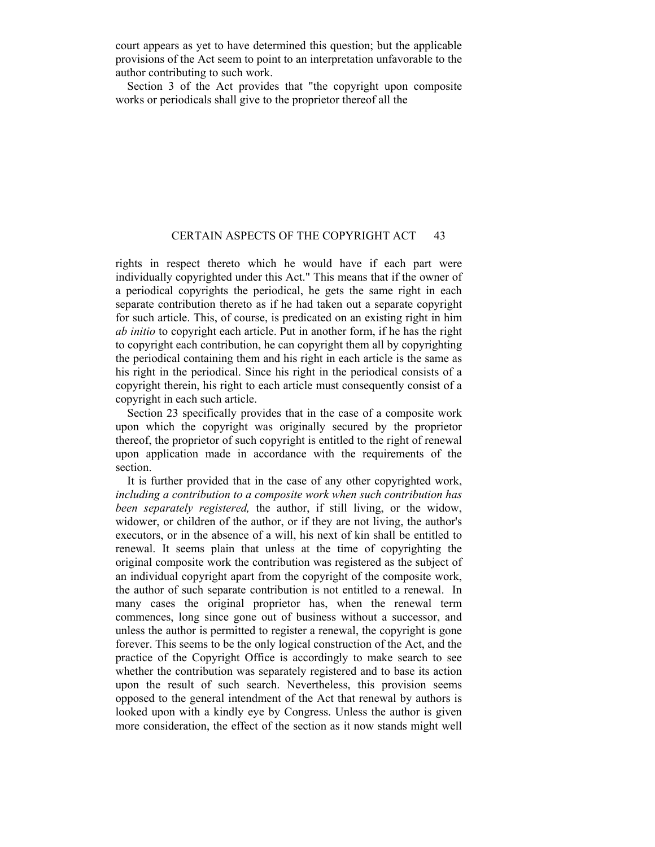court appears as yet to have determined this question; but the applicable provisions of the Act seem to point to an interpretation unfavorable to the author contributing to such work.

 Section 3 of the Act provides that "the copyright upon composite works or periodicals shall give to the proprietor thereof all the

# CERTAIN ASPECTS OF THE COPYRIGHT ACT 43

rights in respect thereto which he would have if each part were individually copyrighted under this Act." This means that if the owner of a periodical copyrights the periodical, he gets the same right in each separate contribution thereto as if he had taken out a separate copyright for such article. This, of course, is predicated on an existing right in him *ab initio* to copyright each article. Put in another form, if he has the right to copyright each contribution, he can copyright them all by copyrighting the periodical containing them and his right in each article is the same as his right in the periodical. Since his right in the periodical consists of a copyright therein, his right to each article must consequently consist of a copyright in each such article.

 Section 23 specifically provides that in the case of a composite work upon which the copyright was originally secured by the proprietor thereof, the proprietor of such copyright is entitled to the right of renewal upon application made in accordance with the requirements of the section.

 It is further provided that in the case of any other copyrighted work, *including a contribution to a composite work when such contribution has been separately registered,* the author, if still living, or the widow, widower, or children of the author, or if they are not living, the author's executors, or in the absence of a will, his next of kin shall be entitled to renewal. It seems plain that unless at the time of copyrighting the original composite work the contribution was registered as the subject of an individual copyright apart from the copyright of the composite work, the author of such separate contribution is not entitled to a renewal. In many cases the original proprietor has, when the renewal term commences, long since gone out of business without a successor, and unless the author is permitted to register a renewal, the copyright is gone forever. This seems to be the only logical construction of the Act, and the practice of the Copyright Office is accordingly to make search to see whether the contribution was separately registered and to base its action upon the result of such search. Nevertheless, this provision seems opposed to the general intendment of the Act that renewal by authors is looked upon with a kindly eye by Congress. Unless the author is given more consideration, the effect of the section as it now stands might well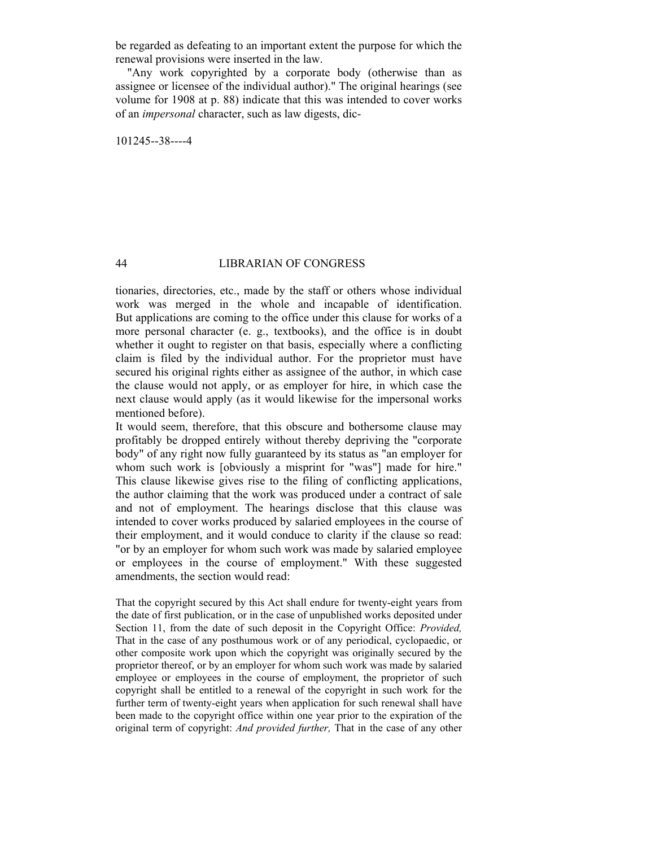be regarded as defeating to an important extent the purpose for which the renewal provisions were inserted in the law.

 "Any work copyrighted by a corporate body (otherwise than as assignee or licensee of the individual author)." The original hearings (see volume for 1908 at p. 88) indicate that this was intended to cover works of an *impersonal* character, such as law digests, dic-

101245--38----4

# 44 LIBRARIAN OF CONGRESS

tionaries, directories, etc., made by the staff or others whose individual work was merged in the whole and incapable of identification. But applications are coming to the office under this clause for works of a more personal character (e. g., textbooks), and the office is in doubt whether it ought to register on that basis, especially where a conflicting claim is filed by the individual author. For the proprietor must have secured his original rights either as assignee of the author, in which case the clause would not apply, or as employer for hire, in which case the next clause would apply (as it would likewise for the impersonal works mentioned before).

It would seem, therefore, that this obscure and bothersome clause may profitably be dropped entirely without thereby depriving the "corporate body" of any right now fully guaranteed by its status as "an employer for whom such work is [obviously a misprint for "was"] made for hire." This clause likewise gives rise to the filing of conflicting applications, the author claiming that the work was produced under a contract of sale and not of employment. The hearings disclose that this clause was intended to cover works produced by salaried employees in the course of their employment, and it would conduce to clarity if the clause so read: "or by an employer for whom such work was made by salaried employee or employees in the course of employment." With these suggested amendments, the section would read:

That the copyright secured by this Act shall endure for twenty-eight years from the date of first publication, or in the case of unpublished works deposited under Section 11, from the date of such deposit in the Copyright Office: *Provided,*  That in the case of any posthumous work or of any periodical, cyclopaedic, or other composite work upon which the copyright was originally secured by the proprietor thereof, or by an employer for whom such work was made by salaried employee or employees in the course of employment, the proprietor of such copyright shall be entitled to a renewal of the copyright in such work for the further term of twenty-eight years when application for such renewal shall have been made to the copyright office within one year prior to the expiration of the original term of copyright: *And provided further,* That in the case of any other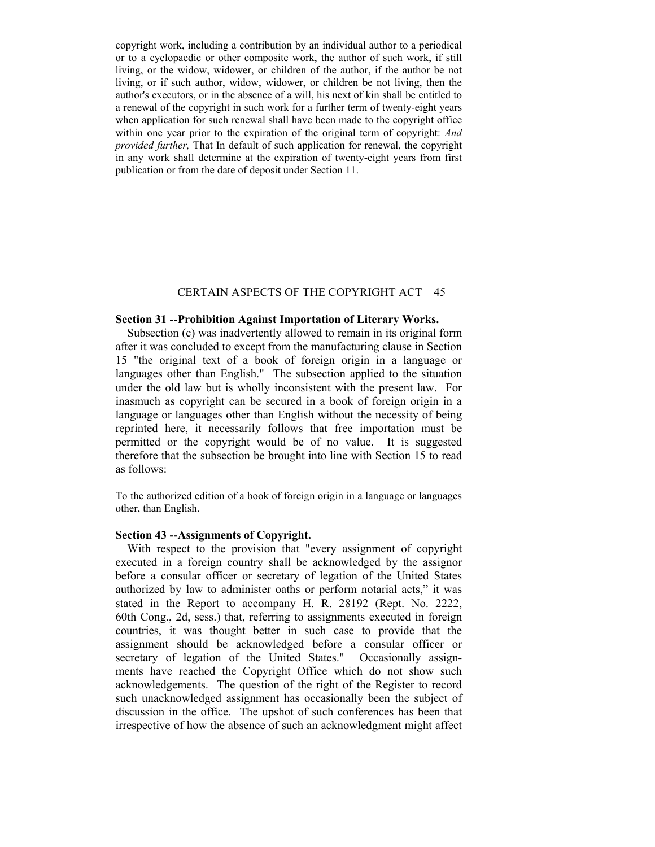copyright work, including a contribution by an individual author to a periodical or to a cyclopaedic or other composite work, the author of such work, if still living, or the widow, widower, or children of the author, if the author be not living, or if such author, widow, widower, or children be not living, then the author's executors, or in the absence of a will, his next of kin shall be entitled to a renewal of the copyright in such work for a further term of twenty-eight years when application for such renewal shall have been made to the copyright office within one year prior to the expiration of the original term of copyright: *And provided further,* That In default of such application for renewal, the copyright in any work shall determine at the expiration of twenty-eight years from first publication or from the date of deposit under Section 11.

# CERTAIN ASPECTS OF THE COPYRIGHT ACT 45

### **Section 31 --Prohibition Against Importation of Literary Works.**

 Subsection (c) was inadvertently allowed to remain in its original form after it was concluded to except from the manufacturing clause in Section 15 "the original text of a book of foreign origin in a language or languages other than English." The subsection applied to the situation under the old law but is wholly inconsistent with the present law. For inasmuch as copyright can be secured in a book of foreign origin in a language or languages other than English without the necessity of being reprinted here, it necessarily follows that free importation must be permitted or the copyright would be of no value. It is suggested therefore that the subsection be brought into line with Section 15 to read as follows:

To the authorized edition of a book of foreign origin in a language or languages other, than English.

# **Section 43 --Assignments of Copyright.**

 With respect to the provision that "every assignment of copyright executed in a foreign country shall be acknowledged by the assignor before a consular officer or secretary of legation of the United States authorized by law to administer oaths or perform notarial acts," it was stated in the Report to accompany H. R. 28192 (Rept. No. 2222, 60th Cong., 2d, sess.) that, referring to assignments executed in foreign countries, it was thought better in such case to provide that the assignment should be acknowledged before a consular officer or secretary of legation of the United States." Occasionally assignments have reached the Copyright Office which do not show such acknowledgements. The question of the right of the Register to record such unacknowledged assignment has occasionally been the subject of discussion in the office. The upshot of such conferences has been that irrespective of how the absence of such an acknowledgment might affect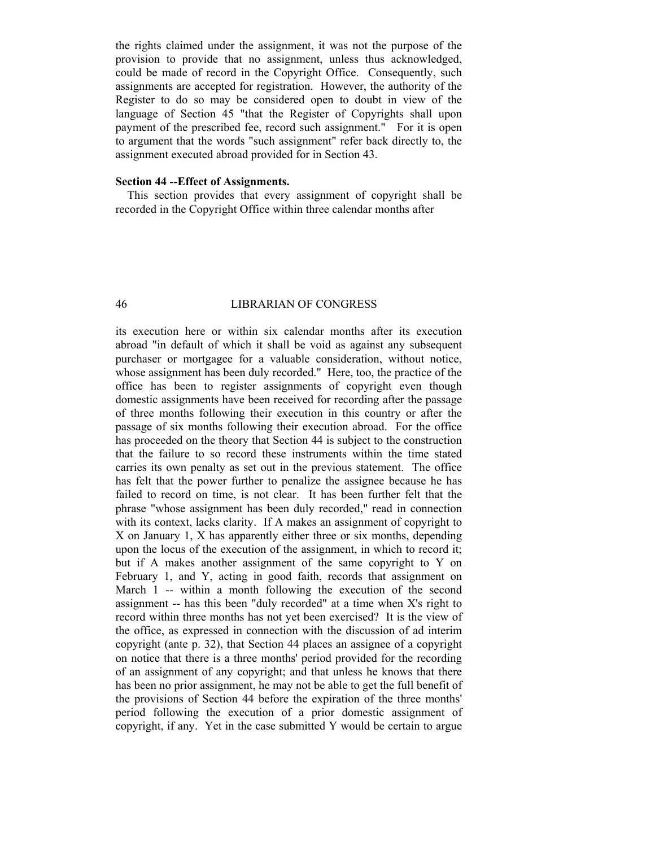the rights claimed under the assignment, it was not the purpose of the provision to provide that no assignment, unless thus acknowledged, could be made of record in the Copyright Office. Consequently, such assignments are accepted for registration. However, the authority of the Register to do so may be considered open to doubt in view of the language of Section 45 "that the Register of Copyrights shall upon payment of the prescribed fee, record such assignment." For it is open to argument that the words "such assignment" refer back directly to, the assignment executed abroad provided for in Section 43.

# **Section 44 --Effect of Assignments.**

 This section provides that every assignment of copyright shall be recorded in the Copyright Office within three calendar months after

#### 46 LIBRARIAN OF CONGRESS

its execution here or within six calendar months after its execution abroad "in default of which it shall be void as against any subsequent purchaser or mortgagee for a valuable consideration, without notice, whose assignment has been duly recorded." Here, too, the practice of the office has been to register assignments of copyright even though domestic assignments have been received for recording after the passage of three months following their execution in this country or after the passage of six months following their execution abroad. For the office has proceeded on the theory that Section 44 is subject to the construction that the failure to so record these instruments within the time stated carries its own penalty as set out in the previous statement. The office has felt that the power further to penalize the assignee because he has failed to record on time, is not clear. It has been further felt that the phrase "whose assignment has been duly recorded," read in connection with its context, lacks clarity. If A makes an assignment of copyright to X on January 1, X has apparently either three or six months, depending upon the locus of the execution of the assignment, in which to record it; but if A makes another assignment of the same copyright to Y on February 1, and Y, acting in good faith, records that assignment on March 1 -- within a month following the execution of the second assignment -- has this been "duly recorded" at a time when X's right to record within three months has not yet been exercised? It is the view of the office, as expressed in connection with the discussion of ad interim copyright (ante p. 32), that Section 44 places an assignee of a copyright on notice that there is a three months' period provided for the recording of an assignment of any copyright; and that unless he knows that there has been no prior assignment, he may not be able to get the full benefit of the provisions of Section 44 before the expiration of the three months' period following the execution of a prior domestic assignment of copyright, if any. Yet in the case submitted Y would be certain to argue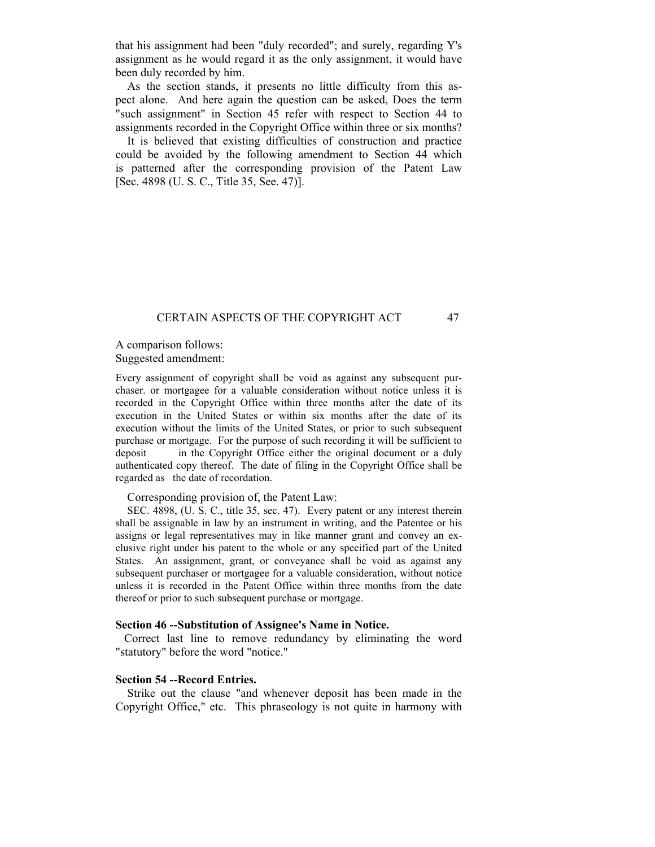that his assignment had been "duly recorded"; and surely, regarding Y's assignment as he would regard it as the only assignment, it would have been duly recorded by him.

 As the section stands, it presents no little difficulty from this aspect alone. And here again the question can be asked, Does the term "such assignment" in Section 45 refer with respect to Section 44 to assignments recorded in the Copyright Office within three or six months?

 It is believed that existing difficulties of construction and practice could be avoided by the following amendment to Section 44 which is patterned after the corresponding provision of the Patent Law [Sec. 4898 (U. S. C., Title 35, See. 47)].

# CERTAIN ASPECTS OF THE COPYRIGHT ACT 47

A comparison follows: Suggested amendment:

Every assignment of copyright shall be void as against any subsequent purchaser. or mortgagee for a valuable consideration without notice unless it is recorded in the Copyright Office within three months after the date of its execution in the United States or within six months after the date of its execution without the limits of the United States, or prior to such subsequent purchase or mortgage. For the purpose of such recording it will be sufficient to deposit in the Copyright Office either the original document or a duly authenticated copy thereof. The date of filing in the Copyright Office shall be regarded as the date of recordation.

## Corresponding provision of, the Patent Law:

 SEC. 4898, (U. S. C., title 35, sec. 47). Every patent or any interest therein shall be assignable in law by an instrument in writing, and the Patentee or his assigns or legal representatives may in like manner grant and convey an exclusive right under his patent to the whole or any specified part of the United States. An assignment, grant, or conveyance shall be void as against any subsequent purchaser or mortgagee for a valuable consideration, without notice unless it is recorded in the Patent Office within three months from the date thereof or prior to such subsequent purchase or mortgage.

#### **Section 46 --Substitution of Assignee's Name in Notice.**

 Correct last line to remove redundancy by eliminating the word "statutory" before the word "notice."

# **Section 54 --Record Entries.**

 Strike out the clause "and whenever deposit has been made in the Copyright Office," etc. This phraseology is not quite in harmony with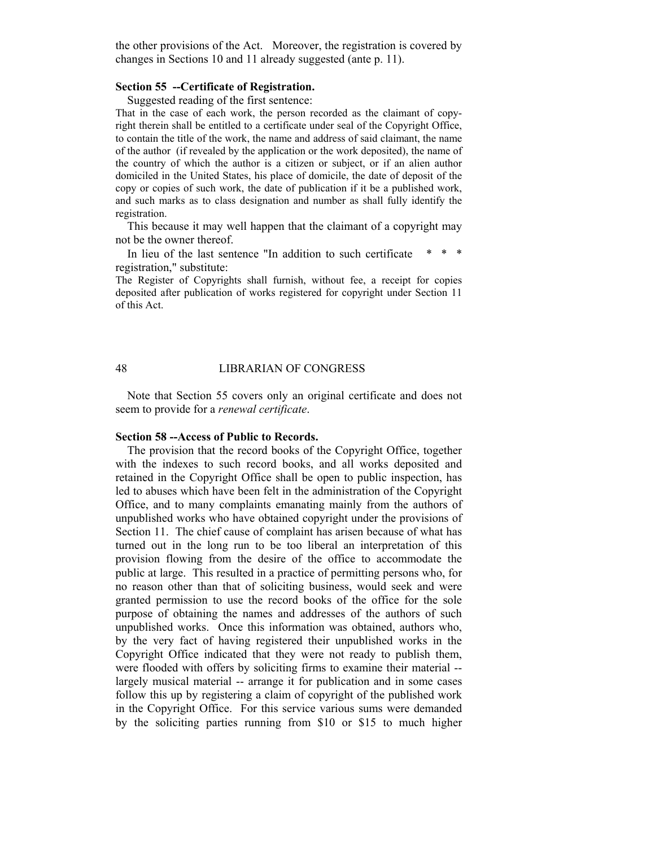the other provisions of the Act. Moreover, the registration is covered by changes in Sections 10 and 11 already suggested (ante p. 11).

#### **Section 55 --Certificate of Registration.**

Suggested reading of the first sentence:

That in the case of each work, the person recorded as the claimant of copyright therein shall be entitled to a certificate under seal of the Copyright Office, to contain the title of the work, the name and address of said claimant, the name of the author (if revealed by the application or the work deposited), the name of the country of which the author is a citizen or subject, or if an alien author domiciled in the United States, his place of domicile, the date of deposit of the copy or copies of such work, the date of publication if it be a published work, and such marks as to class designation and number as shall fully identify the registration.

 This because it may well happen that the claimant of a copyright may not be the owner thereof.

In lieu of the last sentence "In addition to such certificate registration," substitute:

The Register of Copyrights shall furnish, without fee, a receipt for copies deposited after publication of works registered for copyright under Section 11 of this Act.

#### 48 LIBRARIAN OF CONGRESS

 Note that Section 55 covers only an original certificate and does not seem to provide for a *renewal certificate*.

# **Section 58 --Access of Public to Records.**

 The provision that the record books of the Copyright Office, together with the indexes to such record books, and all works deposited and retained in the Copyright Office shall be open to public inspection, has led to abuses which have been felt in the administration of the Copyright Office, and to many complaints emanating mainly from the authors of unpublished works who have obtained copyright under the provisions of Section 11. The chief cause of complaint has arisen because of what has turned out in the long run to be too liberal an interpretation of this provision flowing from the desire of the office to accommodate the public at large. This resulted in a practice of permitting persons who, for no reason other than that of soliciting business, would seek and were granted permission to use the record books of the office for the sole purpose of obtaining the names and addresses of the authors of such unpublished works. Once this information was obtained, authors who, by the very fact of having registered their unpublished works in the Copyright Office indicated that they were not ready to publish them, were flooded with offers by soliciting firms to examine their material - largely musical material -- arrange it for publication and in some cases follow this up by registering a claim of copyright of the published work in the Copyright Office. For this service various sums were demanded by the soliciting parties running from \$10 or \$15 to much higher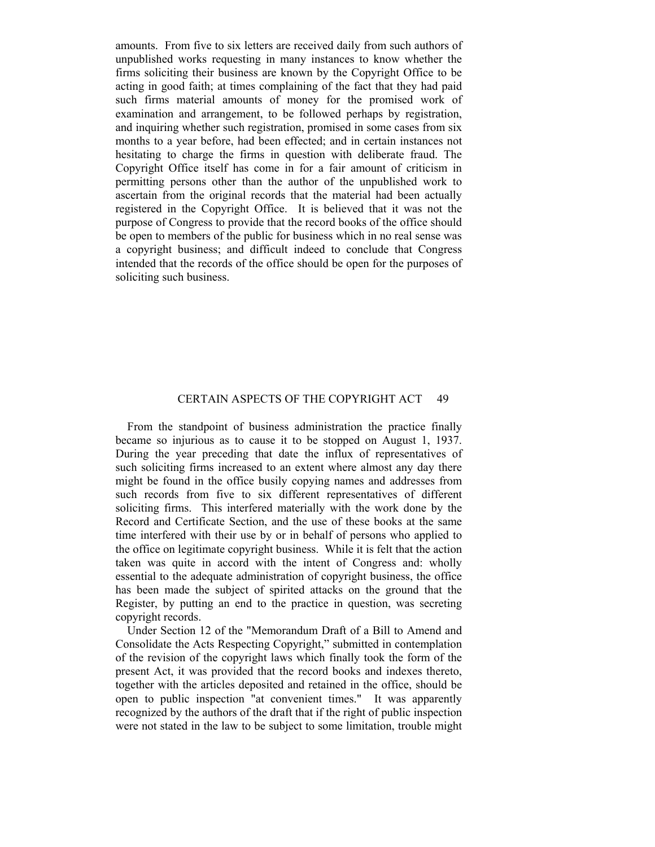amounts. From five to six letters are received daily from such authors of unpublished works requesting in many instances to know whether the firms soliciting their business are known by the Copyright Office to be acting in good faith; at times complaining of the fact that they had paid such firms material amounts of money for the promised work of examination and arrangement, to be followed perhaps by registration, and inquiring whether such registration, promised in some cases from six months to a year before, had been effected; and in certain instances not hesitating to charge the firms in question with deliberate fraud. The Copyright Office itself has come in for a fair amount of criticism in permitting persons other than the author of the unpublished work to ascertain from the original records that the material had been actually registered in the Copyright Office. It is believed that it was not the purpose of Congress to provide that the record books of the office should be open to members of the public for business which in no real sense was a copyright business; and difficult indeed to conclude that Congress intended that the records of the office should be open for the purposes of soliciting such business.

# CERTAIN ASPECTS OF THE COPYRIGHT ACT 49

 From the standpoint of business administration the practice finally became so injurious as to cause it to be stopped on August 1, 1937. During the year preceding that date the influx of representatives of such soliciting firms increased to an extent where almost any day there might be found in the office busily copying names and addresses from such records from five to six different representatives of different soliciting firms. This interfered materially with the work done by the Record and Certificate Section, and the use of these books at the same time interfered with their use by or in behalf of persons who applied to the office on legitimate copyright business. While it is felt that the action taken was quite in accord with the intent of Congress and: wholly essential to the adequate administration of copyright business, the office has been made the subject of spirited attacks on the ground that the Register, by putting an end to the practice in question, was secreting copyright records.

 Under Section 12 of the "Memorandum Draft of a Bill to Amend and Consolidate the Acts Respecting Copyright," submitted in contemplation of the revision of the copyright laws which finally took the form of the present Act, it was provided that the record books and indexes thereto, together with the articles deposited and retained in the office, should be open to public inspection "at convenient times." It was apparently recognized by the authors of the draft that if the right of public inspection were not stated in the law to be subject to some limitation, trouble might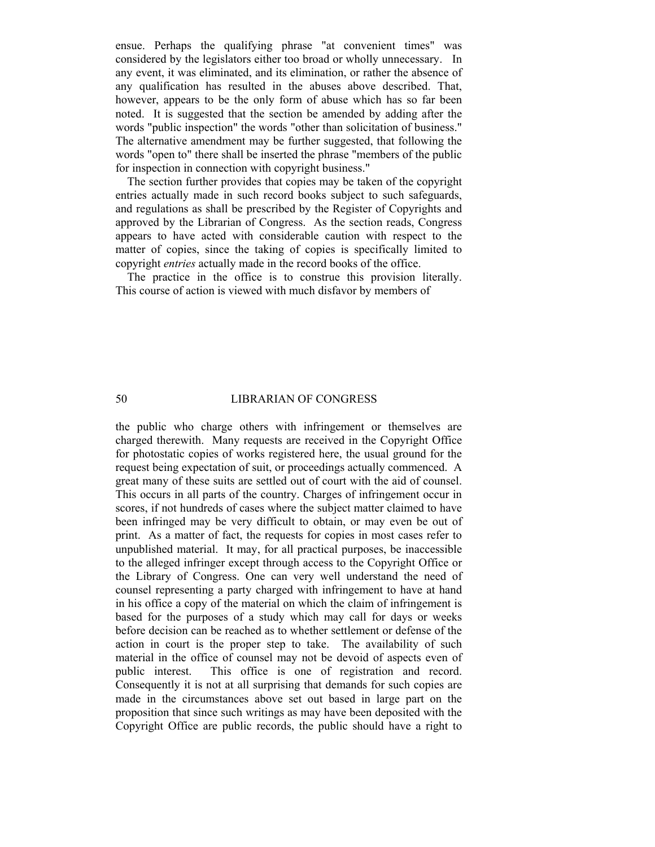ensue. Perhaps the qualifying phrase "at convenient times" was considered by the legislators either too broad or wholly unnecessary. In any event, it was eliminated, and its elimination, or rather the absence of any qualification has resulted in the abuses above described. That, however, appears to be the only form of abuse which has so far been noted. It is suggested that the section be amended by adding after the words "public inspection" the words "other than solicitation of business." The alternative amendment may be further suggested, that following the words "open to" there shall be inserted the phrase "members of the public for inspection in connection with copyright business."

 The section further provides that copies may be taken of the copyright entries actually made in such record books subject to such safeguards, and regulations as shall be prescribed by the Register of Copyrights and approved by the Librarian of Congress. As the section reads, Congress appears to have acted with considerable caution with respect to the matter of copies, since the taking of copies is specifically limited to copyright *entries* actually made in the record books of the office.

 The practice in the office is to construe this provision literally. This course of action is viewed with much disfavor by members of

# 50 LIBRARIAN OF CONGRESS

the public who charge others with infringement or themselves are charged therewith. Many requests are received in the Copyright Office for photostatic copies of works registered here, the usual ground for the request being expectation of suit, or proceedings actually commenced. A great many of these suits are settled out of court with the aid of counsel. This occurs in all parts of the country. Charges of infringement occur in scores, if not hundreds of cases where the subject matter claimed to have been infringed may be very difficult to obtain, or may even be out of print. As a matter of fact, the requests for copies in most cases refer to unpublished material. It may, for all practical purposes, be inaccessible to the alleged infringer except through access to the Copyright Office or the Library of Congress. One can very well understand the need of counsel representing a party charged with infringement to have at hand in his office a copy of the material on which the claim of infringement is based for the purposes of a study which may call for days or weeks before decision can be reached as to whether settlement or defense of the action in court is the proper step to take. The availability of such material in the office of counsel may not be devoid of aspects even of public interest. This office is one of registration and record. Consequently it is not at all surprising that demands for such copies are made in the circumstances above set out based in large part on the proposition that since such writings as may have been deposited with the Copyright Office are public records, the public should have a right to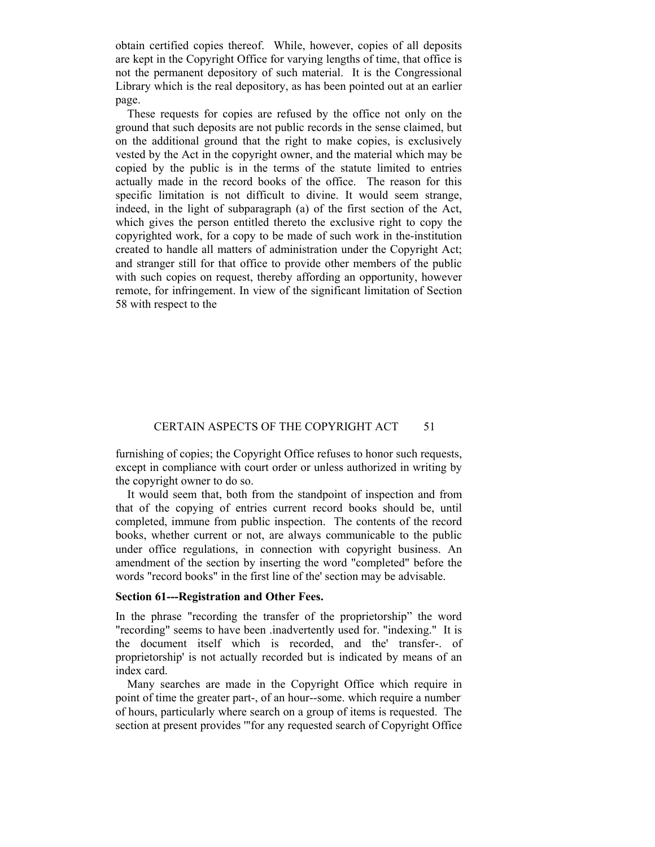obtain certified copies thereof. While, however, copies of all deposits are kept in the Copyright Office for varying lengths of time, that office is not the permanent depository of such material. It is the Congressional Library which is the real depository, as has been pointed out at an earlier page.

 These requests for copies are refused by the office not only on the ground that such deposits are not public records in the sense claimed, but on the additional ground that the right to make copies, is exclusively vested by the Act in the copyright owner, and the material which may be copied by the public is in the terms of the statute limited to entries actually made in the record books of the office. The reason for this specific limitation is not difficult to divine. It would seem strange, indeed, in the light of subparagraph (a) of the first section of the Act, which gives the person entitled thereto the exclusive right to copy the copyrighted work, for a copy to be made of such work in the-institution created to handle all matters of administration under the Copyright Act; and stranger still for that office to provide other members of the public with such copies on request, thereby affording an opportunity, however remote, for infringement. In view of the significant limitation of Section 58 with respect to the

# CERTAIN ASPECTS OF THE COPYRIGHT ACT 51

furnishing of copies; the Copyright Office refuses to honor such requests, except in compliance with court order or unless authorized in writing by the copyright owner to do so.

 It would seem that, both from the standpoint of inspection and from that of the copying of entries current record books should be, until completed, immune from public inspection. The contents of the record books, whether current or not, are always communicable to the public under office regulations, in connection with copyright business. An amendment of the section by inserting the word "completed" before the words "record books" in the first line of the' section may be advisable.

#### **Section 61---Registration and Other Fees.**

In the phrase "recording the transfer of the proprietorship" the word "recording" seems to have been .inadvertently used for. "indexing." It is the document itself which is recorded, and the' transfer-. of proprietorship' is not actually recorded but is indicated by means of an index card.

 Many searches are made in the Copyright Office which require in point of time the greater part-, of an hour--some. which require a number. of hours, particularly where search on a group of items is requested. The section at present provides '"for any requested search of Copyright Office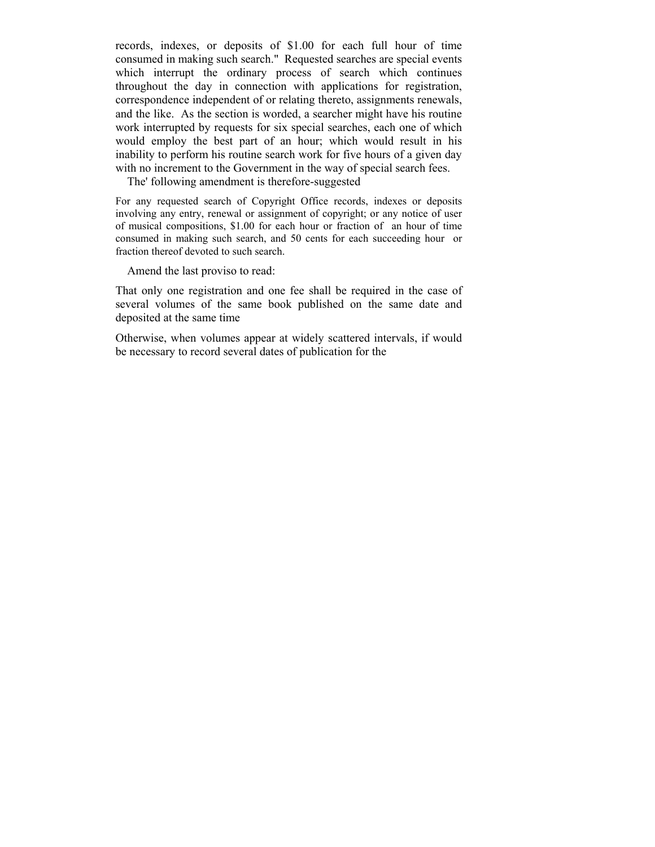records, indexes, or deposits of \$1.00 for each full hour of time consumed in making such search." Requested searches are special events which interrupt the ordinary process of search which continues throughout the day in connection with applications for registration, correspondence independent of or relating thereto, assignments renewals, and the like. As the section is worded, a searcher might have his routine work interrupted by requests for six special searches, each one of which would employ the best part of an hour; which would result in his inability to perform his routine search work for five hours of a given day with no increment to the Government in the way of special search fees.

The' following amendment is therefore-suggested

For any requested search of Copyright Office records, indexes or deposits involving any entry, renewal or assignment of copyright; or any notice of user of musical compositions, \$1.00 for each hour or fraction of an hour of time consumed in making such search, and 50 cents for each succeeding hour or fraction thereof devoted to such search.

Amend the last proviso to read:

That only one registration and one fee shall be required in the case of several volumes of the same book published on the same date and deposited at the same time

Otherwise, when volumes appear at widely scattered intervals, if would be necessary to record several dates of publication for the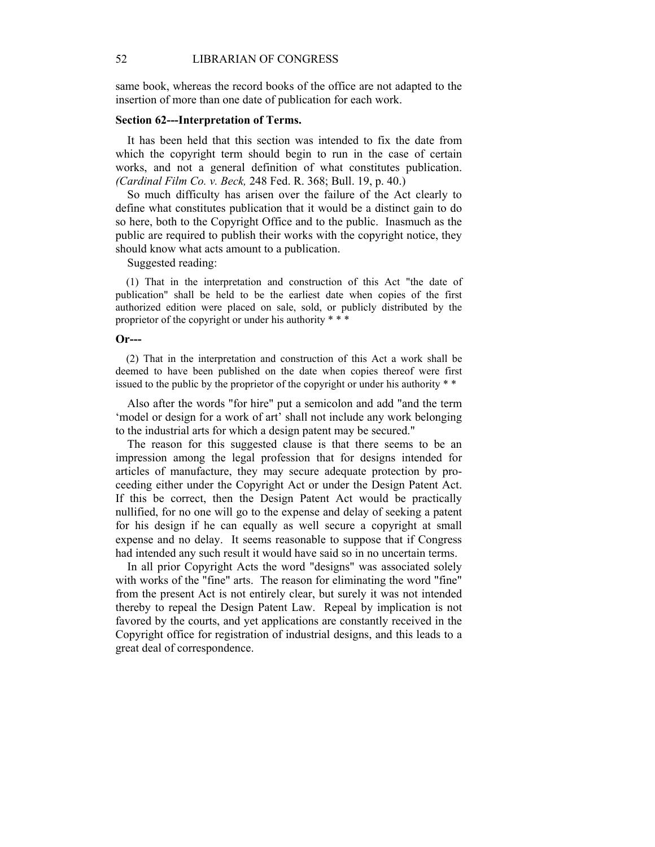same book, whereas the record books of the office are not adapted to the insertion of more than one date of publication for each work.

## **Section 62---Interpretation of Terms.**

 It has been held that this section was intended to fix the date from which the copyright term should begin to run in the case of certain works, and not a general definition of what constitutes publication. *(Cardinal Film Co. v. Beck,* 248 Fed. R. 368; Bull. 19, p. 40.)

 So much difficulty has arisen over the failure of the Act clearly to define what constitutes publication that it would be a distinct gain to do so here, both to the Copyright Office and to the public. Inasmuch as the public are required to publish their works with the copyright notice, they should know what acts amount to a publication.

Suggested reading:

 (1) That in the interpretation and construction of this Act "the date of publication" shall be held to be the earliest date when copies of the first authorized edition were placed on sale, sold, or publicly distributed by the proprietor of the copyright or under his authority \* \* \*

#### **Or---**

 (2) That in the interpretation and construction of this Act a work shall be deemed to have been published on the date when copies thereof were first issued to the public by the proprietor of the copyright or under his authority \* \*

 Also after the words "for hire" put a semicolon and add "and the term 'model or design for a work of art' shall not include any work belonging to the industrial arts for which a design patent may be secured."

 The reason for this suggested clause is that there seems to be an impression among the legal profession that for designs intended for articles of manufacture, they may secure adequate protection by proceeding either under the Copyright Act or under the Design Patent Act. If this be correct, then the Design Patent Act would be practically nullified, for no one will go to the expense and delay of seeking a patent for his design if he can equally as well secure a copyright at small expense and no delay. It seems reasonable to suppose that if Congress had intended any such result it would have said so in no uncertain terms.

 In all prior Copyright Acts the word "designs" was associated solely with works of the "fine" arts. The reason for eliminating the word "fine" from the present Act is not entirely clear, but surely it was not intended thereby to repeal the Design Patent Law. Repeal by implication is not favored by the courts, and yet applications are constantly received in the Copyright office for registration of industrial designs, and this leads to a great deal of correspondence.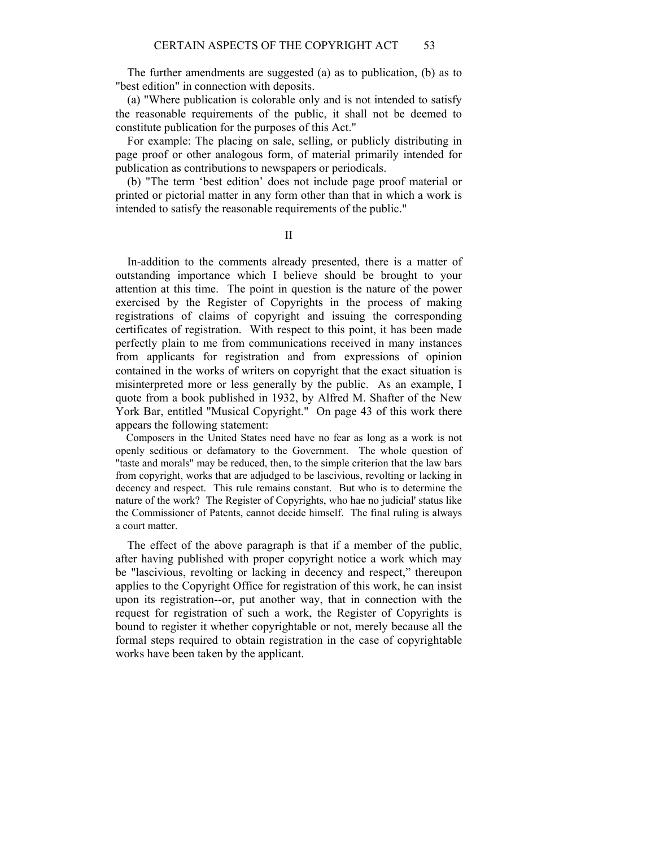The further amendments are suggested (a) as to publication, (b) as to "best edition" in connection with deposits.

 (a) "Where publication is colorable only and is not intended to satisfy the reasonable requirements of the public, it shall not be deemed to constitute publication for the purposes of this Act."

 For example: The placing on sale, selling, or publicly distributing in page proof or other analogous form, of material primarily intended for publication as contributions to newspapers or periodicals.

 (b) "The term 'best edition' does not include page proof material or printed or pictorial matter in any form other than that in which a work is intended to satisfy the reasonable requirements of the public."

II

 In-addition to the comments already presented, there is a matter of outstanding importance which I believe should be brought to your attention at this time. The point in question is the nature of the power exercised by the Register of Copyrights in the process of making registrations of claims of copyright and issuing the corresponding certificates of registration. With respect to this point, it has been made perfectly plain to me from communications received in many instances from applicants for registration and from expressions of opinion contained in the works of writers on copyright that the exact situation is misinterpreted more or less generally by the public. As an example, I quote from a book published in 1932, by Alfred M. Shafter of the New York Bar, entitled "Musical Copyright." On page 43 of this work there appears the following statement:

 Composers in the United States need have no fear as long as a work is not openly seditious or defamatory to the Government. The whole question of "taste and morals" may be reduced, then, to the simple criterion that the law bars from copyright, works that are adjudged to be lascivious, revolting or lacking in decency and respect. This rule remains constant. But who is to determine the nature of the work? The Register of Copyrights, who hae no judicial' status like the Commissioner of Patents, cannot decide himself. The final ruling is always a court matter.

 The effect of the above paragraph is that if a member of the public, after having published with proper copyright notice a work which may be "lascivious, revolting or lacking in decency and respect," thereupon applies to the Copyright Office for registration of this work, he can insist upon its registration--or, put another way, that in connection with the request for registration of such a work, the Register of Copyrights is bound to register it whether copyrightable or not, merely because all the formal steps required to obtain registration in the case of copyrightable works have been taken by the applicant.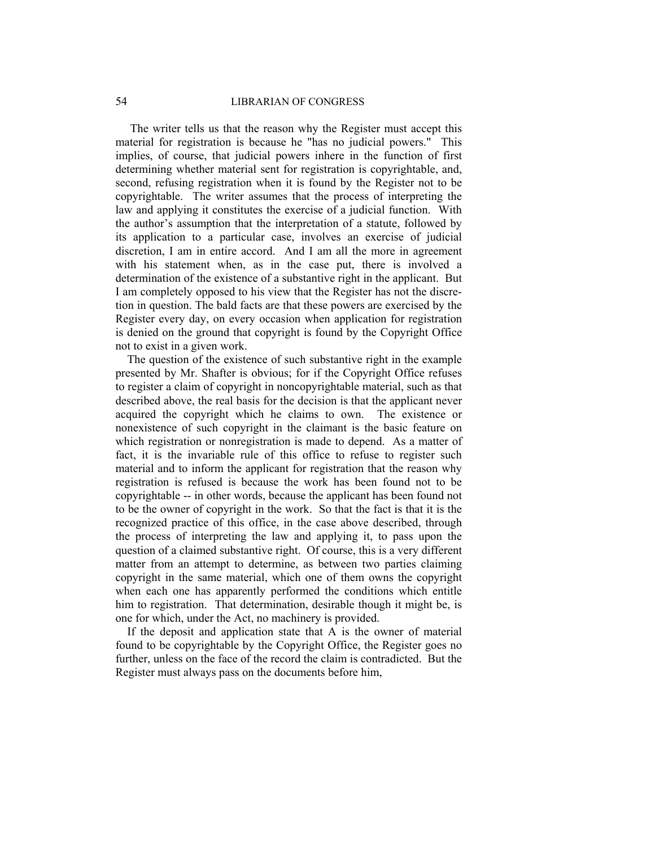# 54 LIBRARIAN OF CONGRESS

 The writer tells us that the reason why the Register must accept this material for registration is because he "has no judicial powers." This implies, of course, that judicial powers inhere in the function of first determining whether material sent for registration is copyrightable, and, second, refusing registration when it is found by the Register not to be copyrightable. The writer assumes that the process of interpreting the law and applying it constitutes the exercise of a judicial function. With the author's assumption that the interpretation of a statute, followed by its application to a particular case, involves an exercise of judicial discretion, I am in entire accord. And I am all the more in agreement with his statement when, as in the case put, there is involved a determination of the existence of a substantive right in the applicant. But I am completely opposed to his view that the Register has not the discretion in question. The bald facts are that these powers are exercised by the Register every day, on every occasion when application for registration is denied on the ground that copyright is found by the Copyright Office not to exist in a given work.

 The question of the existence of such substantive right in the example presented by Mr. Shafter is obvious; for if the Copyright Office refuses to register a claim of copyright in noncopyrightable material, such as that described above, the real basis for the decision is that the applicant never acquired the copyright which he claims to own. The existence or nonexistence of such copyright in the claimant is the basic feature on which registration or nonregistration is made to depend. As a matter of fact, it is the invariable rule of this office to refuse to register such material and to inform the applicant for registration that the reason why registration is refused is because the work has been found not to be copyrightable -- in other words, because the applicant has been found not to be the owner of copyright in the work. So that the fact is that it is the recognized practice of this office, in the case above described, through the process of interpreting the law and applying it, to pass upon the question of a claimed substantive right. Of course, this is a very different matter from an attempt to determine, as between two parties claiming copyright in the same material, which one of them owns the copyright when each one has apparently performed the conditions which entitle him to registration. That determination, desirable though it might be, is one for which, under the Act, no machinery is provided.

 If the deposit and application state that A is the owner of material found to be copyrightable by the Copyright Office, the Register goes no further, unless on the face of the record the claim is contradicted. But the Register must always pass on the documents before him,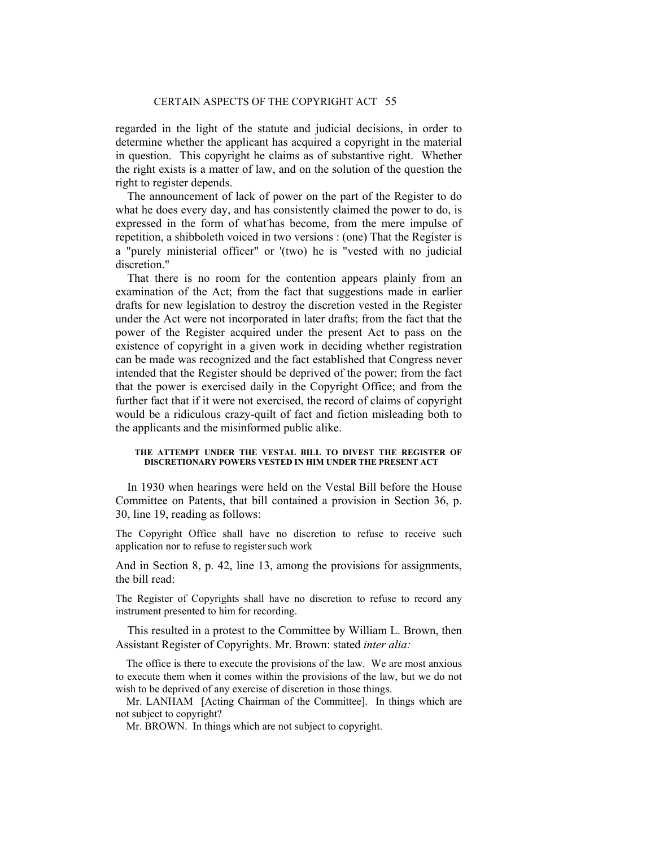regarded in the light of the statute and judicial decisions, in order to determine whether the applicant has acquired a copyright in the material in question. This copyright he claims as of substantive right. Whether the right exists is a matter of law, and on the solution of the question the right to register depends.

 The announcement of lack of power on the part of the Register to do what he does every day, and has consistently claimed the power to do, is expressed in the form of what-has become, from the mere impulse of repetition, a shibboleth voiced in two versions : (one) That the Register is a "purely ministerial officer" or '(two) he is "vested with no judicial discretion."

 That there is no room for the contention appears plainly from an examination of the Act; from the fact that suggestions made in earlier drafts for new legislation to destroy the discretion vested in the Register under the Act were not incorporated in later drafts; from the fact that the power of the Register acquired under the present Act to pass on the existence of copyright in a given work in deciding whether registration can be made was recognized and the fact established that Congress never intended that the Register should be deprived of the power; from the fact that the power is exercised daily in the Copyright Office; and from the further fact that if it were not exercised, the record of claims of copyright would be a ridiculous crazy-quilt of fact and fiction misleading both to the applicants and the misinformed public alike.

#### **THE ATTEMPT UNDER THE VESTAL BILL TO DIVEST THE REGISTER OF DISCRETIONARY POWERS VESTED IN HIM UNDER THE PRESENT ACT**

 In 1930 when hearings were held on the Vestal Bill before the House Committee on Patents, that bill contained a provision in Section 36, p. 30, line 19, reading as follows:

The Copyright Office shall have no discretion to refuse to receive such application nor to refuse to register such work

And in Section 8, p. 42, line 13, among the provisions for assignments, the bill read:

The Register of Copyrights shall have no discretion to refuse to record any instrument presented to him for recording.

 This resulted in a protest to the Committee by William L. Brown, then Assistant Register of Copyrights. Mr. Brown: stated *inter alia:* 

 The office is there to execute the provisions of the law. We are most anxious to execute them when it comes within the provisions of the law, but we do not wish to be deprived of any exercise of discretion in those things.

 Mr. LANHAM [Acting Chairman of the Committee]. In things which are not subject to copyright?

Mr. BROWN. In things which are not subject to copyright.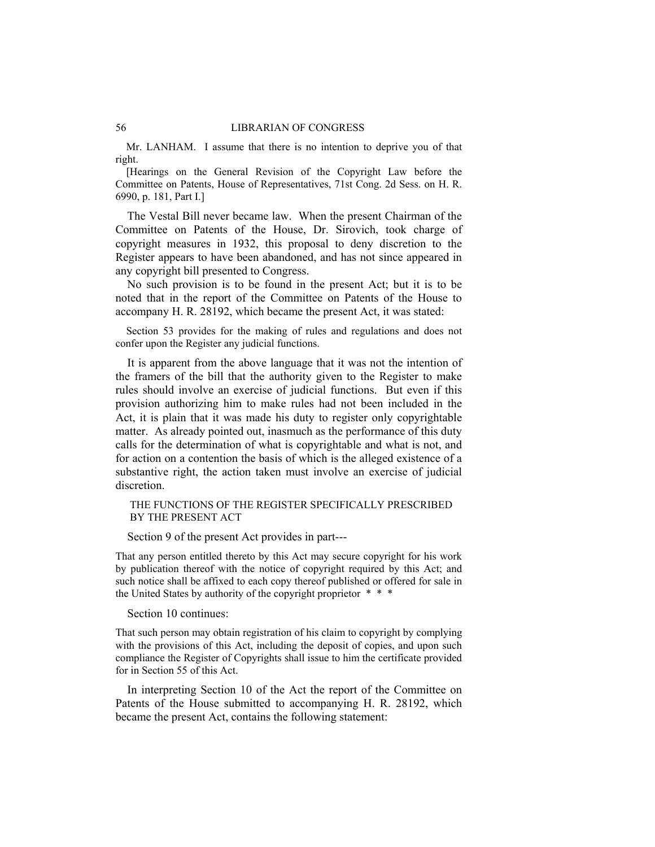#### 56 LIBRARIAN OF CONGRESS

 Mr. LANHAM. I assume that there is no intention to deprive you of that right.

 [Hearings on the General Revision of the Copyright Law before the Committee on Patents, House of Representatives, 71st Cong. 2d Sess. on H. R. 6990, p. 181, Part I.]

 The Vestal Bill never became law. When the present Chairman of the Committee on Patents of the House, Dr. Sirovich, took charge of copyright measures in 1932, this proposal to deny discretion to the Register appears to have been abandoned, and has not since appeared in any copyright bill presented to Congress.

 No such provision is to be found in the present Act; but it is to be noted that in the report of the Committee on Patents of the House to accompany H. R. 28192, which became the present Act, it was stated:

 Section 53 provides for the making of rules and regulations and does not confer upon the Register any judicial functions.

 It is apparent from the above language that it was not the intention of the framers of the bill that the authority given to the Register to make rules should involve an exercise of judicial functions. But even if this provision authorizing him to make rules had not been included in the Act, it is plain that it was made his duty to register only copyrightable matter. As already pointed out, inasmuch as the performance of this duty calls for the determination of what is copyrightable and what is not, and for action on a contention the basis of which is the alleged existence of a substantive right, the action taken must involve an exercise of judicial discretion.

### THE FUNCTIONS OF THE REGISTER SPECIFICALLY PRESCRIBED BY THE PRESENT ACT

Section 9 of the present Act provides in part---

That any person entitled thereto by this Act may secure copyright for his work by publication thereof with the notice of copyright required by this Act; and such notice shall be affixed to each copy thereof published or offered for sale in the United States by authority of the copyright proprietor \* \* \*

Section 10 continues:

That such person may obtain registration of his claim to copyright by complying with the provisions of this Act, including the deposit of copies, and upon such compliance the Register of Copyrights shall issue to him the certificate provided for in Section 55 of this Act.

 In interpreting Section 10 of the Act the report of the Committee on Patents of the House submitted to accompanying H. R. 28192, which became the present Act, contains the following statement: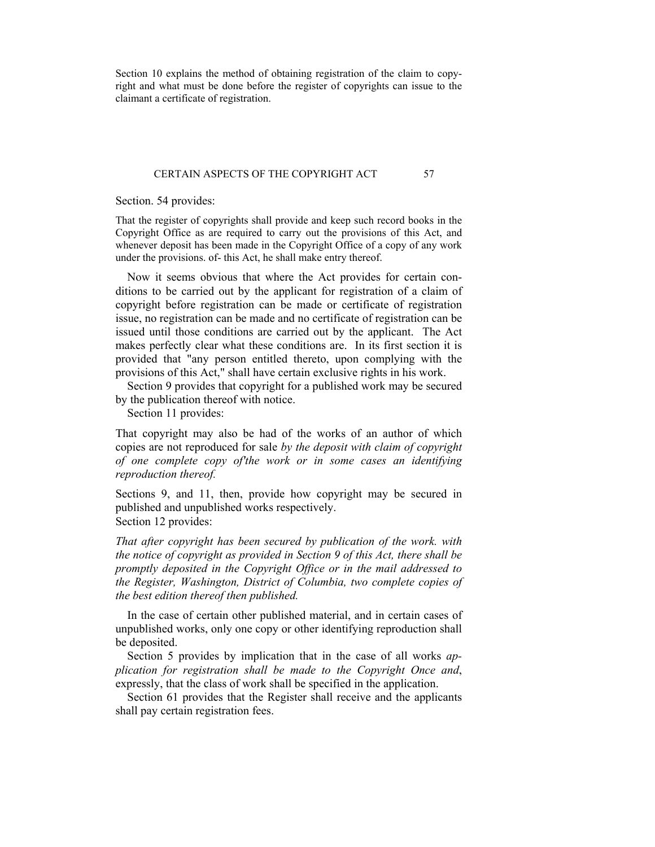Section 10 explains the method of obtaining registration of the claim to copyright and what must be done before the register of copyrights can issue to the claimant a certificate of registration.

#### CERTAIN ASPECTS OF THE COPYRIGHT ACT 57

Section. 54 provides:

That the register of copyrights shall provide and keep such record books in the Copyright Office as are required to carry out the provisions of this Act, and whenever deposit has been made in the Copyright Office of a copy of any work under the provisions. of- this Act, he shall make entry thereof.

 Now it seems obvious that where the Act provides for certain conditions to be carried out by the applicant for registration of a claim of copyright before registration can be made or certificate of registration issue, no registration can be made and no certificate of registration can be issued until those conditions are carried out by the applicant. The Act makes perfectly clear what these conditions are. In its first section it is provided that "any person entitled thereto, upon complying with the provisions of this Act," shall have certain exclusive rights in his work.

 Section 9 provides that copyright for a published work may be secured by the publication thereof with notice.

Section 11 provides:

That copyright may also be had of the works of an author of which copies are not reproduced for sale *by the deposit with claim of copyright of one complete copy of'the work or in some cases an identifying reproduction thereof.* 

Sections 9, and 11, then, provide how copyright may be secured in published and unpublished works respectively. Section 12 provides:

*That after copyright has been secured by publication of the work. with the notice of copyright as provided in Section 9 of this Act, there shall be promptly deposited in the Copyright Office or in the mail addressed to the Register, Washington, District of Columbia, two complete copies of the best edition thereof then published.* 

 In the case of certain other published material, and in certain cases of unpublished works, only one copy or other identifying reproduction shall be deposited.

 Section 5 provides by implication that in the case of all works *application for registration shall be made to the Copyright Once and*, expressly, that the class of work shall be specified in the application.

 Section 61 provides that the Register shall receive and the applicants shall pay certain registration fees.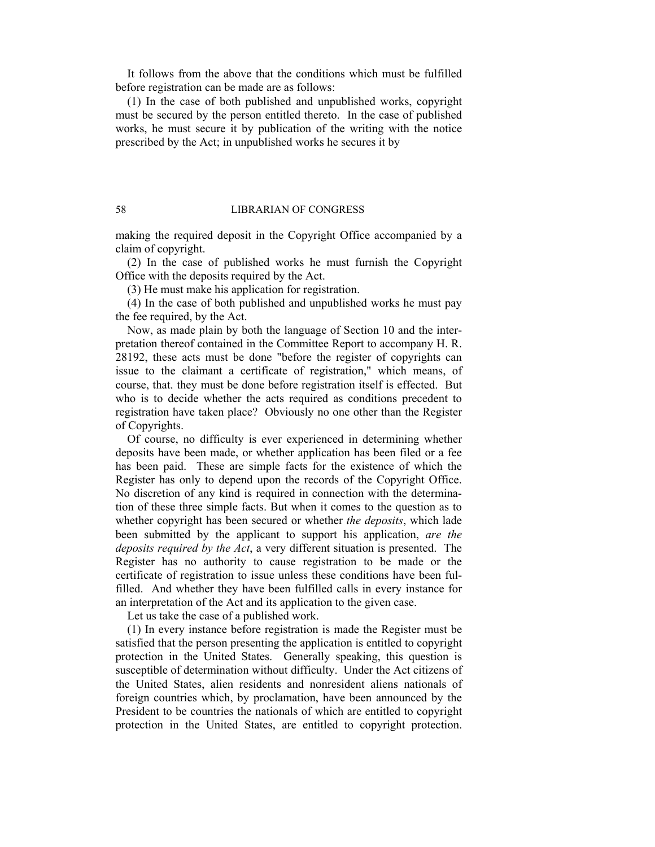It follows from the above that the conditions which must be fulfilled before registration can be made are as follows:

 (1) In the case of both published and unpublished works, copyright must be secured by the person entitled thereto. In the case of published works, he must secure it by publication of the writing with the notice prescribed by the Act; in unpublished works he secures it by

#### 58 LIBRARIAN OF CONGRESS

making the required deposit in the Copyright Office accompanied by a claim of copyright.

 (2) In the case of published works he must furnish the Copyright Office with the deposits required by the Act.

(3) He must make his application for registration.

 (4) In the case of both published and unpublished works he must pay the fee required, by the Act.

 Now, as made plain by both the language of Section 10 and the interpretation thereof contained in the Committee Report to accompany H. R. 28192, these acts must be done "before the register of copyrights can issue to the claimant a certificate of registration," which means, of course, that. they must be done before registration itself is effected. But who is to decide whether the acts required as conditions precedent to registration have taken place? Obviously no one other than the Register of Copyrights.

 Of course, no difficulty is ever experienced in determining whether deposits have been made, or whether application has been filed or a fee has been paid. These are simple facts for the existence of which the Register has only to depend upon the records of the Copyright Office. No discretion of any kind is required in connection with the determination of these three simple facts. But when it comes to the question as to whether copyright has been secured or whether *the deposits*, which lade been submitted by the applicant to support his application, *are the deposits required by the Act*, a very different situation is presented. The Register has no authority to cause registration to be made or the certificate of registration to issue unless these conditions have been fulfilled. And whether they have been fulfilled calls in every instance for an interpretation of the Act and its application to the given case.

Let us take the case of a published work.

 (1) In every instance before registration is made the Register must be satisfied that the person presenting the application is entitled to copyright protection in the United States. Generally speaking, this question is susceptible of determination without difficulty. Under the Act citizens of the United States, alien residents and nonresident aliens nationals of foreign countries which, by proclamation, have been announced by the President to be countries the nationals of which are entitled to copyright protection in the United States, are entitled to copyright protection.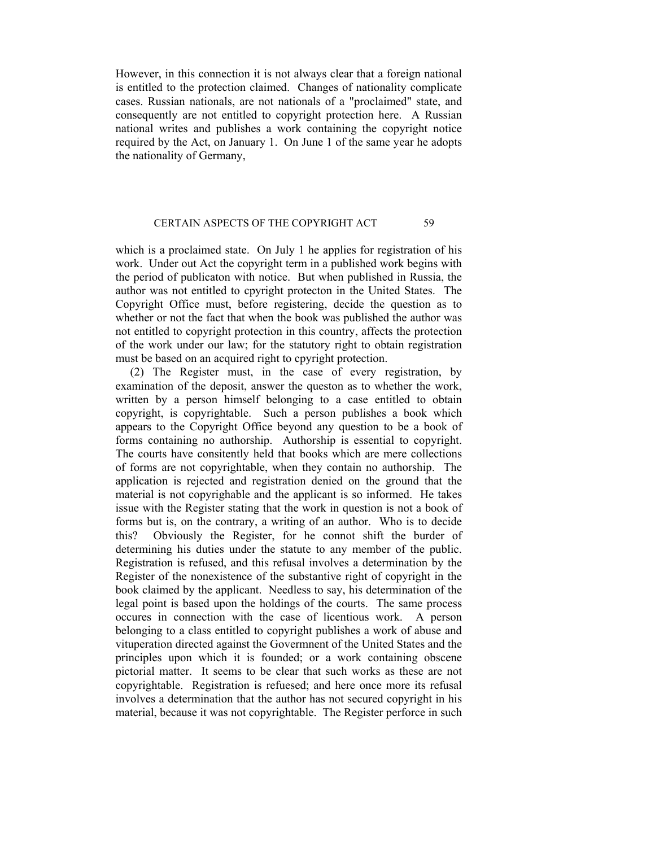However, in this connection it is not always clear that a foreign national is entitled to the protection claimed. Changes of nationality complicate cases. Russian nationals, are not nationals of a "proclaimed" state, and consequently are not entitled to copyright protection here. A Russian national writes and publishes a work containing the copyright notice required by the Act, on January 1. On June 1 of the same year he adopts the nationality of Germany,

#### CERTAIN ASPECTS OF THE COPYRIGHT ACT 59

which is a proclaimed state. On July 1 he applies for registration of his work. Under out Act the copyright term in a published work begins with the period of publicaton with notice. But when published in Russia, the author was not entitled to cpyright protecton in the United States. The Copyright Office must, before registering, decide the question as to whether or not the fact that when the book was published the author was not entitled to copyright protection in this country, affects the protection of the work under our law; for the statutory right to obtain registration must be based on an acquired right to cpyright protection.

 (2) The Register must, in the case of every registration, by examination of the deposit, answer the queston as to whether the work, written by a person himself belonging to a case entitled to obtain copyright, is copyrightable. Such a person publishes a book which appears to the Copyright Office beyond any question to be a book of forms containing no authorship. Authorship is essential to copyright. The courts have consitently held that books which are mere collections of forms are not copyrightable, when they contain no authorship. The application is rejected and registration denied on the ground that the material is not copyrighable and the applicant is so informed. He takes issue with the Register stating that the work in question is not a book of forms but is, on the contrary, a writing of an author. Who is to decide this? Obviously the Register, for he connot shift the burder of determining his duties under the statute to any member of the public. Registration is refused, and this refusal involves a determination by the Register of the nonexistence of the substantive right of copyright in the book claimed by the applicant. Needless to say, his determination of the legal point is based upon the holdings of the courts. The same process occures in connection with the case of licentious work. A person belonging to a class entitled to copyright publishes a work of abuse and vituperation directed against the Govermnent of the United States and the principles upon which it is founded; or a work containing obscene pictorial matter. It seems to be clear that such works as these are not copyrightable. Registration is refuesed; and here once more its refusal involves a determination that the author has not secured copyright in his material, because it was not copyrightable. The Register perforce in such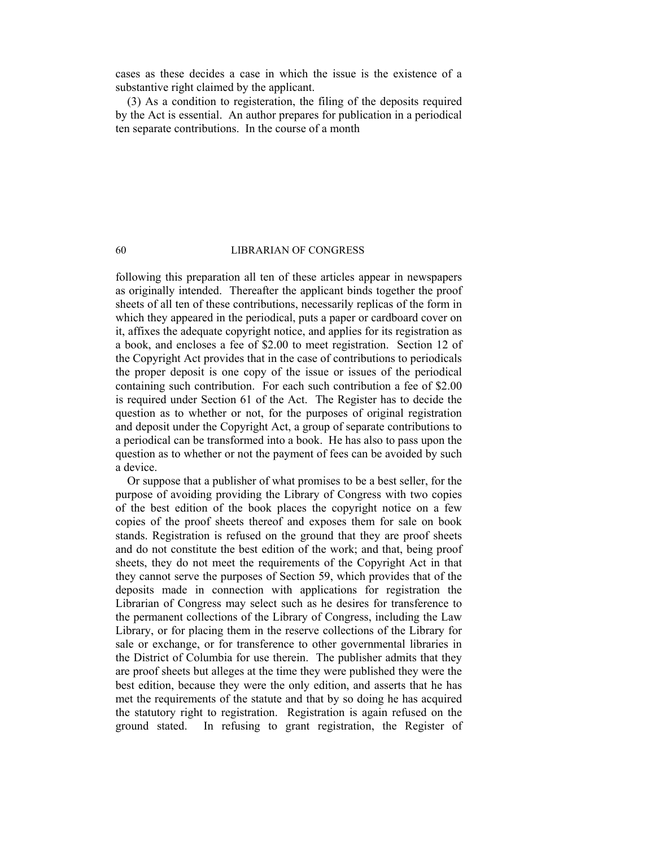cases as these decides a case in which the issue is the existence of a substantive right claimed by the applicant.

 (3) As a condition to registeration, the filing of the deposits required by the Act is essential. An author prepares for publication in a periodical ten separate contributions. In the course of a month

# 60 LIBRARIAN OF CONGRESS

following this preparation all ten of these articles appear in newspapers as originally intended. Thereafter the applicant binds together the proof sheets of all ten of these contributions, necessarily replicas of the form in which they appeared in the periodical, puts a paper or cardboard cover on it, affixes the adequate copyright notice, and applies for its registration as a book, and encloses a fee of \$2.00 to meet registration. Section 12 of the Copyright Act provides that in the case of contributions to periodicals the proper deposit is one copy of the issue or issues of the periodical containing such contribution. For each such contribution a fee of \$2.00 is required under Section 61 of the Act. The Register has to decide the question as to whether or not, for the purposes of original registration and deposit under the Copyright Act, a group of separate contributions to a periodical can be transformed into a book. He has also to pass upon the question as to whether or not the payment of fees can be avoided by such a device.

 Or suppose that a publisher of what promises to be a best seller, for the purpose of avoiding providing the Library of Congress with two copies of the best edition of the book places the copyright notice on a few copies of the proof sheets thereof and exposes them for sale on book stands. Registration is refused on the ground that they are proof sheets and do not constitute the best edition of the work; and that, being proof sheets, they do not meet the requirements of the Copyright Act in that they cannot serve the purposes of Section 59, which provides that of the deposits made in connection with applications for registration the Librarian of Congress may select such as he desires for transference to the permanent collections of the Library of Congress, including the Law Library, or for placing them in the reserve collections of the Library for sale or exchange, or for transference to other governmental libraries in the District of Columbia for use therein. The publisher admits that they are proof sheets but alleges at the time they were published they were the best edition, because they were the only edition, and asserts that he has met the requirements of the statute and that by so doing he has acquired the statutory right to registration. Registration is again refused on the ground stated. In refusing to grant registration, the Register of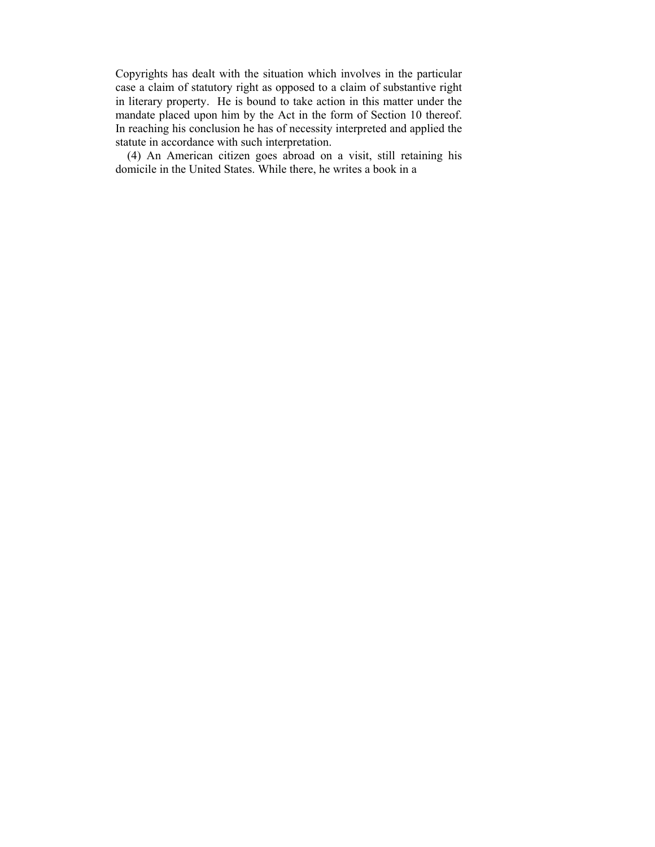Copyrights has dealt with the situation which involves in the particular case a claim of statutory right as opposed to a claim of substantive right in literary property. He is bound to take action in this matter under the mandate placed upon him by the Act in the form of Section 10 thereof. In reaching his conclusion he has of necessity interpreted and applied the statute in accordance with such interpretation.

 (4) An American citizen goes abroad on a visit, still retaining his domicile in the United States. While there, he writes a book in a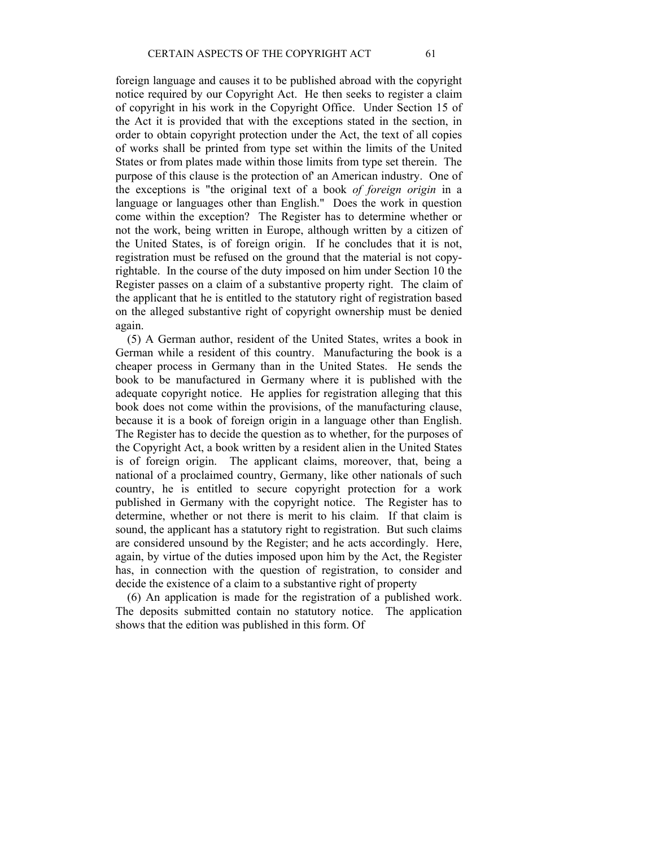foreign language and causes it to be published abroad with the copyright notice required by our Copyright Act. He then seeks to register a claim of copyright in his work in the Copyright Office. Under Section 15 of the Act it is provided that with the exceptions stated in the section, in order to obtain copyright protection under the Act, the text of all copies of works shall be printed from type set within the limits of the United States or from plates made within those limits from type set therein. The purpose of this clause is the protection of' an American industry. One of the exceptions is "the original text of a book *of foreign origin* in a language or languages other than English." Does the work in question come within the exception? The Register has to determine whether or not the work, being written in Europe, although written by a citizen of the United States, is of foreign origin. If he concludes that it is not, registration must be refused on the ground that the material is not copyrightable. In the course of the duty imposed on him under Section 10 the Register passes on a claim of a substantive property right. The claim of the applicant that he is entitled to the statutory right of registration based on the alleged substantive right of copyright ownership must be denied again.

 (5) A German author, resident of the United States, writes a book in German while a resident of this country. Manufacturing the book is a cheaper process in Germany than in the United States. He sends the book to be manufactured in Germany where it is published with the adequate copyright notice. He applies for registration alleging that this book does not come within the provisions, of the manufacturing clause, because it is a book of foreign origin in a language other than English. The Register has to decide the question as to whether, for the purposes of the Copyright Act, a book written by a resident alien in the United States is of foreign origin. The applicant claims, moreover, that, being a national of a proclaimed country, Germany, like other nationals of such country, he is entitled to secure copyright protection for a work published in Germany with the copyright notice. The Register has to determine, whether or not there is merit to his claim. If that claim is sound, the applicant has a statutory right to registration. But such claims are considered unsound by the Register; and he acts accordingly. Here, again, by virtue of the duties imposed upon him by the Act, the Register has, in connection with the question of registration, to consider and decide the existence of a claim to a substantive right of property

 (6) An application is made for the registration of a published work. The deposits submitted contain no statutory notice. The application shows that the edition was published in this form. Of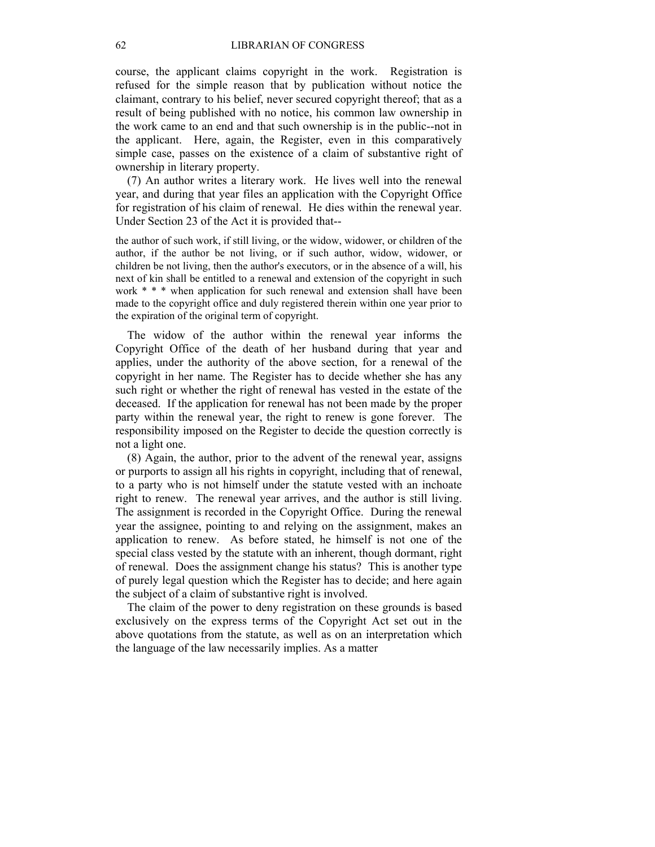course, the applicant claims copyright in the work. Registration is refused for the simple reason that by publication without notice the claimant, contrary to his belief, never secured copyright thereof; that as a result of being published with no notice, his common law ownership in the work came to an end and that such ownership is in the public--not in the applicant. Here, again, the Register, even in this comparatively simple case, passes on the existence of a claim of substantive right of ownership in literary property.

 (7) An author writes a literary work. He lives well into the renewal year, and during that year files an application with the Copyright Office for registration of his claim of renewal. He dies within the renewal year. Under Section 23 of the Act it is provided that--

the author of such work, if still living, or the widow, widower, or children of the author, if the author be not living, or if such author, widow, widower, or children be not living, then the author's executors, or in the absence of a will, his next of kin shall be entitled to a renewal and extension of the copyright in such work  $* * *$  when application for such renewal and extension shall have been made to the copyright office and duly registered therein within one year prior to the expiration of the original term of copyright.

 The widow of the author within the renewal year informs the Copyright Office of the death of her husband during that year and applies, under the authority of the above section, for a renewal of the copyright in her name. The Register has to decide whether she has any such right or whether the right of renewal has vested in the estate of the deceased. If the application for renewal has not been made by the proper party within the renewal year, the right to renew is gone forever. The responsibility imposed on the Register to decide the question correctly is not a light one.

 (8) Again, the author, prior to the advent of the renewal year, assigns or purports to assign all his rights in copyright, including that of renewal, to a party who is not himself under the statute vested with an inchoate right to renew. The renewal year arrives, and the author is still living. The assignment is recorded in the Copyright Office. During the renewal year the assignee, pointing to and relying on the assignment, makes an application to renew. As before stated, he himself is not one of the special class vested by the statute with an inherent, though dormant, right of renewal. Does the assignment change his status? This is another type of purely legal question which the Register has to decide; and here again the subject of a claim of substantive right is involved.

 The claim of the power to deny registration on these grounds is based exclusively on the express terms of the Copyright Act set out in the above quotations from the statute, as well as on an interpretation which the language of the law necessarily implies. As a matter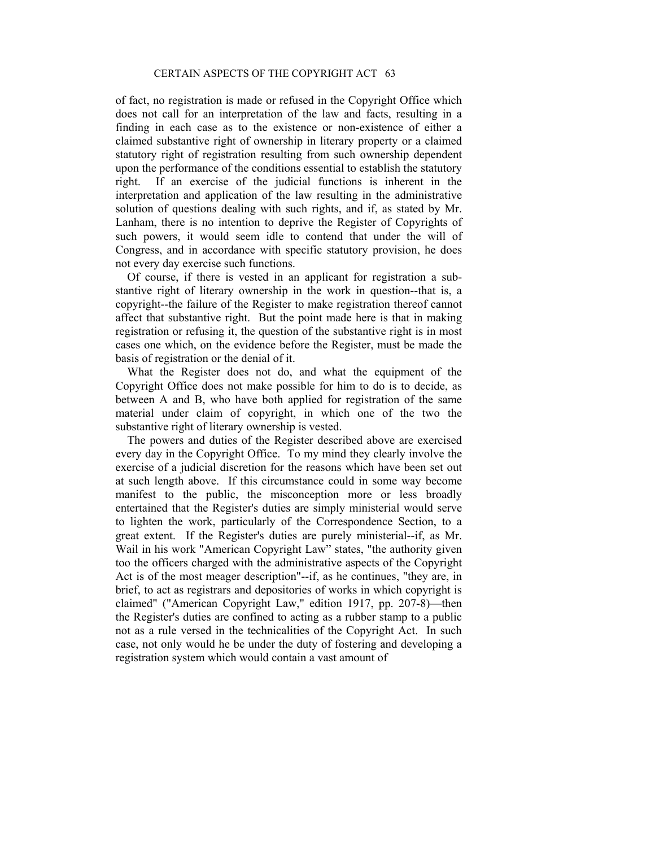of fact, no registration is made or refused in the Copyright Office which does not call for an interpretation of the law and facts, resulting in a finding in each case as to the existence or non-existence of either a claimed substantive right of ownership in literary property or a claimed statutory right of registration resulting from such ownership dependent upon the performance of the conditions essential to establish the statutory right. If an exercise of the judicial functions is inherent in the interpretation and application of the law resulting in the administrative solution of questions dealing with such rights, and if, as stated by Mr. Lanham, there is no intention to deprive the Register of Copyrights of such powers, it would seem idle to contend that under the will of Congress, and in accordance with specific statutory provision, he does not every day exercise such functions.

 Of course, if there is vested in an applicant for registration a substantive right of literary ownership in the work in question--that is, a copyright--the failure of the Register to make registration thereof cannot affect that substantive right. But the point made here is that in making registration or refusing it, the question of the substantive right is in most cases one which, on the evidence before the Register, must be made the basis of registration or the denial of it.

 What the Register does not do, and what the equipment of the Copyright Office does not make possible for him to do is to decide, as between A and B, who have both applied for registration of the same material under claim of copyright, in which one of the two the substantive right of literary ownership is vested.

 The powers and duties of the Register described above are exercised every day in the Copyright Office. To my mind they clearly involve the exercise of a judicial discretion for the reasons which have been set out at such length above. If this circumstance could in some way become manifest to the public, the misconception more or less broadly entertained that the Register's duties are simply ministerial would serve to lighten the work, particularly of the Correspondence Section, to a great extent. If the Register's duties are purely ministerial--if, as Mr. Wail in his work "American Copyright Law" states, "the authority given too the officers charged with the administrative aspects of the Copyright Act is of the most meager description"--if, as he continues, "they are, in brief, to act as registrars and depositories of works in which copyright is claimed" ("American Copyright Law," edition 1917, pp. 207-8)—then the Register's duties are confined to acting as a rubber stamp to a public not as a rule versed in the technicalities of the Copyright Act. In such case, not only would he be under the duty of fostering and developing a registration system which would contain a vast amount of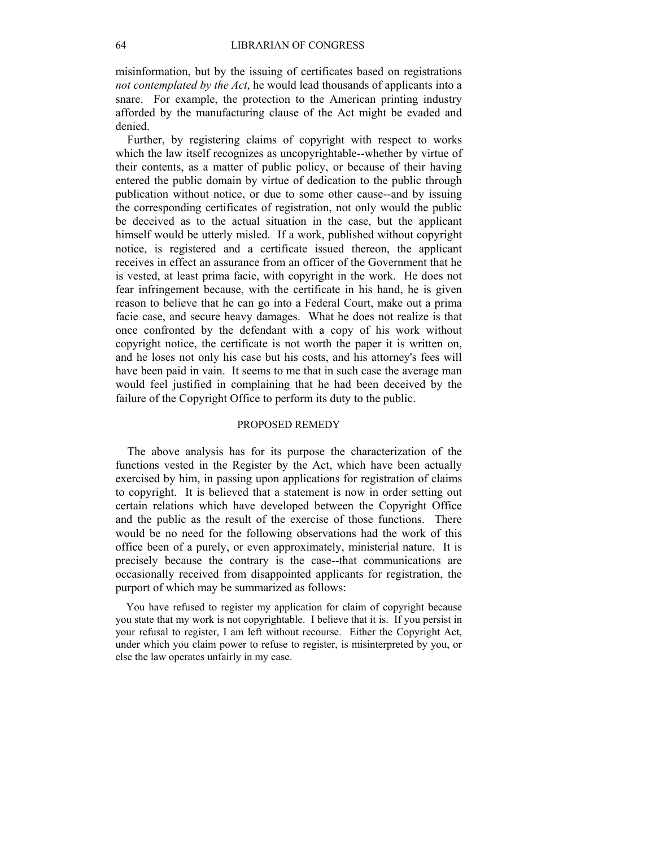misinformation, but by the issuing of certificates based on registrations *not contemplated by the Act*, he would lead thousands of applicants into a snare. For example, the protection to the American printing industry afforded by the manufacturing clause of the Act might be evaded and denied.

 Further, by registering claims of copyright with respect to works which the law itself recognizes as uncopyrightable--whether by virtue of their contents, as a matter of public policy, or because of their having entered the public domain by virtue of dedication to the public through publication without notice, or due to some other cause--and by issuing the corresponding certificates of registration, not only would the public be deceived as to the actual situation in the case, but the applicant himself would be utterly misled. If a work, published without copyright notice, is registered and a certificate issued thereon, the applicant receives in effect an assurance from an officer of the Government that he is vested, at least prima facie, with copyright in the work. He does not fear infringement because, with the certificate in his hand, he is given reason to believe that he can go into a Federal Court, make out a prima facie case, and secure heavy damages. What he does not realize is that once confronted by the defendant with a copy of his work without copyright notice, the certificate is not worth the paper it is written on, and he loses not only his case but his costs, and his attorney's fees will have been paid in vain. It seems to me that in such case the average man would feel justified in complaining that he had been deceived by the failure of the Copyright Office to perform its duty to the public.

#### PROPOSED REMEDY

 The above analysis has for its purpose the characterization of the functions vested in the Register by the Act, which have been actually exercised by him, in passing upon applications for registration of claims to copyright. It is believed that a statement is now in order setting out certain relations which have developed between the Copyright Office and the public as the result of the exercise of those functions. There would be no need for the following observations had the work of this office been of a purely, or even approximately, ministerial nature. It is precisely because the contrary is the case--that communications are occasionally received from disappointed applicants for registration, the purport of which may be summarized as follows:

 You have refused to register my application for claim of copyright because you state that my work is not copyrightable. I believe that it is. If you persist in your refusal to register, I am left without recourse. Either the Copyright Act, under which you claim power to refuse to register, is misinterpreted by you, or else the law operates unfairly in my case.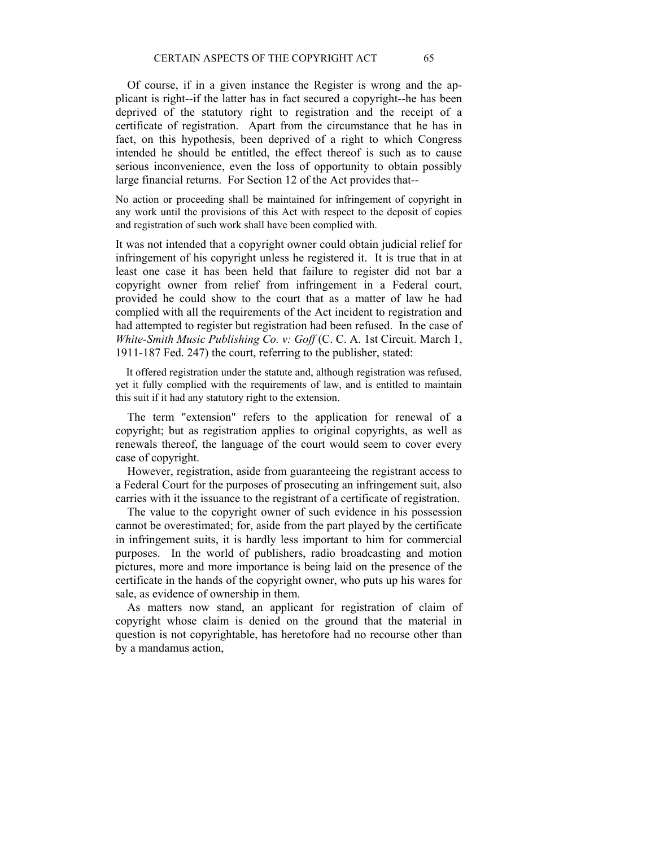Of course, if in a given instance the Register is wrong and the applicant is right--if the latter has in fact secured a copyright--he has been deprived of the statutory right to registration and the receipt of a certificate of registration. Apart from the circumstance that he has in fact, on this hypothesis, been deprived of a right to which Congress intended he should be entitled, the effect thereof is such as to cause serious inconvenience, even the loss of opportunity to obtain possibly large financial returns. For Section 12 of the Act provides that--

No action or proceeding shall be maintained for infringement of copyright in any work until the provisions of this Act with respect to the deposit of copies and registration of such work shall have been complied with.

It was not intended that a copyright owner could obtain judicial relief for infringement of his copyright unless he registered it. It is true that in at least one case it has been held that failure to register did not bar a copyright owner from relief from infringement in a Federal court, provided he could show to the court that as a matter of law he had complied with all the requirements of the Act incident to registration and had attempted to register but registration had been refused. In the case of *White-Smith Music Publishing Co. v: Goff* (C. C. A. 1st Circuit. March 1, 1911-187 Fed. 247) the court, referring to the publisher, stated:

 It offered registration under the statute and, although registration was refused, yet it fully complied with the requirements of law, and is entitled to maintain this suit if it had any statutory right to the extension.

 The term "extension" refers to the application for renewal of a copyright; but as registration applies to original copyrights, as well as renewals thereof, the language of the court would seem to cover every case of copyright.

 However, registration, aside from guaranteeing the registrant access to a Federal Court for the purposes of prosecuting an infringement suit, also carries with it the issuance to the registrant of a certificate of registration.

 The value to the copyright owner of such evidence in his possession cannot be overestimated; for, aside from the part played by the certificate in infringement suits, it is hardly less important to him for commercial purposes. In the world of publishers, radio broadcasting and motion pictures, more and more importance is being laid on the presence of the certificate in the hands of the copyright owner, who puts up his wares for sale, as evidence of ownership in them.

 As matters now stand, an applicant for registration of claim of copyright whose claim is denied on the ground that the material in question is not copyrightable, has heretofore had no recourse other than by a mandamus action,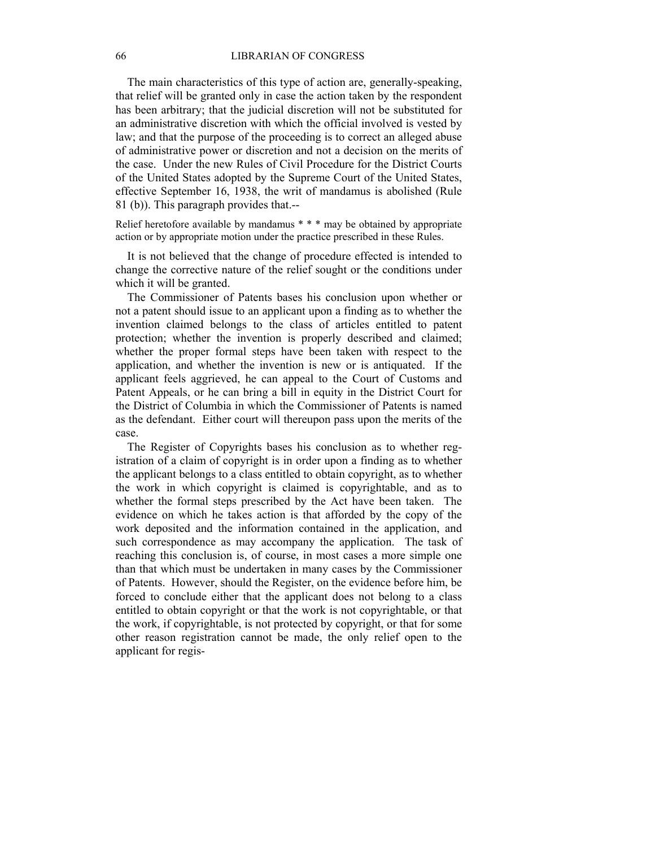#### 66 LIBRARIAN OF CONGRESS

 The main characteristics of this type of action are, generally-speaking, that relief will be granted only in case the action taken by the respondent has been arbitrary; that the judicial discretion will not be substituted for an administrative discretion with which the official involved is vested by law; and that the purpose of the proceeding is to correct an alleged abuse of administrative power or discretion and not a decision on the merits of the case. Under the new Rules of Civil Procedure for the District Courts of the United States adopted by the Supreme Court of the United States, effective September 16, 1938, the writ of mandamus is abolished (Rule 81 (b)). This paragraph provides that.--

Relief heretofore available by mandamus \* \* \* may be obtained by appropriate action or by appropriate motion under the practice prescribed in these Rules.

 It is not believed that the change of procedure effected is intended to change the corrective nature of the relief sought or the conditions under which it will be granted.

 The Commissioner of Patents bases his conclusion upon whether or not a patent should issue to an applicant upon a finding as to whether the invention claimed belongs to the class of articles entitled to patent protection; whether the invention is properly described and claimed; whether the proper formal steps have been taken with respect to the application, and whether the invention is new or is antiquated. If the applicant feels aggrieved, he can appeal to the Court of Customs and Patent Appeals, or he can bring a bill in equity in the District Court for the District of Columbia in which the Commissioner of Patents is named as the defendant. Either court will thereupon pass upon the merits of the case.

 The Register of Copyrights bases his conclusion as to whether registration of a claim of copyright is in order upon a finding as to whether the applicant belongs to a class entitled to obtain copyright, as to whether the work in which copyright is claimed is copyrightable, and as to whether the formal steps prescribed by the Act have been taken. The evidence on which he takes action is that afforded by the copy of the work deposited and the information contained in the application, and such correspondence as may accompany the application. The task of reaching this conclusion is, of course, in most cases a more simple one than that which must be undertaken in many cases by the Commissioner of Patents. However, should the Register, on the evidence before him, be forced to conclude either that the applicant does not belong to a class entitled to obtain copyright or that the work is not copyrightable, or that the work, if copyrightable, is not protected by copyright, or that for some other reason registration cannot be made, the only relief open to the applicant for regis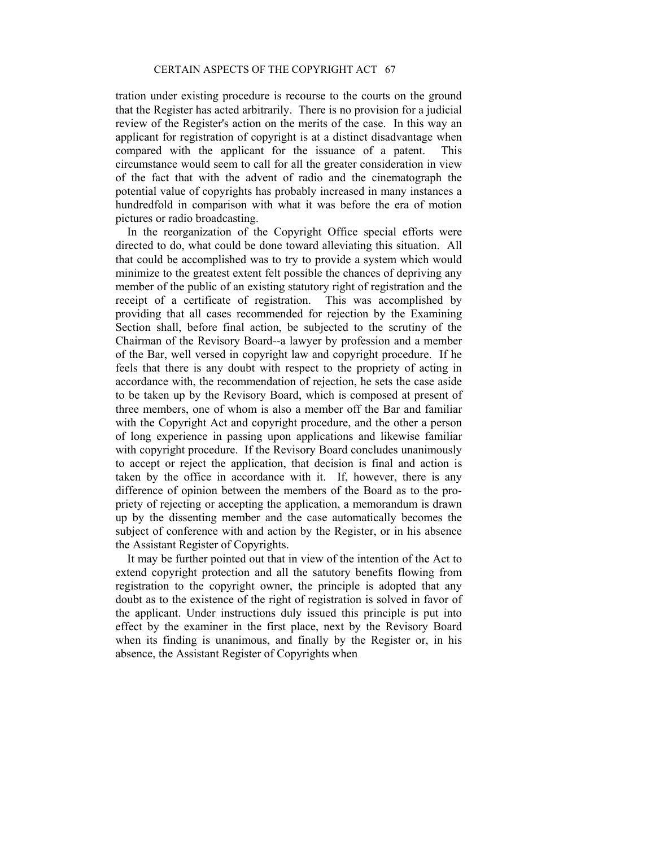tration under existing procedure is recourse to the courts on the ground that the Register has acted arbitrarily. There is no provision for a judicial review of the Register's action on the merits of the case. In this way an applicant for registration of copyright is at a distinct disadvantage when compared with the applicant for the issuance of a patent. This circumstance would seem to call for all the greater consideration in view of the fact that with the advent of radio and the cinematograph the potential value of copyrights has probably increased in many instances a hundredfold in comparison with what it was before the era of motion pictures or radio broadcasting.

 In the reorganization of the Copyright Office special efforts were directed to do, what could be done toward alleviating this situation. All that could be accomplished was to try to provide a system which would minimize to the greatest extent felt possible the chances of depriving any member of the public of an existing statutory right of registration and the receipt of a certificate of registration. This was accomplished by providing that all cases recommended for rejection by the Examining Section shall, before final action, be subjected to the scrutiny of the Chairman of the Revisory Board--a lawyer by profession and a member of the Bar, well versed in copyright law and copyright procedure. If he feels that there is any doubt with respect to the propriety of acting in accordance with, the recommendation of rejection, he sets the case aside to be taken up by the Revisory Board, which is composed at present of three members, one of whom is also a member off the Bar and familiar with the Copyright Act and copyright procedure, and the other a person of long experience in passing upon applications and likewise familiar with copyright procedure. If the Revisory Board concludes unanimously to accept or reject the application, that decision is final and action is taken by the office in accordance with it. If, however, there is any difference of opinion between the members of the Board as to the propriety of rejecting or accepting the application, a memorandum is drawn up by the dissenting member and the case automatically becomes the subject of conference with and action by the Register, or in his absence the Assistant Register of Copyrights.

 It may be further pointed out that in view of the intention of the Act to extend copyright protection and all the satutory benefits flowing from registration to the copyright owner, the principle is adopted that any doubt as to the existence of the right of registration is solved in favor of the applicant. Under instructions duly issued this principle is put into effect by the examiner in the first place, next by the Revisory Board when its finding is unanimous, and finally by the Register or, in his absence, the Assistant Register of Copyrights when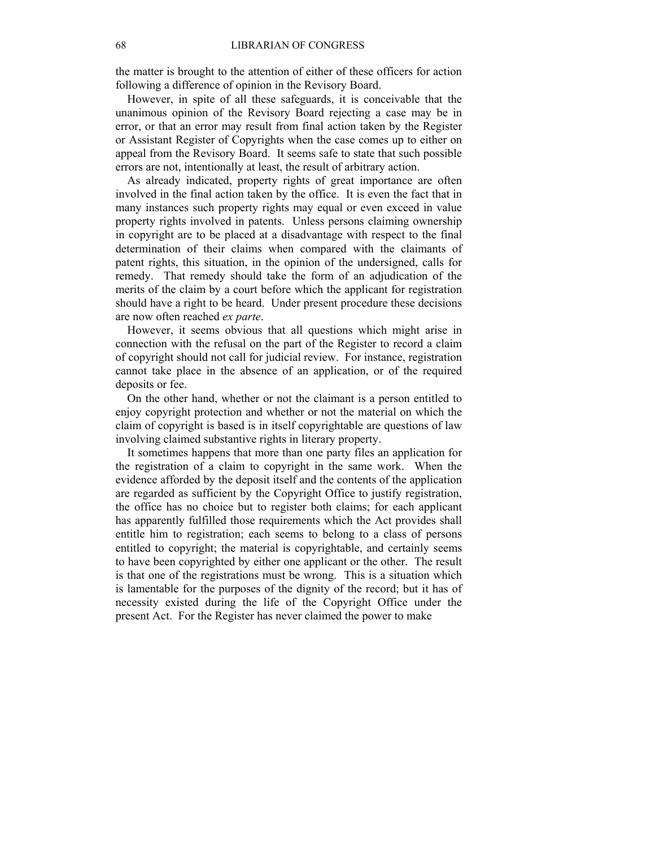the matter is brought to the attention of either of these officers for action following a difference of opinion in the Revisory Board.

 However, in spite of all these safeguards, it is conceivable that the unanimous opinion of the Revisory Board rejecting a case may be in error, or that an error may result from final action taken by the Register or Assistant Register of Copyrights when the case comes up to either on appeal from the Revisory Board. It seems safe to state that such possible errors are not, intentionally at least, the result of arbitrary action.

 As already indicated, property rights of great importance are often involved in the final action taken by the office. It is even the fact that in many instances such property rights may equal or even exceed in value property rights involved in patents. Unless persons claiming ownership in copyright are to be placed at a disadvantage with respect to the final determination of their claims when compared with the claimants of patent rights, this situation, in the opinion of the undersigned, calls for remedy. That remedy should take the form of an adjudication of the merits of the claim by a court before which the applicant for registration should have a right to be heard. Under present procedure these decisions are now often reached *ex parte*.

 However, it seems obvious that all questions which might arise in connection with the refusal on the part of the Register to record a claim of copyright should not call for judicial review. For instance, registration cannot take place in the absence of an application, or of the required deposits or fee.

 On the other hand, whether or not the claimant is a person entitled to enjoy copyright protection and whether or not the material on which the claim of copyright is based is in itself copyrightable are questions of law involving claimed substantive rights in literary property.

 It sometimes happens that more than one party files an application for the registration of a claim to copyright in the same work. When the evidence afforded by the deposit itself and the contents of the application are regarded as sufficient by the Copyright Office to justify registration, the office has no choice but to register both claims; for each applicant has apparently fulfilled those requirements which the Act provides shall entitle him to registration; each seems to belong to a class of persons entitled to copyright; the material is copyrightable, and certainly seems to have been copyrighted by either one applicant or the other. The result is that one of the registrations must be wrong. This is a situation which is lamentable for the purposes of the dignity of the record; but it has of necessity existed during the life of the Copyright Office under the present Act. For the Register has never claimed the power to make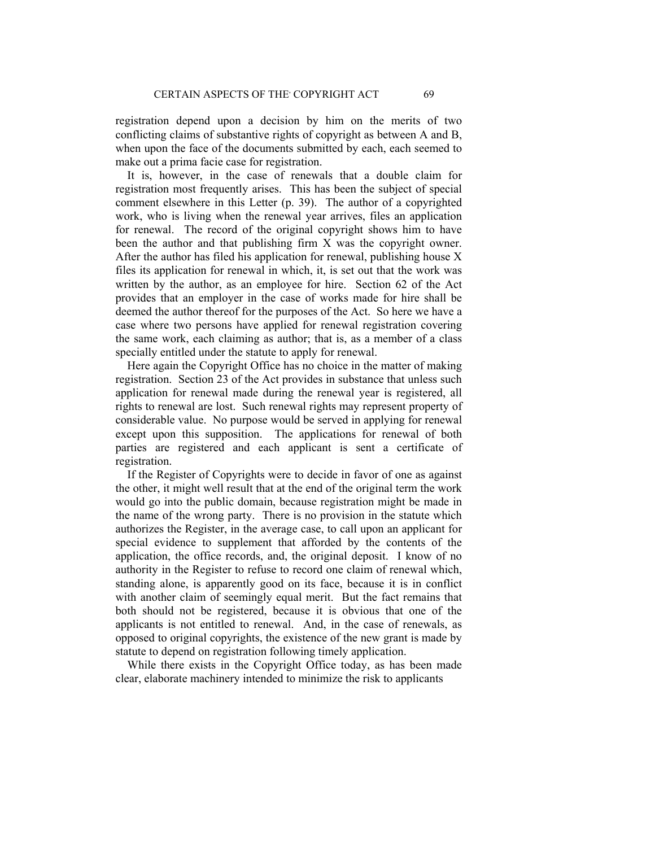registration depend upon a decision by him on the merits of two conflicting claims of substantive rights of copyright as between A and B, when upon the face of the documents submitted by each, each seemed to make out a prima facie case for registration.

 It is, however, in the case of renewals that a double claim for registration most frequently arises. This has been the subject of special comment elsewhere in this Letter (p. 39). The author of a copyrighted work, who is living when the renewal year arrives, files an application for renewal. The record of the original copyright shows him to have been the author and that publishing firm X was the copyright owner. After the author has filed his application for renewal, publishing house X files its application for renewal in which, it, is set out that the work was written by the author, as an employee for hire. Section 62 of the Act provides that an employer in the case of works made for hire shall be deemed the author thereof for the purposes of the Act. So here we have a case where two persons have applied for renewal registration covering the same work, each claiming as author; that is, as a member of a class specially entitled under the statute to apply for renewal.

 Here again the Copyright Office has no choice in the matter of making registration. Section 23 of the Act provides in substance that unless such application for renewal made during the renewal year is registered, all rights to renewal are lost. Such renewal rights may represent property of considerable value. No purpose would be served in applying for renewal except upon this supposition. The applications for renewal of both parties are registered and each applicant is sent a certificate of registration.

 If the Register of Copyrights were to decide in favor of one as against the other, it might well result that at the end of the original term the work would go into the public domain, because registration might be made in the name of the wrong party. There is no provision in the statute which authorizes the Register, in the average case, to call upon an applicant for special evidence to supplement that afforded by the contents of the application, the office records, and, the original deposit. I know of no authority in the Register to refuse to record one claim of renewal which, standing alone, is apparently good on its face, because it is in conflict with another claim of seemingly equal merit. But the fact remains that both should not be registered, because it is obvious that one of the applicants is not entitled to renewal. And, in the case of renewals, as opposed to original copyrights, the existence of the new grant is made by statute to depend on registration following timely application.

 While there exists in the Copyright Office today, as has been made clear, elaborate machinery intended to minimize the risk to applicants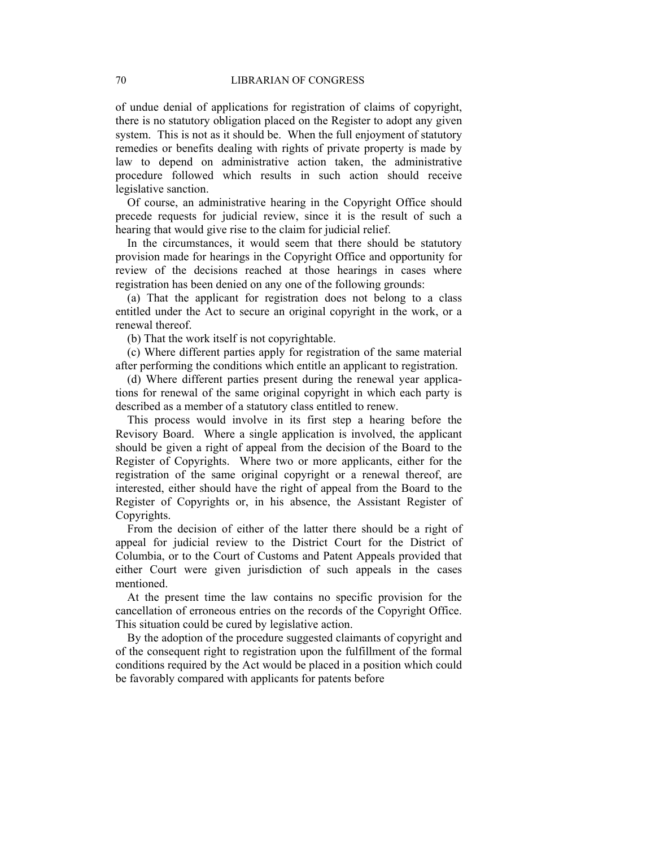of undue denial of applications for registration of claims of copyright, there is no statutory obligation placed on the Register to adopt any given system. This is not as it should be. When the full enjoyment of statutory remedies or benefits dealing with rights of private property is made by law to depend on administrative action taken, the administrative procedure followed which results in such action should receive legislative sanction.

 Of course, an administrative hearing in the Copyright Office should precede requests for judicial review, since it is the result of such a hearing that would give rise to the claim for judicial relief.

 In the circumstances, it would seem that there should be statutory provision made for hearings in the Copyright Office and opportunity for review of the decisions reached at those hearings in cases where registration has been denied on any one of the following grounds:

 (a) That the applicant for registration does not belong to a class entitled under the Act to secure an original copyright in the work, or a renewal thereof.

(b) That the work itself is not copyrightable.

 (c) Where different parties apply for registration of the same material after performing the conditions which entitle an applicant to registration.

 (d) Where different parties present during the renewal year applications for renewal of the same original copyright in which each party is described as a member of a statutory class entitled to renew.

 This process would involve in its first step a hearing before the Revisory Board. Where a single application is involved, the applicant should be given a right of appeal from the decision of the Board to the Register of Copyrights. Where two or more applicants, either for the registration of the same original copyright or a renewal thereof, are interested, either should have the right of appeal from the Board to the Register of Copyrights or, in his absence, the Assistant Register of Copyrights.

 From the decision of either of the latter there should be a right of appeal for judicial review to the District Court for the District of Columbia, or to the Court of Customs and Patent Appeals provided that either Court were given jurisdiction of such appeals in the cases mentioned.

 At the present time the law contains no specific provision for the cancellation of erroneous entries on the records of the Copyright Office. This situation could be cured by legislative action.

 By the adoption of the procedure suggested claimants of copyright and of the consequent right to registration upon the fulfillment of the formal conditions required by the Act would be placed in a position which could be favorably compared with applicants for patents before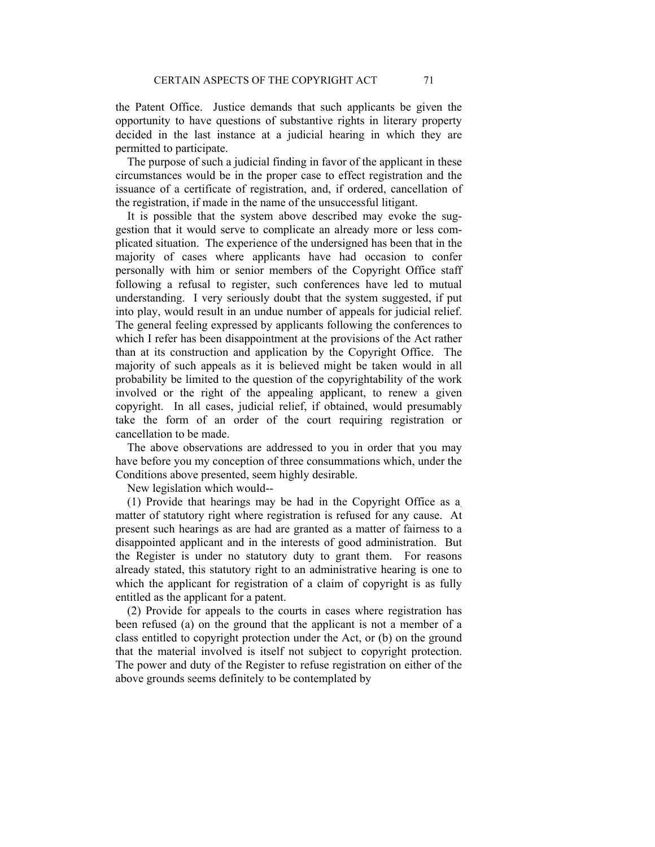the Patent Office. Justice demands that such applicants be given the opportunity to have questions of substantive rights in literary property decided in the last instance at a judicial hearing in which they are permitted to participate.

 The purpose of such a judicial finding in favor of the applicant in these circumstances would be in the proper case to effect registration and the issuance of a certificate of registration, and, if ordered, cancellation of the registration, if made in the name of the unsuccessful litigant.

 It is possible that the system above described may evoke the suggestion that it would serve to complicate an already more or less complicated situation. The experience of the undersigned has been that in the majority of cases where applicants have had occasion to confer personally with him or senior members of the Copyright Office staff following a refusal to register, such conferences have led to mutual understanding. I very seriously doubt that the system suggested, if put into play, would result in an undue number of appeals for judicial relief. The general feeling expressed by applicants following the conferences to which I refer has been disappointment at the provisions of the Act rather than at its construction and application by the Copyright Office. The majority of such appeals as it is believed might be taken would in all probability be limited to the question of the copyrightability of the work involved or the right of the appealing applicant, to renew a given copyright. In all cases, judicial relief, if obtained, would presumably take the form of an order of the court requiring registration or cancellation to be made.

 The above observations are addressed to you in order that you may have before you my conception of three consummations which, under the Conditions above presented, seem highly desirable.

New legislation which would--

 (1) Provide that hearings may be had in the Copyright Office as a. matter of statutory right where registration is refused for any cause. At present such hearings as are had are granted as a matter of fairness to a disappointed applicant and in the interests of good administration. But the Register is under no statutory duty to grant them. For reasons already stated, this statutory right to an administrative hearing is one to which the applicant for registration of a claim of copyright is as fully entitled as the applicant for a patent.

 (2) Provide for appeals to the courts in cases where registration has been refused (a) on the ground that the applicant is not a member of a class entitled to copyright protection under the Act, or (b) on the ground that the material involved is itself not subject to copyright protection. The power and duty of the Register to refuse registration on either of the above grounds seems definitely to be contemplated by